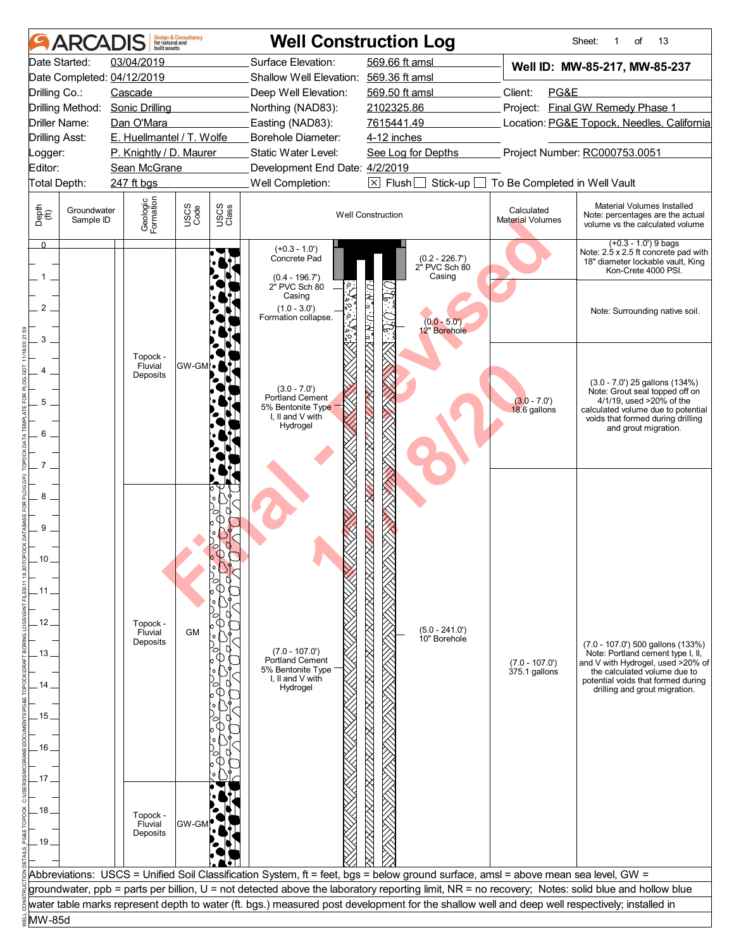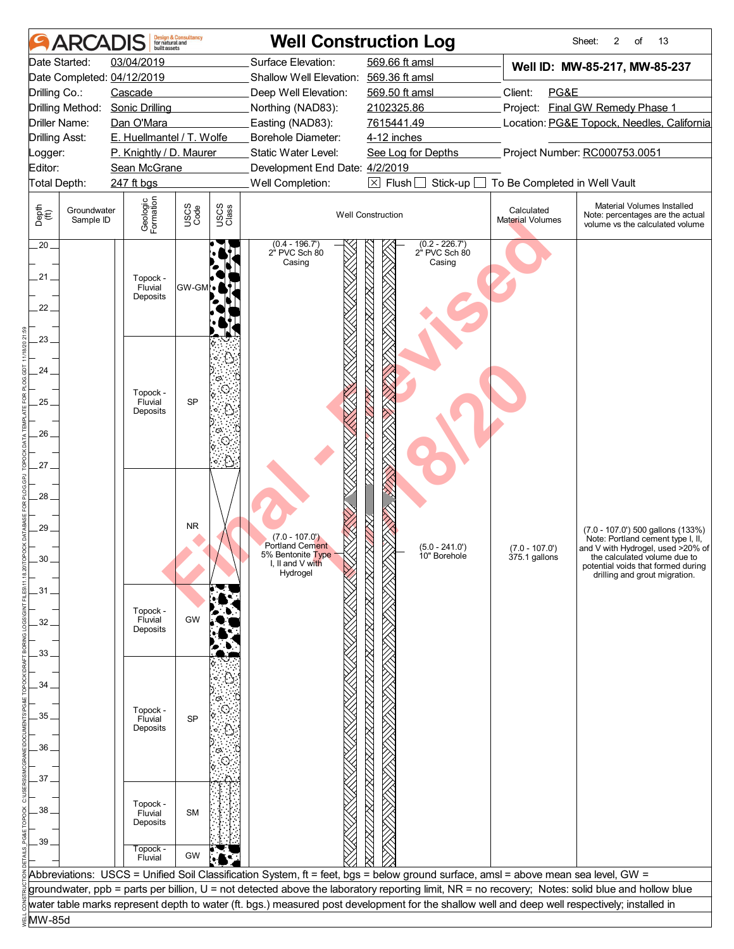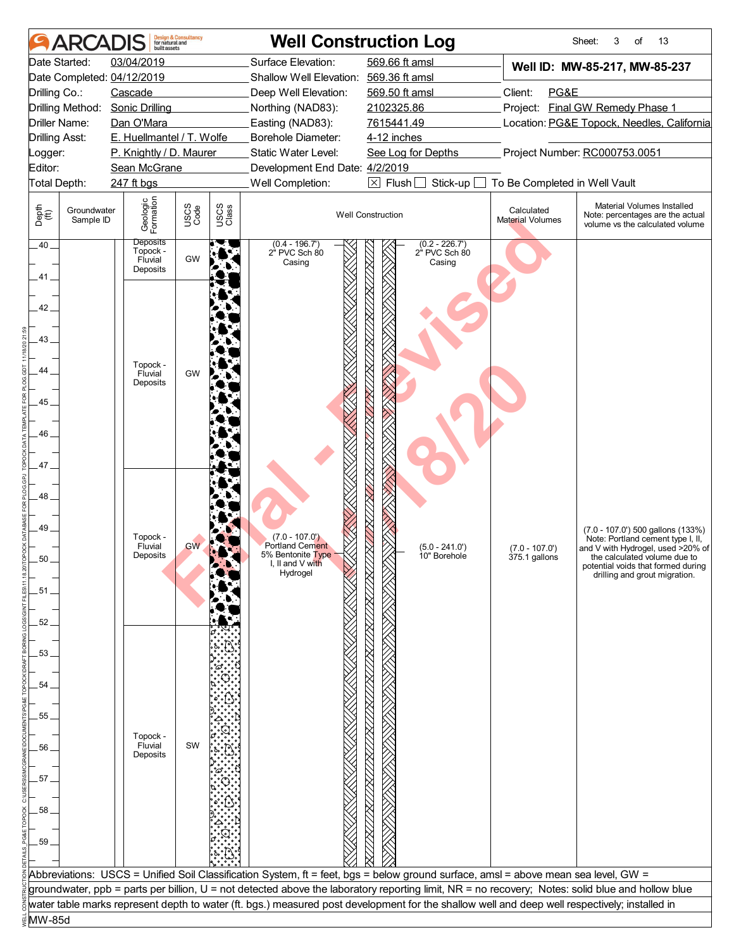|                                | <b>ARCADIS</b>           | huilt assets                           | <b>Design &amp; Consultancy</b><br>for natural and |               |                                           | <b>Well Construction Log</b>                                                                                                                     |                                   | Sheet:<br>13<br>3<br>of                                                                           |
|--------------------------------|--------------------------|----------------------------------------|----------------------------------------------------|---------------|-------------------------------------------|--------------------------------------------------------------------------------------------------------------------------------------------------|-----------------------------------|---------------------------------------------------------------------------------------------------|
|                                | Date Started:            | 03/04/2019                             |                                                    |               | Surface Elevation:                        | 569.66 ft amsl                                                                                                                                   |                                   | Well ID: MW-85-217, MW-85-237                                                                     |
|                                |                          | Date Completed: 04/12/2019             |                                                    |               | Shallow Well Elevation: 569.36 ft amsl    |                                                                                                                                                  |                                   |                                                                                                   |
| Drilling Co.:                  |                          | Cascade                                |                                                    |               | Deep Well Elevation:                      | 569.50 ft amsl                                                                                                                                   | Client:<br>PG&E                   |                                                                                                   |
|                                | Drilling Method:         | <b>Sonic Drilling</b>                  |                                                    |               | Northing (NAD83):                         | 2102325.86                                                                                                                                       |                                   | Project: Final GW Remedy Phase 1                                                                  |
| Driller Name:                  |                          | Dan O'Mara                             |                                                    |               | Easting (NAD83):                          | 7615441.49                                                                                                                                       |                                   | Location: PG&E Topock, Needles, California                                                        |
| <b>Drilling Asst:</b>          |                          | E. Huellmantel / T. Wolfe              |                                                    |               | Borehole Diameter:                        | 4-12 inches                                                                                                                                      |                                   |                                                                                                   |
| _ogger:                        |                          | P. Knightly / D. Maurer                |                                                    |               | Static Water Level:                       | See Log for Depths                                                                                                                               |                                   | Project Number: RC000753.0051                                                                     |
| Editor:                        |                          | Sean McGrane                           |                                                    |               | Development End Date: 4/2/2019            |                                                                                                                                                  |                                   |                                                                                                   |
| Total Depth:                   |                          | 247 ft bgs                             |                                                    |               | Well Completion:                          | $\boxtimes$ Flush<br>Stick-up                                                                                                                    | To Be Completed in Well Vault     |                                                                                                   |
| Depth<br>$\bigoplus_{i=1}^{n}$ | Groundwater<br>Sample ID | Geologic<br>Formation                  | USCS<br>Code                                       | USCS<br>Class |                                           | <b>Well Construction</b>                                                                                                                         | Calculated<br>Material Volumes    | Material Volumes Installed<br>Note: percentages are the actual<br>volume vs the calculated volume |
| $.40-$                         |                          | <b>Deposits</b><br>Topock -<br>Fluvial | GW                                                 |               | $(0.4 - 196.7')$<br>2" PVC Sch 80         | $(0.2 - 226.7)$<br>2" PVC Sch 80                                                                                                                 |                                   |                                                                                                   |
|                                |                          | Deposits                               |                                                    |               | Casing                                    | Casing                                                                                                                                           |                                   |                                                                                                   |
| 41.                            |                          |                                        |                                                    |               |                                           |                                                                                                                                                  |                                   |                                                                                                   |
|                                |                          |                                        |                                                    |               |                                           |                                                                                                                                                  |                                   |                                                                                                   |
| 42                             |                          |                                        |                                                    |               |                                           |                                                                                                                                                  |                                   |                                                                                                   |
|                                |                          |                                        |                                                    |               |                                           |                                                                                                                                                  |                                   |                                                                                                   |
| $.43-$                         |                          |                                        |                                                    |               |                                           |                                                                                                                                                  |                                   |                                                                                                   |
|                                |                          | Topock -                               |                                                    |               |                                           |                                                                                                                                                  |                                   |                                                                                                   |
| 44                             |                          | Fluvial                                | GW                                                 |               |                                           |                                                                                                                                                  |                                   |                                                                                                   |
|                                |                          | Deposits                               |                                                    |               |                                           |                                                                                                                                                  |                                   |                                                                                                   |
| 45                             |                          |                                        |                                                    |               |                                           |                                                                                                                                                  |                                   |                                                                                                   |
|                                |                          |                                        |                                                    |               |                                           |                                                                                                                                                  |                                   |                                                                                                   |
| 46                             |                          |                                        |                                                    |               |                                           |                                                                                                                                                  |                                   |                                                                                                   |
|                                |                          |                                        |                                                    |               |                                           |                                                                                                                                                  |                                   |                                                                                                   |
| 47.                            |                          |                                        |                                                    |               |                                           |                                                                                                                                                  |                                   |                                                                                                   |
|                                |                          |                                        |                                                    |               |                                           |                                                                                                                                                  |                                   |                                                                                                   |
| 48.                            |                          |                                        |                                                    |               |                                           |                                                                                                                                                  |                                   |                                                                                                   |
|                                |                          |                                        |                                                    |               |                                           |                                                                                                                                                  |                                   |                                                                                                   |
| 49_                            |                          |                                        |                                                    |               |                                           |                                                                                                                                                  |                                   | (7.0 - 107.0') 500 gallons (133%)                                                                 |
|                                |                          | Topock -                               | <b>GW</b>                                          |               | $(7.0 - 107.0)$<br><b>Portland Cement</b> |                                                                                                                                                  |                                   | Note: Portland cement type I, II,                                                                 |
| 50                             |                          | Fluvial<br>Deposits                    |                                                    |               | 5% Bentonite Type                         | $(5.0 - 241.0')$<br>10" Borehole                                                                                                                 | $(7.0 - 107.0')$<br>375.1 gallons | and V with Hydrogel, used >20% of<br>the calculated volume due to                                 |
|                                |                          |                                        |                                                    |               | I, II and V with<br>Hydrogel              |                                                                                                                                                  |                                   | potential voids that formed during<br>drilling and grout migration.                               |
| .51 .                          |                          |                                        |                                                    |               |                                           |                                                                                                                                                  |                                   |                                                                                                   |
|                                |                          |                                        |                                                    |               |                                           |                                                                                                                                                  |                                   |                                                                                                   |
|                                |                          |                                        |                                                    |               |                                           |                                                                                                                                                  |                                   |                                                                                                   |
| 52                             |                          |                                        |                                                    |               |                                           |                                                                                                                                                  |                                   |                                                                                                   |
|                                |                          |                                        |                                                    |               |                                           |                                                                                                                                                  |                                   |                                                                                                   |
| 53                             |                          |                                        |                                                    |               |                                           |                                                                                                                                                  |                                   |                                                                                                   |
|                                |                          |                                        |                                                    |               |                                           |                                                                                                                                                  |                                   |                                                                                                   |
| 54                             |                          |                                        |                                                    |               |                                           |                                                                                                                                                  |                                   |                                                                                                   |
|                                |                          |                                        |                                                    |               |                                           |                                                                                                                                                  |                                   |                                                                                                   |
| 55                             |                          |                                        |                                                    |               |                                           |                                                                                                                                                  |                                   |                                                                                                   |
|                                |                          | Topock -                               |                                                    |               |                                           |                                                                                                                                                  |                                   |                                                                                                   |
| 56                             |                          | Fluvial<br>Deposits                    | SW                                                 |               |                                           |                                                                                                                                                  |                                   |                                                                                                   |
|                                |                          |                                        |                                                    |               |                                           |                                                                                                                                                  |                                   |                                                                                                   |
| 57.                            |                          |                                        |                                                    |               |                                           |                                                                                                                                                  |                                   |                                                                                                   |
|                                |                          |                                        |                                                    |               |                                           |                                                                                                                                                  |                                   |                                                                                                   |
| 58                             |                          |                                        |                                                    |               |                                           |                                                                                                                                                  |                                   |                                                                                                   |
|                                |                          |                                        |                                                    |               |                                           |                                                                                                                                                  |                                   |                                                                                                   |
| 59                             |                          |                                        |                                                    |               |                                           |                                                                                                                                                  |                                   |                                                                                                   |
|                                |                          |                                        |                                                    |               |                                           |                                                                                                                                                  |                                   |                                                                                                   |
|                                |                          |                                        |                                                    |               |                                           | Abbreviations: USCS = Unified Soil Classification System, ft = feet, bgs = below ground surface, amsl = above mean sea level, GW =               |                                   |                                                                                                   |
|                                |                          |                                        |                                                    |               |                                           | groundwater, ppb = parts per billion, U = not detected above the laboratory reporting limit, NR = no recovery; Notes: solid blue and hollow blue |                                   |                                                                                                   |
|                                |                          |                                        |                                                    |               |                                           | water table marks represent depth to water (ft. bgs.) measured post development for the shallow well and deep well respectively; installed in    |                                   |                                                                                                   |
| MW-85d                         |                          |                                        |                                                    |               |                                           |                                                                                                                                                  |                                   |                                                                                                   |
|                                |                          |                                        |                                                    |               |                                           |                                                                                                                                                  |                                   |                                                                                                   |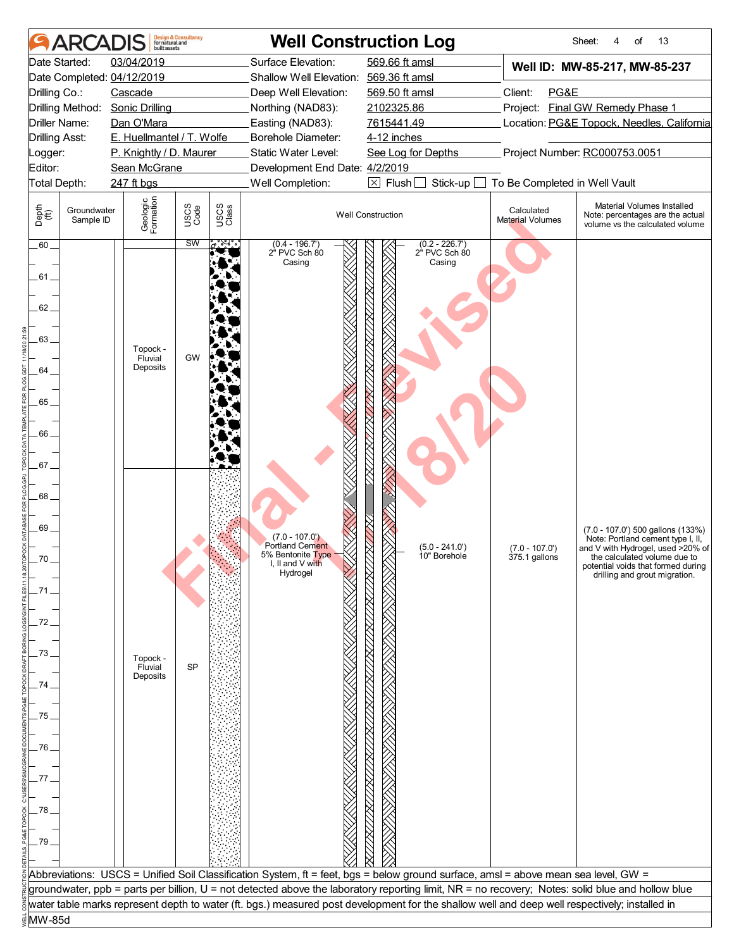|                                                                                                                | <b>ARCADIS</b>           | built assets                                                       | <b>Design &amp; Consultancy</b><br>for natural and |               |                                                                                                                                        | <b>Well Construction Log</b>                                                                                                                     |                                       | Sheet:<br>of<br>13<br>4                                                                                                                                                                                            |  |
|----------------------------------------------------------------------------------------------------------------|--------------------------|--------------------------------------------------------------------|----------------------------------------------------|---------------|----------------------------------------------------------------------------------------------------------------------------------------|--------------------------------------------------------------------------------------------------------------------------------------------------|---------------------------------------|--------------------------------------------------------------------------------------------------------------------------------------------------------------------------------------------------------------------|--|
|                                                                                                                | Date Started:            | 03/04/2019                                                         |                                                    |               | Surface Elevation:                                                                                                                     | 569.66 ft amsl                                                                                                                                   |                                       | Well ID: MW-85-217, MW-85-237                                                                                                                                                                                      |  |
|                                                                                                                |                          | Date Completed: 04/12/2019                                         |                                                    |               | Shallow Well Elevation: 569.36 ft amsl                                                                                                 |                                                                                                                                                  |                                       |                                                                                                                                                                                                                    |  |
| Drilling Co.:                                                                                                  |                          | Cascade                                                            |                                                    |               | Deep Well Elevation:                                                                                                                   | 569.50 ft amsl                                                                                                                                   | Client:<br>PG&E                       |                                                                                                                                                                                                                    |  |
|                                                                                                                |                          | Drilling Method: Sonic Drilling                                    |                                                    |               | Northing (NAD83):                                                                                                                      | 2102325.86                                                                                                                                       |                                       | Project: Final GW Remedy Phase 1                                                                                                                                                                                   |  |
| Driller Name:                                                                                                  |                          | Dan O'Mara                                                         |                                                    |               | Easting (NAD83):                                                                                                                       | 7615441.49                                                                                                                                       |                                       | Location: PG&E Topock, Needles, California                                                                                                                                                                         |  |
| <b>Drilling Asst:</b>                                                                                          |                          | E. Huellmantel / T. Wolfe                                          |                                                    |               | Borehole Diameter:                                                                                                                     | 4-12 inches                                                                                                                                      |                                       |                                                                                                                                                                                                                    |  |
| Logger:                                                                                                        |                          | P. Knightly / D. Maurer                                            |                                                    |               | Static Water Level:                                                                                                                    | See Log for Depths                                                                                                                               | Project Number: RC000753.0051         |                                                                                                                                                                                                                    |  |
| Editor:                                                                                                        |                          | Sean McGrane                                                       |                                                    |               | Development End Date: 4/2/2019                                                                                                         |                                                                                                                                                  | To Be Completed in Well Vault         |                                                                                                                                                                                                                    |  |
| Total Depth:                                                                                                   |                          | 247 ft bgs                                                         |                                                    |               | Well Completion:                                                                                                                       | $\boxtimes$ Flush<br>Stick-up                                                                                                                    |                                       |                                                                                                                                                                                                                    |  |
| Depth<br>(ff)                                                                                                  | Groundwater<br>Sample ID | Geologic<br>Formation                                              | USCS<br>Code                                       | USCS<br>Class |                                                                                                                                        | <b>Well Construction</b>                                                                                                                         | Calculated<br><b>Material Volumes</b> | Material Volumes Installed<br>Note: percentages are the actual<br>volume vs the calculated volume                                                                                                                  |  |
| $.60-$<br>.61 .<br>62.<br>63_<br>64<br>.65<br>66.<br>.67.<br>68.<br>69.<br>70<br>.71<br>72<br>73<br>74<br>.75. |                          | Topock -<br>Fluvial<br>Deposits<br>Topock -<br>Fluvial<br>Deposits | <b>SW</b><br>GW<br>SP                              | ಿಚ್ಚ          | $(0.4 - 196.7')$<br>2" PVC Sch 80<br>Casing<br>$(7.0 - 107.0)$<br>Portland Cement<br>5% Bentonite Type<br>I, II and V with<br>Hydrogel | $(0.2 - 226.7')$<br>2" PVC Sch 80<br>Casing<br>$(5.0 - 241.0')$<br>10" Borehole                                                                  | $(7.0 - 107.0')$<br>375.1 gallons     | (7.0 - 107.0') 500 gallons (133%)<br>Note: Portland cement type I, II,<br>and V with Hydrogel, used >20% of<br>the calculated volume due to<br>potential voids that formed during<br>drilling and grout migration. |  |
| .76<br>77.                                                                                                     |                          |                                                                    |                                                    |               |                                                                                                                                        |                                                                                                                                                  |                                       |                                                                                                                                                                                                                    |  |
| .78                                                                                                            |                          |                                                                    |                                                    |               |                                                                                                                                        |                                                                                                                                                  |                                       |                                                                                                                                                                                                                    |  |
| 79                                                                                                             |                          |                                                                    |                                                    |               |                                                                                                                                        |                                                                                                                                                  |                                       |                                                                                                                                                                                                                    |  |
|                                                                                                                |                          |                                                                    |                                                    |               |                                                                                                                                        |                                                                                                                                                  |                                       |                                                                                                                                                                                                                    |  |
|                                                                                                                |                          |                                                                    |                                                    |               |                                                                                                                                        | Abbreviations: USCS = Unified Soil Classification System, ft = feet, bgs = below ground surface, amsl = above mean sea level, GW =               |                                       |                                                                                                                                                                                                                    |  |
|                                                                                                                |                          |                                                                    |                                                    |               |                                                                                                                                        | groundwater, ppb = parts per billion, U = not detected above the laboratory reporting limit, NR = no recovery; Notes: solid blue and hollow blue |                                       |                                                                                                                                                                                                                    |  |
|                                                                                                                |                          |                                                                    |                                                    |               |                                                                                                                                        | water table marks represent depth to water (ft. bgs.) measured post development for the shallow well and deep well respectively; installed in    |                                       |                                                                                                                                                                                                                    |  |
| MW-85d                                                                                                         |                          |                                                                    |                                                    |               |                                                                                                                                        |                                                                                                                                                  |                                       |                                                                                                                                                                                                                    |  |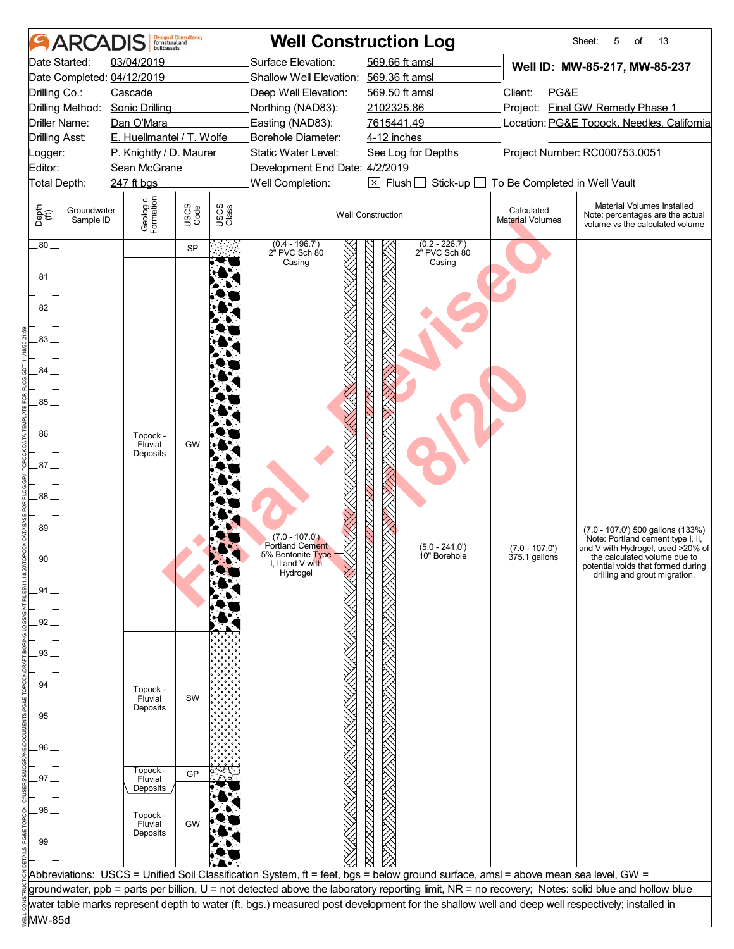|                       | <b>ARCADIS</b>           | built assets                    | <b>Design &amp; Consultancy</b><br>for natural and |               |                                        | <b>Well Construction Log</b>                                                                                                                     |                                       | Sheet:<br>5<br>of<br>13                                                                           |
|-----------------------|--------------------------|---------------------------------|----------------------------------------------------|---------------|----------------------------------------|--------------------------------------------------------------------------------------------------------------------------------------------------|---------------------------------------|---------------------------------------------------------------------------------------------------|
|                       | Date Started:            | 03/04/2019                      |                                                    |               | Surface Elevation:                     | 569.66 ft amsl                                                                                                                                   |                                       | Well ID: MW-85-217, MW-85-237                                                                     |
|                       |                          | Date Completed: 04/12/2019      |                                                    |               | Shallow Well Elevation: 569.36 ft amsl |                                                                                                                                                  |                                       |                                                                                                   |
| Drilling Co.:         |                          | Cascade                         |                                                    |               | Deep Well Elevation:                   | 569.50 ft amsl                                                                                                                                   | Client:<br>PG&E                       |                                                                                                   |
|                       |                          | Drilling Method: Sonic Drilling |                                                    |               | Northing (NAD83):                      | 2102325.86                                                                                                                                       |                                       | Project: Final GW Remedy Phase 1                                                                  |
|                       | Driller Name:            | Dan O'Mara                      |                                                    |               | Easting (NAD83):                       | 7615441.49                                                                                                                                       |                                       | Location: PG&E Topock, Needles, California                                                        |
| <b>Drilling Asst:</b> |                          | E. Huellmantel / T. Wolfe       |                                                    |               | Borehole Diameter:                     | 4-12 inches                                                                                                                                      |                                       |                                                                                                   |
| Logger:               |                          | P. Knightly / D. Maurer         |                                                    |               | Static Water Level:                    | See Log for Depths                                                                                                                               |                                       | Project Number: RC000753.0051                                                                     |
| Editor:               |                          | Sean McGrane                    |                                                    |               | Development End Date: 4/2/2019         |                                                                                                                                                  |                                       |                                                                                                   |
| Total Depth:          |                          | 247 ft bgs                      |                                                    |               | Well Completion:                       | $\boxtimes$ Flush<br>Stick-up                                                                                                                    | To Be Completed in Well Vault         |                                                                                                   |
| Depth<br>(ff)         | Groundwater<br>Sample ID | Geologic<br>Formation           | USCS<br>Code                                       | USCS<br>Class |                                        | <b>Well Construction</b>                                                                                                                         | Calculated<br><b>Material Volumes</b> | Material Volumes Installed<br>Note: percentages are the actual<br>volume vs the calculated volume |
| $.80-$                |                          |                                 | <b>SP</b>                                          |               | $(0.4 - 196.7')$<br>2" PVC Sch 80      | $(0.2 - 226.7')$<br>2" PVC Sch 80                                                                                                                |                                       |                                                                                                   |
|                       |                          |                                 |                                                    |               | Casing                                 | Casing                                                                                                                                           |                                       |                                                                                                   |
| $81 -$                |                          |                                 |                                                    |               |                                        |                                                                                                                                                  |                                       |                                                                                                   |
|                       |                          |                                 |                                                    |               |                                        |                                                                                                                                                  |                                       |                                                                                                   |
| 82                    |                          |                                 |                                                    |               |                                        |                                                                                                                                                  |                                       |                                                                                                   |
|                       |                          |                                 |                                                    |               |                                        |                                                                                                                                                  |                                       |                                                                                                   |
| 83_                   |                          |                                 |                                                    |               |                                        |                                                                                                                                                  |                                       |                                                                                                   |
|                       |                          |                                 |                                                    |               |                                        |                                                                                                                                                  |                                       |                                                                                                   |
| 84                    |                          |                                 |                                                    |               |                                        |                                                                                                                                                  |                                       |                                                                                                   |
|                       |                          |                                 |                                                    |               |                                        |                                                                                                                                                  |                                       |                                                                                                   |
| 85                    |                          |                                 |                                                    |               |                                        |                                                                                                                                                  |                                       |                                                                                                   |
|                       |                          |                                 |                                                    |               |                                        |                                                                                                                                                  |                                       |                                                                                                   |
| 86.                   |                          | Topock -<br>Fluvial             | GW                                                 |               |                                        |                                                                                                                                                  |                                       |                                                                                                   |
|                       |                          | Deposits                        |                                                    |               |                                        |                                                                                                                                                  |                                       |                                                                                                   |
| 87                    |                          |                                 |                                                    |               |                                        |                                                                                                                                                  |                                       |                                                                                                   |
|                       |                          |                                 |                                                    |               |                                        |                                                                                                                                                  |                                       |                                                                                                   |
| 88                    |                          |                                 |                                                    |               |                                        |                                                                                                                                                  |                                       |                                                                                                   |
|                       |                          |                                 |                                                    |               |                                        |                                                                                                                                                  |                                       |                                                                                                   |
| 89.                   |                          |                                 |                                                    |               | $(7.0 - 107.0)$                        |                                                                                                                                                  |                                       | (7.0 - 107.0') 500 gallons (133%)<br>Note: Portland cement type I, II,                            |
|                       |                          |                                 |                                                    |               | Portland Cement<br>5% Bentonite Type   | $(5.0 - 241.0')$                                                                                                                                 | $(7.0 - 107.0')$                      | and V with Hydrogel, used >20% of                                                                 |
| 90                    |                          |                                 |                                                    |               | I, II and V with                       | 10" Borehole                                                                                                                                     | 375.1 gallons                         | the calculated volume due to<br>potential voids that formed during                                |
|                       |                          |                                 |                                                    |               | Hydrogel                               |                                                                                                                                                  |                                       | drilling and grout migration.                                                                     |
| .91.                  |                          |                                 |                                                    |               |                                        |                                                                                                                                                  |                                       |                                                                                                   |
|                       |                          |                                 |                                                    |               |                                        |                                                                                                                                                  |                                       |                                                                                                   |
| 92.                   |                          |                                 |                                                    |               |                                        |                                                                                                                                                  |                                       |                                                                                                   |
|                       |                          |                                 |                                                    |               |                                        |                                                                                                                                                  |                                       |                                                                                                   |
| .93                   |                          |                                 |                                                    |               |                                        |                                                                                                                                                  |                                       |                                                                                                   |
|                       |                          |                                 |                                                    |               |                                        |                                                                                                                                                  |                                       |                                                                                                   |
| 94.                   |                          | Topock -                        |                                                    |               |                                        |                                                                                                                                                  |                                       |                                                                                                   |
|                       |                          | Fluvial<br>Deposits             | SW                                                 |               |                                        |                                                                                                                                                  |                                       |                                                                                                   |
| 95                    |                          |                                 |                                                    |               |                                        |                                                                                                                                                  |                                       |                                                                                                   |
|                       |                          |                                 |                                                    |               |                                        |                                                                                                                                                  |                                       |                                                                                                   |
| .96                   |                          |                                 |                                                    |               |                                        |                                                                                                                                                  |                                       |                                                                                                   |
|                       |                          | Topock -                        | GP                                                 |               |                                        |                                                                                                                                                  |                                       |                                                                                                   |
| $.97-$                |                          | Fluvial<br>Deposits             |                                                    |               |                                        |                                                                                                                                                  |                                       |                                                                                                   |
|                       |                          |                                 |                                                    |               |                                        |                                                                                                                                                  |                                       |                                                                                                   |
| .98                   |                          | Topock -                        |                                                    |               |                                        |                                                                                                                                                  |                                       |                                                                                                   |
|                       |                          | Fluvial<br>Deposits             | GW                                                 |               |                                        |                                                                                                                                                  |                                       |                                                                                                   |
| .99                   |                          |                                 |                                                    |               |                                        |                                                                                                                                                  |                                       |                                                                                                   |
|                       |                          |                                 |                                                    |               |                                        |                                                                                                                                                  |                                       |                                                                                                   |
|                       |                          |                                 |                                                    |               |                                        | Abbreviations: USCS = Unified Soil Classification System, ft = feet, bgs = below ground surface, amsl = above mean sea level, GW =               |                                       |                                                                                                   |
|                       |                          |                                 |                                                    |               |                                        | groundwater, ppb = parts per billion, U = not detected above the laboratory reporting limit, NR = no recovery; Notes: solid blue and hollow blue |                                       |                                                                                                   |
|                       |                          |                                 |                                                    |               |                                        | water table marks represent depth to water (ft. bgs.) measured post development for the shallow well and deep well respectively; installed in    |                                       |                                                                                                   |
| MW-85d                |                          |                                 |                                                    |               |                                        |                                                                                                                                                  |                                       |                                                                                                   |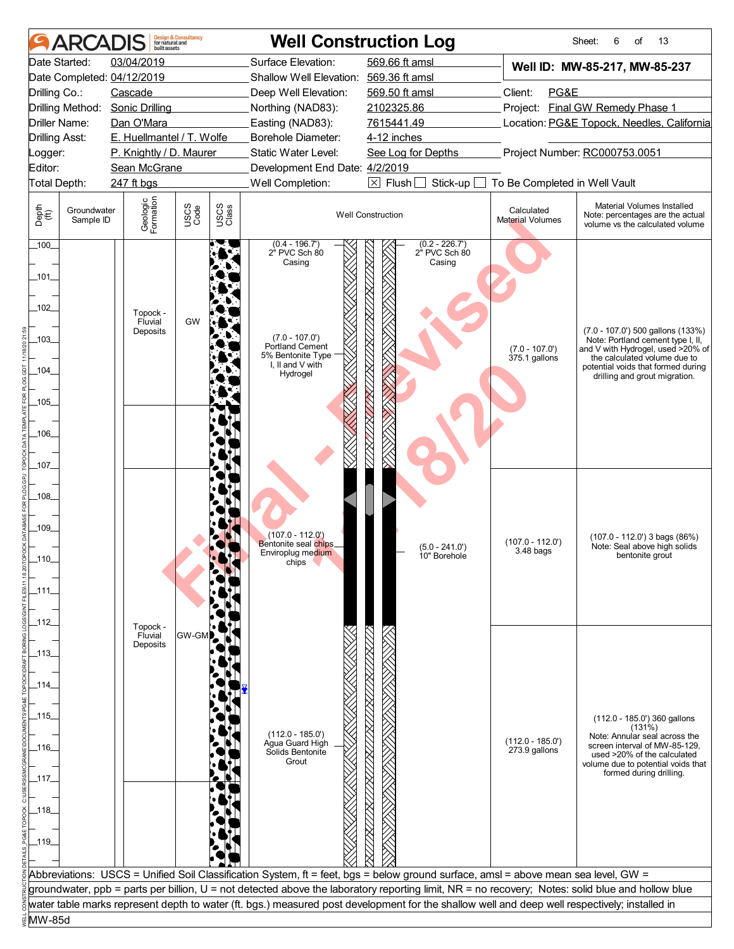|                            | <b>ARCAI</b>             | huilt assets                    | <b>Design &amp; Consultancy</b><br>for natural and |               |                                                                                         | <b>Well Construction Log</b>                                                                                                                     |                                       | Sheet:<br>13<br>6<br>of                                                                                                                                                                                            |  |
|----------------------------|--------------------------|---------------------------------|----------------------------------------------------|---------------|-----------------------------------------------------------------------------------------|--------------------------------------------------------------------------------------------------------------------------------------------------|---------------------------------------|--------------------------------------------------------------------------------------------------------------------------------------------------------------------------------------------------------------------|--|
|                            | Date Started:            | 03/04/2019                      |                                                    |               | Surface Elevation:                                                                      | 569.66 ft amsl                                                                                                                                   |                                       | Well ID: MW-85-217, MW-85-237                                                                                                                                                                                      |  |
|                            |                          | Date Completed: 04/12/2019      |                                                    |               | Shallow Well Elevation: 569.36 ft amsl                                                  |                                                                                                                                                  |                                       |                                                                                                                                                                                                                    |  |
| Drilling Co.:              |                          | Cascade                         |                                                    |               | Deep Well Elevation:                                                                    | 569.50 ft amsl                                                                                                                                   | Client:<br>PG&E                       |                                                                                                                                                                                                                    |  |
|                            | Drilling Method:         | <b>Sonic Drilling</b>           |                                                    |               | Northing (NAD83):                                                                       | 2102325.86                                                                                                                                       | Project: Final GW Remedy Phase 1      |                                                                                                                                                                                                                    |  |
| Driller Name:              |                          | Dan O'Mara                      |                                                    |               | Easting (NAD83):                                                                        | 7615441.49                                                                                                                                       |                                       | Location: PG&E Topock, Needles, California                                                                                                                                                                         |  |
| <b>Drilling Asst:</b>      |                          | E. Huellmantel / T. Wolfe       |                                                    |               | Borehole Diameter:                                                                      | 4-12 inches                                                                                                                                      |                                       |                                                                                                                                                                                                                    |  |
| Logger:                    |                          | P. Knightly / D. Maurer         |                                                    |               | Static Water Level:                                                                     | See Log for Depths                                                                                                                               |                                       | Project Number: RC000753.0051                                                                                                                                                                                      |  |
| Editor:                    |                          | Sean McGrane                    |                                                    |               | Development End Date: 4/2/2019                                                          |                                                                                                                                                  |                                       |                                                                                                                                                                                                                    |  |
| Total Depth:               |                          | 247 ft bgs                      |                                                    |               | Well Completion:                                                                        | $\boxtimes$ Flush<br>Stick-up                                                                                                                    | To Be Completed in Well Vault         |                                                                                                                                                                                                                    |  |
| Depth<br>(ff)              | Groundwater<br>Sample ID | Geologic<br>Formation           | USCS<br>Code                                       | USCS<br>Class |                                                                                         | <b>Well Construction</b>                                                                                                                         | Calculated<br><b>Material Volumes</b> | Material Volumes Installed<br>Note: percentages are the actual<br>volume vs the calculated volume                                                                                                                  |  |
| $100 -$<br>_101_<br>$-102$ |                          |                                 |                                                    |               | $(0.4 - 196.7')$<br>2" PVC Sch 80<br>Casing                                             | $(0.2 - 226.7)$<br>2" PVC Sch 80<br>Casing                                                                                                       |                                       |                                                                                                                                                                                                                    |  |
| $103$ <sub>-</sub><br>104  |                          | Topock -<br>Fluvial<br>Deposits | <b>GW</b>                                          |               | $(7.0 - 107.0)$<br>Portland Cement<br>5% Bentonite Type<br>I, II and V with<br>Hydrogel |                                                                                                                                                  | $(7.0 - 107.0)$<br>375.1 gallons      | (7.0 - 107.0') 500 gallons (133%)<br>Note: Portland cement type I, II,<br>and V with Hydrogel, used >20% of<br>the calculated volume due to<br>potential voids that formed during<br>drilling and grout migration. |  |
| 105                        |                          |                                 |                                                    |               |                                                                                         |                                                                                                                                                  |                                       |                                                                                                                                                                                                                    |  |
|                            |                          |                                 |                                                    |               |                                                                                         |                                                                                                                                                  |                                       |                                                                                                                                                                                                                    |  |
| $-106$                     |                          |                                 |                                                    |               |                                                                                         |                                                                                                                                                  |                                       |                                                                                                                                                                                                                    |  |
|                            |                          |                                 |                                                    |               |                                                                                         |                                                                                                                                                  |                                       |                                                                                                                                                                                                                    |  |
| $\_107\_$                  |                          |                                 |                                                    |               |                                                                                         |                                                                                                                                                  |                                       |                                                                                                                                                                                                                    |  |
|                            |                          |                                 |                                                    |               |                                                                                         |                                                                                                                                                  |                                       |                                                                                                                                                                                                                    |  |
| $-108$                     |                          |                                 |                                                    |               |                                                                                         |                                                                                                                                                  |                                       |                                                                                                                                                                                                                    |  |
|                            |                          |                                 |                                                    |               |                                                                                         |                                                                                                                                                  |                                       |                                                                                                                                                                                                                    |  |
| $-109$                     |                          |                                 |                                                    |               |                                                                                         |                                                                                                                                                  |                                       |                                                                                                                                                                                                                    |  |
|                            |                          |                                 |                                                    |               | $(107.0 - 112.0)$<br>Bentonite seal chips_                                              | $(5.0 - 241.0')$                                                                                                                                 | $(107.0 - 112.0')$                    | $(107.0 - 112.0)$ 3 bags $(86%)$<br>Note: Seal above high solids                                                                                                                                                   |  |
| .110                       |                          |                                 |                                                    |               | Enviroplug medium<br>cnips                                                              | 10" Borehole                                                                                                                                     | 3.48 bags                             | bentonite grout                                                                                                                                                                                                    |  |
|                            |                          |                                 |                                                    |               |                                                                                         |                                                                                                                                                  |                                       |                                                                                                                                                                                                                    |  |
| _111_                      |                          |                                 |                                                    |               |                                                                                         |                                                                                                                                                  |                                       |                                                                                                                                                                                                                    |  |
|                            |                          |                                 |                                                    |               |                                                                                         |                                                                                                                                                  |                                       |                                                                                                                                                                                                                    |  |
| _112_                      |                          |                                 |                                                    |               |                                                                                         |                                                                                                                                                  |                                       |                                                                                                                                                                                                                    |  |
|                            |                          | Topock -<br>Fluvial             | GW-GM                                              |               |                                                                                         |                                                                                                                                                  |                                       |                                                                                                                                                                                                                    |  |
| _113_                      |                          | Deposits                        |                                                    |               |                                                                                         |                                                                                                                                                  |                                       |                                                                                                                                                                                                                    |  |
|                            |                          |                                 |                                                    |               |                                                                                         |                                                                                                                                                  |                                       |                                                                                                                                                                                                                    |  |
| _114_                      |                          |                                 |                                                    |               |                                                                                         |                                                                                                                                                  |                                       |                                                                                                                                                                                                                    |  |
|                            |                          |                                 |                                                    |               |                                                                                         |                                                                                                                                                  |                                       |                                                                                                                                                                                                                    |  |
| _115_                      |                          |                                 |                                                    |               |                                                                                         |                                                                                                                                                  |                                       |                                                                                                                                                                                                                    |  |
|                            |                          |                                 |                                                    |               |                                                                                         |                                                                                                                                                  |                                       | (112.0 - 185.0') 360 gallons<br>(131%)                                                                                                                                                                             |  |
| _116_                      |                          |                                 |                                                    |               | $(112.0 - 185.0)$<br>Agua Guard High                                                    |                                                                                                                                                  | $(112.0 - 185.0')$                    | Note: Annular seal across the<br>screen interval of MW-85-129,                                                                                                                                                     |  |
|                            |                          |                                 |                                                    |               | Solids Bentonite<br>Grout                                                               |                                                                                                                                                  | $273.9$ gallons                       | used >20% of the calculated                                                                                                                                                                                        |  |
|                            |                          |                                 |                                                    |               |                                                                                         |                                                                                                                                                  |                                       | volume due to potential voids that<br>formed during drilling.                                                                                                                                                      |  |
| _117_                      |                          |                                 |                                                    |               |                                                                                         |                                                                                                                                                  |                                       |                                                                                                                                                                                                                    |  |
|                            |                          |                                 |                                                    |               |                                                                                         |                                                                                                                                                  |                                       |                                                                                                                                                                                                                    |  |
| _118_                      |                          |                                 |                                                    |               |                                                                                         |                                                                                                                                                  |                                       |                                                                                                                                                                                                                    |  |
|                            |                          |                                 |                                                    |               |                                                                                         |                                                                                                                                                  |                                       |                                                                                                                                                                                                                    |  |
| _119_                      |                          |                                 |                                                    |               |                                                                                         |                                                                                                                                                  |                                       |                                                                                                                                                                                                                    |  |
|                            |                          |                                 |                                                    |               |                                                                                         |                                                                                                                                                  |                                       |                                                                                                                                                                                                                    |  |
|                            |                          |                                 |                                                    |               |                                                                                         | Abbreviations: USCS = Unified Soil Classification System, ft = feet, bgs = below ground surface, amsl = above mean sea level, GW =               |                                       |                                                                                                                                                                                                                    |  |
|                            |                          |                                 |                                                    |               |                                                                                         | groundwater, ppb = parts per billion, U = not detected above the laboratory reporting limit, NR = no recovery; Notes: solid blue and hollow blue |                                       |                                                                                                                                                                                                                    |  |
|                            |                          |                                 |                                                    |               |                                                                                         | water table marks represent depth to water (ft. bgs.) measured post development for the shallow well and deep well respectively; installed in    |                                       |                                                                                                                                                                                                                    |  |
| MW-85d                     |                          |                                 |                                                    |               |                                                                                         |                                                                                                                                                  |                                       |                                                                                                                                                                                                                    |  |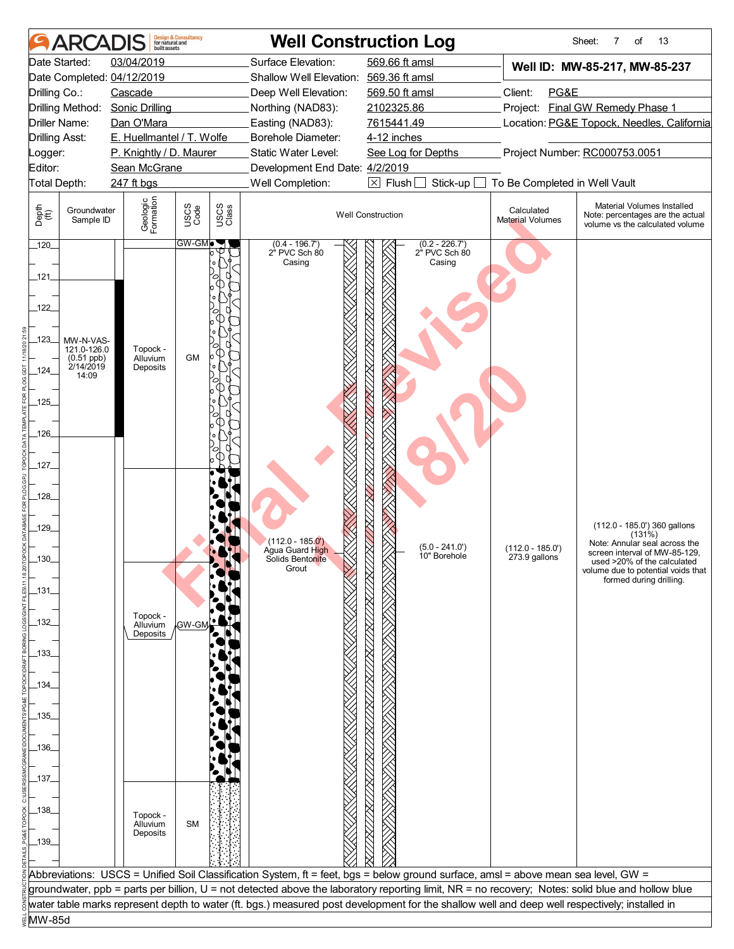|                       | <b>ARCADIS</b>           | built assets                            | <b>Design &amp; Consultancy</b><br>for natural and |               |                                                       | <b>Well Construction Log</b>                                                                                                                     |                                            | Sheet:<br>7<br>of<br>13                                                                           |  |
|-----------------------|--------------------------|-----------------------------------------|----------------------------------------------------|---------------|-------------------------------------------------------|--------------------------------------------------------------------------------------------------------------------------------------------------|--------------------------------------------|---------------------------------------------------------------------------------------------------|--|
|                       | Date Started:            | 03/04/2019                              |                                                    |               | Surface Elevation:                                    | 569.66 ft amsl                                                                                                                                   |                                            | Well ID: MW-85-217, MW-85-237                                                                     |  |
|                       |                          | Date Completed: 04/12/2019              |                                                    |               | Shallow Well Elevation: 569.36 ft amsl                |                                                                                                                                                  |                                            |                                                                                                   |  |
| Drilling Co.:         |                          | Cascade                                 |                                                    |               | Deep Well Elevation:                                  | 569.50 ft amsl                                                                                                                                   | Client:<br>PG&E                            |                                                                                                   |  |
|                       | Drilling Method:         | <b>Sonic Drilling</b>                   |                                                    |               | Northing (NAD83):                                     | 2102325.86                                                                                                                                       |                                            | Project: Final GW Remedy Phase 1                                                                  |  |
|                       | Driller Name:            | Dan O'Mara                              |                                                    |               | Easting (NAD83):                                      | 7615441.49                                                                                                                                       | Location: PG&E Topock, Needles, California |                                                                                                   |  |
| <b>Drilling Asst:</b> |                          | E. Huellmantel / T. Wolfe               |                                                    |               | Borehole Diameter:                                    | 4-12 inches                                                                                                                                      | Project Number: RC000753.0051              |                                                                                                   |  |
| Logger:<br>Editor:    |                          | P. Knightly / D. Maurer<br>Sean McGrane |                                                    |               | Static Water Level:<br>Development End Date: 4/2/2019 | See Log for Depths                                                                                                                               |                                            |                                                                                                   |  |
| Total Depth:          |                          | 247 ft bgs                              |                                                    |               | Well Completion:                                      | $\boxtimes$ Flush [<br>Stick-up                                                                                                                  | To Be Completed in Well Vault              |                                                                                                   |  |
|                       |                          |                                         |                                                    |               |                                                       |                                                                                                                                                  |                                            |                                                                                                   |  |
| Depth<br>(ff)         | Groundwater<br>Sample ID | Geologic<br>Formation                   | USCS<br>Code                                       | USCS<br>Class |                                                       | <b>Well Construction</b>                                                                                                                         | Calculated<br><b>Material Volumes</b>      | Material Volumes Installed<br>Note: percentages are the actual<br>volume vs the calculated volume |  |
| 120                   |                          |                                         | <b>GW-GMD</b>                                      |               | $(0.4 - 196.7)$<br>2" PVC Sch 80                      | $(0.2 - 226.7')$<br>2" PVC Sch 80                                                                                                                |                                            |                                                                                                   |  |
|                       |                          |                                         |                                                    |               | Casing                                                | Casing                                                                                                                                           |                                            |                                                                                                   |  |
| _121_                 |                          |                                         |                                                    |               |                                                       |                                                                                                                                                  |                                            |                                                                                                   |  |
|                       |                          |                                         |                                                    |               |                                                       |                                                                                                                                                  |                                            |                                                                                                   |  |
| $122$                 |                          |                                         |                                                    |               |                                                       |                                                                                                                                                  |                                            |                                                                                                   |  |
|                       |                          |                                         |                                                    |               |                                                       |                                                                                                                                                  |                                            |                                                                                                   |  |
| _123_                 | MW-N-VAS-<br>121.0-126.0 | Topock -                                |                                                    |               |                                                       |                                                                                                                                                  |                                            |                                                                                                   |  |
| 124                   | (0.51 ppb)<br>2/14/2019  | Alluvium<br>Deposits                    | <b>GM</b>                                          |               |                                                       |                                                                                                                                                  |                                            |                                                                                                   |  |
|                       | 14:09                    |                                         |                                                    |               |                                                       |                                                                                                                                                  |                                            |                                                                                                   |  |
| $-125$                |                          |                                         |                                                    |               |                                                       |                                                                                                                                                  |                                            |                                                                                                   |  |
|                       |                          |                                         |                                                    |               |                                                       |                                                                                                                                                  |                                            |                                                                                                   |  |
| 126                   |                          |                                         |                                                    |               |                                                       |                                                                                                                                                  |                                            |                                                                                                   |  |
|                       |                          |                                         |                                                    |               |                                                       |                                                                                                                                                  |                                            |                                                                                                   |  |
| _127_                 |                          |                                         |                                                    |               |                                                       |                                                                                                                                                  |                                            |                                                                                                   |  |
|                       |                          |                                         |                                                    |               |                                                       |                                                                                                                                                  |                                            |                                                                                                   |  |
| $-128$                |                          |                                         |                                                    |               |                                                       |                                                                                                                                                  |                                            |                                                                                                   |  |
|                       |                          |                                         |                                                    |               |                                                       |                                                                                                                                                  |                                            |                                                                                                   |  |
| 129                   |                          |                                         |                                                    |               |                                                       |                                                                                                                                                  |                                            | (112.0 - 185.0') 360 gallons                                                                      |  |
|                       |                          |                                         |                                                    |               | (112.0 - 185.0 <sup>'</sup> )                         | $(5.0 - 241.0')$                                                                                                                                 | $(112.0 - 185.0')$                         | (131%)<br>Note: Annular seal across the                                                           |  |
| 130                   |                          |                                         |                                                    |               | Agua Guard High<br>Solids Bentonite                   | 10" Borehole                                                                                                                                     | 273.9 gallons                              | screen interval of MW-85-129,<br>used >20% of the calculated                                      |  |
|                       |                          |                                         |                                                    |               | Grout                                                 |                                                                                                                                                  |                                            | volume due to potential voids that<br>formed during drilling.                                     |  |
| _131_                 |                          |                                         |                                                    |               |                                                       |                                                                                                                                                  |                                            |                                                                                                   |  |
|                       |                          |                                         |                                                    |               |                                                       |                                                                                                                                                  |                                            |                                                                                                   |  |
| _132_                 |                          | Topock -<br>Alluvium                    | GW-GM                                              |               |                                                       |                                                                                                                                                  |                                            |                                                                                                   |  |
|                       |                          | Deposits                                |                                                    |               |                                                       |                                                                                                                                                  |                                            |                                                                                                   |  |
| _133_                 |                          |                                         |                                                    |               |                                                       |                                                                                                                                                  |                                            |                                                                                                   |  |
|                       |                          |                                         |                                                    |               |                                                       |                                                                                                                                                  |                                            |                                                                                                   |  |
| _134_                 |                          |                                         |                                                    |               |                                                       |                                                                                                                                                  |                                            |                                                                                                   |  |
|                       |                          |                                         |                                                    |               |                                                       |                                                                                                                                                  |                                            |                                                                                                   |  |
| _135_                 |                          |                                         |                                                    |               |                                                       |                                                                                                                                                  |                                            |                                                                                                   |  |
|                       |                          |                                         |                                                    |               |                                                       |                                                                                                                                                  |                                            |                                                                                                   |  |
| _136_                 |                          |                                         |                                                    |               |                                                       |                                                                                                                                                  |                                            |                                                                                                   |  |
|                       |                          |                                         |                                                    |               |                                                       |                                                                                                                                                  |                                            |                                                                                                   |  |
| _137_                 |                          |                                         |                                                    |               |                                                       |                                                                                                                                                  |                                            |                                                                                                   |  |
|                       |                          |                                         |                                                    |               |                                                       |                                                                                                                                                  |                                            |                                                                                                   |  |
| _138_                 |                          | Topock -                                |                                                    |               |                                                       |                                                                                                                                                  |                                            |                                                                                                   |  |
|                       |                          | Alluvium<br>Deposits                    | <b>SM</b>                                          |               |                                                       |                                                                                                                                                  |                                            |                                                                                                   |  |
| 139                   |                          |                                         |                                                    |               |                                                       |                                                                                                                                                  |                                            |                                                                                                   |  |
|                       |                          |                                         |                                                    |               |                                                       |                                                                                                                                                  |                                            |                                                                                                   |  |
|                       |                          |                                         |                                                    |               |                                                       | Abbreviations: USCS = Unified Soil Classification System, ft = feet, bgs = below ground surface, amsl = above mean sea level, GW =               |                                            |                                                                                                   |  |
|                       |                          |                                         |                                                    |               |                                                       | groundwater, ppb = parts per billion, U = not detected above the laboratory reporting limit, NR = no recovery; Notes: solid blue and hollow blue |                                            |                                                                                                   |  |
|                       |                          |                                         |                                                    |               |                                                       | water table marks represent depth to water (ft. bgs.) measured post development for the shallow well and deep well respectively; installed in    |                                            |                                                                                                   |  |
| MW-85d                |                          |                                         |                                                    |               |                                                       |                                                                                                                                                  |                                            |                                                                                                   |  |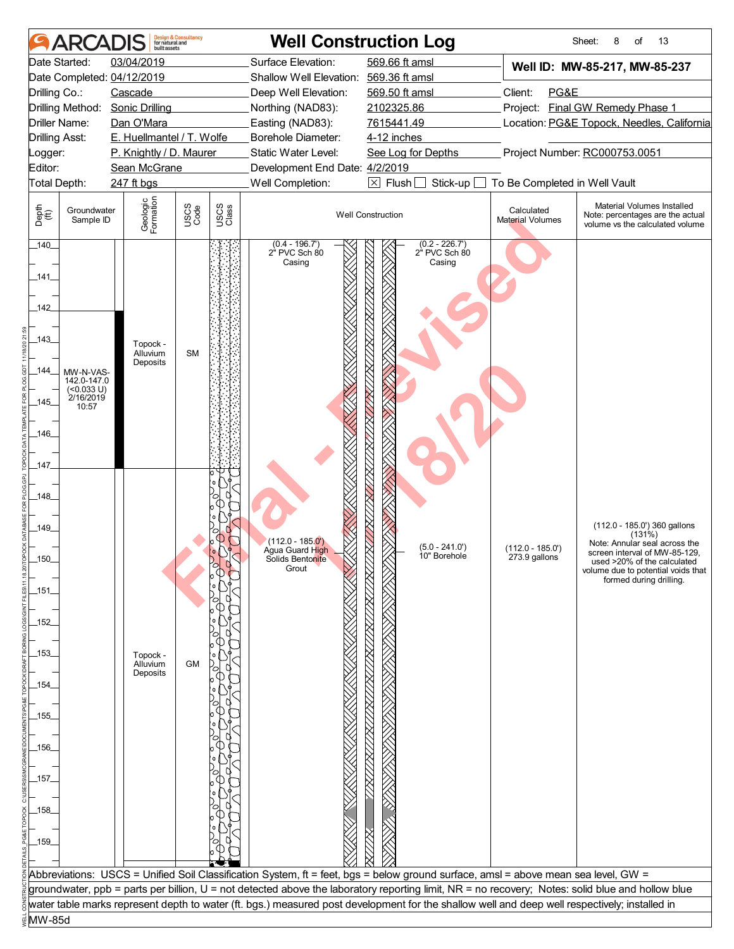|                                                                | <b>ARCADIS</b>                                                  | huilt assets                     | <b>Design &amp; Consultancy</b><br>for natural and |               |                                                                               | <b>Well Construction Log</b>                                                                                                                     |                                     | Sheet:<br>8<br>of<br>13                                                                                                                                                                                     |
|----------------------------------------------------------------|-----------------------------------------------------------------|----------------------------------|----------------------------------------------------|---------------|-------------------------------------------------------------------------------|--------------------------------------------------------------------------------------------------------------------------------------------------|-------------------------------------|-------------------------------------------------------------------------------------------------------------------------------------------------------------------------------------------------------------|
|                                                                | Date Started:                                                   | 03/04/2019                       |                                                    |               | Surface Elevation:                                                            | 569.66 ft amsl                                                                                                                                   |                                     | Well ID: MW-85-217, MW-85-237                                                                                                                                                                               |
|                                                                |                                                                 | Date Completed: 04/12/2019       |                                                    |               | Shallow Well Elevation: 569.36 ft amsl                                        |                                                                                                                                                  |                                     |                                                                                                                                                                                                             |
| Drilling Co.:                                                  |                                                                 | Cascade                          |                                                    |               | Deep Well Elevation:                                                          | 569.50 ft amsl                                                                                                                                   | Client:<br>PG&E                     |                                                                                                                                                                                                             |
|                                                                | Drilling Method:                                                | <b>Sonic Drilling</b>            |                                                    |               | Northing (NAD83):                                                             | 2102325.86                                                                                                                                       |                                     | Project: Final GW Remedy Phase 1                                                                                                                                                                            |
| Driller Name:                                                  |                                                                 | Dan O'Mara                       |                                                    |               | Easting (NAD83):                                                              | 7615441.49                                                                                                                                       |                                     | Location: PG&E Topock, Needles, California                                                                                                                                                                  |
| <b>Drilling Asst:</b>                                          |                                                                 | E. Huellmantel / T. Wolfe        |                                                    |               | Borehole Diameter:                                                            | 4-12 inches                                                                                                                                      |                                     |                                                                                                                                                                                                             |
| _ogger:                                                        |                                                                 | P. Knightly / D. Maurer          |                                                    |               | Static Water Level:                                                           | See Log for Depths                                                                                                                               |                                     | Project Number: RC000753.0051                                                                                                                                                                               |
| Editor:                                                        |                                                                 | Sean McGrane                     |                                                    |               | Development End Date: 4/2/2019                                                |                                                                                                                                                  |                                     |                                                                                                                                                                                                             |
| Total Depth:                                                   |                                                                 | 247 ft bgs                       |                                                    |               | Well Completion:                                                              | $\boxtimes$ Flush<br>Stick-up                                                                                                                    | To Be Completed in Well Vault       |                                                                                                                                                                                                             |
| Depth<br>(ff)                                                  | Groundwater<br>Sample ID                                        | Geologic<br>Formation            | USCS<br>Code                                       | USCS<br>Class |                                                                               | <b>Well Construction</b>                                                                                                                         | Calculated<br>Material Volumes      | Material Volumes Installed<br>Note: percentages are the actual<br>volume vs the calculated volume                                                                                                           |
| 140<br>_141_<br>142<br>$-143$<br>_144_<br>145<br>$-146$<br>147 | MW-N-VAS-<br>142.0-147.0<br>$($ <0.033 U)<br>2/16/2019<br>10:57 | Topock -<br>Alluvium<br>Deposits | <b>SM</b>                                          |               | $(0.4 - 196.7)$<br>2 <sup>"</sup> PVC Sch 80<br>Casing                        | $(0.2 - 226.7)$<br>2" PVC Sch 80<br>Casing                                                                                                       |                                     |                                                                                                                                                                                                             |
| $-148$<br>$-149$<br>$-150$<br>_151_<br>_152_<br>_153_          |                                                                 | Topock -<br>Alluvium             | <b>GM</b>                                          |               | (112.0 - 185.0 <sup>'</sup> )<br>Agua Guard High<br>Solids Bentonite<br>Grout | $(5.0 - 241.0')$<br>10" Borehole                                                                                                                 | $(112.0 - 185.0')$<br>273.9 gallons | (112.0 - 185.0') 360 gallons<br>$(131\%)$<br>Note: Annular seal across the<br>screen interval of MW-85-129,<br>used >20% of the calculated<br>volume due to potential voids that<br>formed during drilling. |
|                                                                |                                                                 | Deposits                         |                                                    |               |                                                                               |                                                                                                                                                  |                                     |                                                                                                                                                                                                             |
| _154_                                                          |                                                                 |                                  |                                                    |               |                                                                               |                                                                                                                                                  |                                     |                                                                                                                                                                                                             |
|                                                                |                                                                 |                                  |                                                    |               |                                                                               |                                                                                                                                                  |                                     |                                                                                                                                                                                                             |
| _155_                                                          |                                                                 |                                  |                                                    |               |                                                                               |                                                                                                                                                  |                                     |                                                                                                                                                                                                             |
|                                                                |                                                                 |                                  |                                                    |               |                                                                               |                                                                                                                                                  |                                     |                                                                                                                                                                                                             |
| _156_                                                          |                                                                 |                                  |                                                    |               |                                                                               |                                                                                                                                                  |                                     |                                                                                                                                                                                                             |
|                                                                |                                                                 |                                  |                                                    |               |                                                                               |                                                                                                                                                  |                                     |                                                                                                                                                                                                             |
| _157_                                                          |                                                                 |                                  |                                                    |               |                                                                               |                                                                                                                                                  |                                     |                                                                                                                                                                                                             |
|                                                                |                                                                 |                                  |                                                    |               |                                                                               |                                                                                                                                                  |                                     |                                                                                                                                                                                                             |
| _158_                                                          |                                                                 |                                  |                                                    |               |                                                                               |                                                                                                                                                  |                                     |                                                                                                                                                                                                             |
|                                                                |                                                                 |                                  |                                                    |               |                                                                               |                                                                                                                                                  |                                     |                                                                                                                                                                                                             |
|                                                                |                                                                 |                                  |                                                    |               |                                                                               |                                                                                                                                                  |                                     |                                                                                                                                                                                                             |
| $-159$                                                         |                                                                 |                                  |                                                    |               |                                                                               |                                                                                                                                                  |                                     |                                                                                                                                                                                                             |
|                                                                |                                                                 |                                  |                                                    |               |                                                                               |                                                                                                                                                  |                                     |                                                                                                                                                                                                             |
|                                                                |                                                                 |                                  |                                                    |               |                                                                               | Abbreviations: USCS = Unified Soil Classification System, ft = feet, bgs = below ground surface, amsl = above mean sea level, GW =               |                                     |                                                                                                                                                                                                             |
|                                                                |                                                                 |                                  |                                                    |               |                                                                               | groundwater, ppb = parts per billion, U = not detected above the laboratory reporting limit, NR = no recovery; Notes: solid blue and hollow blue |                                     |                                                                                                                                                                                                             |
|                                                                |                                                                 |                                  |                                                    |               |                                                                               | water table marks represent depth to water (ft. bgs.) measured post development for the shallow well and deep well respectively; installed in    |                                     |                                                                                                                                                                                                             |
| MW-85d                                                         |                                                                 |                                  |                                                    |               |                                                                               |                                                                                                                                                  |                                     |                                                                                                                                                                                                             |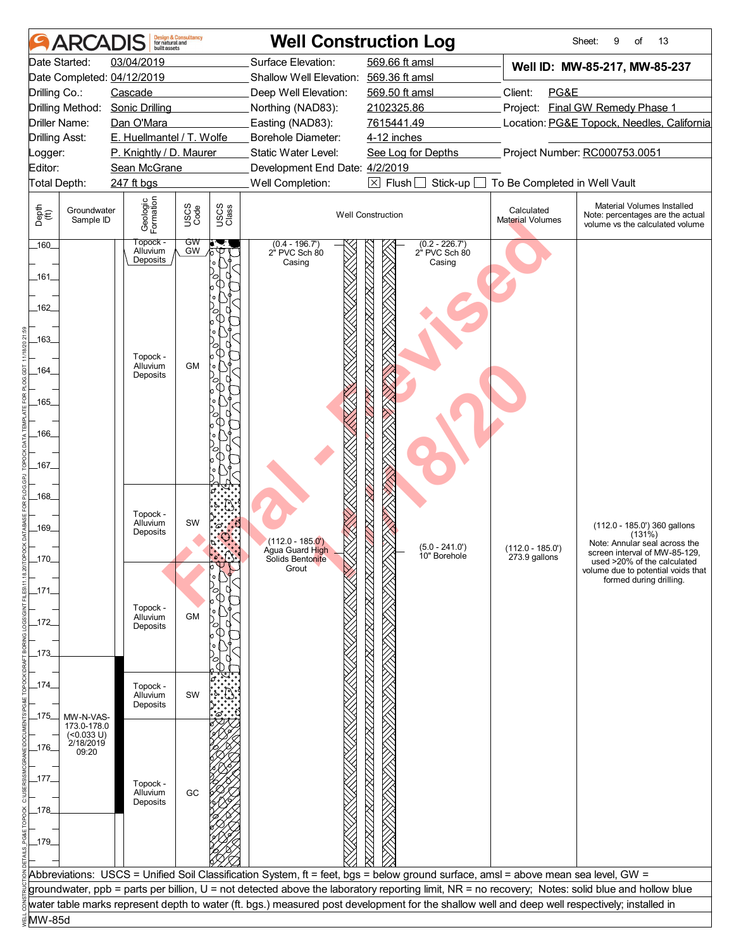|                       | <b>ARCADIS</b>            | built assets                            | <b>Design &amp; Consultancy</b><br>for natural and |               |                                                       | <b>Well Construction Log</b>                                                                                                                     |                                       | Sheet:<br>9<br>of<br>13                                                                           |
|-----------------------|---------------------------|-----------------------------------------|----------------------------------------------------|---------------|-------------------------------------------------------|--------------------------------------------------------------------------------------------------------------------------------------------------|---------------------------------------|---------------------------------------------------------------------------------------------------|
|                       | Date Started:             | 03/04/2019                              |                                                    |               | Surface Elevation:                                    | 569.66 ft amsl                                                                                                                                   |                                       | Well ID: MW-85-217, MW-85-237                                                                     |
|                       |                           | Date Completed: 04/12/2019              |                                                    |               | Shallow Well Elevation: 569.36 ft amsl                |                                                                                                                                                  |                                       |                                                                                                   |
| Drilling Co.:         |                           | Cascade                                 |                                                    |               | Deep Well Elevation:                                  | 569.50 ft amsl                                                                                                                                   | Client:<br>PG&E                       |                                                                                                   |
|                       | Drilling Method:          | <b>Sonic Drilling</b>                   |                                                    |               | Northing (NAD83):                                     | 2102325.86                                                                                                                                       |                                       | Project: Final GW Remedy Phase 1                                                                  |
| Driller Name:         |                           | Dan O'Mara                              |                                                    |               | Easting (NAD83):                                      | 7615441.49                                                                                                                                       |                                       | Location: PG&E Topock, Needles, California                                                        |
| <b>Drilling Asst:</b> |                           | E. Huellmantel / T. Wolfe               |                                                    |               | Borehole Diameter:                                    | 4-12 inches                                                                                                                                      |                                       |                                                                                                   |
| Logger:<br>Editor:    |                           | P. Knightly / D. Maurer<br>Sean McGrane |                                                    |               | Static Water Level:<br>Development End Date: 4/2/2019 | See Log for Depths                                                                                                                               | Project Number: RC000753.0051         |                                                                                                   |
| Total Depth:          |                           | 247 ft bgs                              |                                                    |               | Well Completion:                                      | $\boxtimes$ Flush [<br>Stick-up                                                                                                                  | To Be Completed in Well Vault         |                                                                                                   |
|                       |                           |                                         |                                                    |               |                                                       |                                                                                                                                                  |                                       |                                                                                                   |
| Depth<br>(ff)         | Groundwater<br>Sample ID  | Geologic<br>Formation                   | USCS<br>Code                                       | USCS<br>Class | <b>Well Construction</b>                              |                                                                                                                                                  | Calculated<br><b>Material Volumes</b> | Material Volumes Installed<br>Note: percentages are the actual<br>volume vs the calculated volume |
| $160 -$               |                           | Тороск -<br>Alluvium<br>Deposits        | GW<br>GW                                           |               | $(0.4 - 196.7)$<br>2" PVC Sch 80<br>Casing            | $(0.2 - 226.7')$<br>2" PVC Sch 80<br>Casing                                                                                                      |                                       |                                                                                                   |
| _161_                 |                           |                                         |                                                    |               |                                                       |                                                                                                                                                  |                                       |                                                                                                   |
| $-162$                |                           |                                         |                                                    |               |                                                       |                                                                                                                                                  |                                       |                                                                                                   |
| $163$ <sub>-</sub>    |                           | Topock -                                |                                                    |               |                                                       |                                                                                                                                                  |                                       |                                                                                                   |
| 164                   |                           | Alluvium<br>Deposits                    | <b>GM</b>                                          |               |                                                       |                                                                                                                                                  |                                       |                                                                                                   |
| $-165$                |                           |                                         |                                                    |               |                                                       |                                                                                                                                                  |                                       |                                                                                                   |
|                       |                           |                                         |                                                    |               |                                                       |                                                                                                                                                  |                                       |                                                                                                   |
| $-166$                |                           |                                         |                                                    |               |                                                       |                                                                                                                                                  |                                       |                                                                                                   |
|                       |                           |                                         |                                                    |               |                                                       |                                                                                                                                                  |                                       |                                                                                                   |
| _167_                 |                           |                                         |                                                    |               |                                                       |                                                                                                                                                  |                                       |                                                                                                   |
|                       |                           |                                         |                                                    |               |                                                       |                                                                                                                                                  |                                       |                                                                                                   |
| _168_                 |                           |                                         |                                                    |               |                                                       |                                                                                                                                                  |                                       |                                                                                                   |
|                       |                           | Topock -                                |                                                    |               |                                                       |                                                                                                                                                  |                                       |                                                                                                   |
| $-169$                |                           | Alluvium<br>Deposits                    | SW                                                 |               |                                                       |                                                                                                                                                  |                                       | (112.0 - 185.0') 360 gallons<br>(131%)                                                            |
|                       |                           |                                         |                                                    |               | (112.0 - 185.0 <sup>'</sup> )<br>Agua Guard High      | $(5.0 - 241.0')$<br>10" Borehole                                                                                                                 | $(112.0 - 185.0')$                    | Note: Annular seal across the<br>screen interval of MW-85-129,                                    |
| 170                   |                           |                                         |                                                    |               | Solids Bentonite<br>Grout                             |                                                                                                                                                  | 273.9 gallons                         | used >20% of the calculated<br>volume due to potential voids that                                 |
|                       |                           |                                         |                                                    |               |                                                       |                                                                                                                                                  |                                       | formed during drilling.                                                                           |
| _171_                 |                           |                                         |                                                    |               |                                                       |                                                                                                                                                  |                                       |                                                                                                   |
| _172                  |                           | Topock -<br>Alluvium                    | <b>GM</b>                                          |               |                                                       |                                                                                                                                                  |                                       |                                                                                                   |
|                       |                           | Deposits                                |                                                    |               |                                                       |                                                                                                                                                  |                                       |                                                                                                   |
| _173_                 |                           |                                         |                                                    |               |                                                       |                                                                                                                                                  |                                       |                                                                                                   |
|                       |                           |                                         |                                                    |               |                                                       |                                                                                                                                                  |                                       |                                                                                                   |
| _174_                 |                           | Topock -                                |                                                    |               |                                                       |                                                                                                                                                  |                                       |                                                                                                   |
|                       |                           | Alluvium<br>Deposits                    | SW                                                 |               |                                                       |                                                                                                                                                  |                                       |                                                                                                   |
| _175_                 | MW-N-VAS-                 |                                         |                                                    |               |                                                       |                                                                                                                                                  |                                       |                                                                                                   |
|                       | 173.0-178.0<br>(<0.033 U) |                                         |                                                    |               |                                                       |                                                                                                                                                  |                                       |                                                                                                   |
| _176_                 | 2/18/2019<br>09:20        |                                         |                                                    |               |                                                       |                                                                                                                                                  |                                       |                                                                                                   |
|                       |                           |                                         |                                                    |               |                                                       |                                                                                                                                                  |                                       |                                                                                                   |
| _177_                 |                           | Topock -                                |                                                    |               |                                                       |                                                                                                                                                  |                                       |                                                                                                   |
|                       |                           | Alluvium<br>Deposits                    | GC                                                 |               |                                                       |                                                                                                                                                  |                                       |                                                                                                   |
| _178_                 |                           |                                         |                                                    |               |                                                       |                                                                                                                                                  |                                       |                                                                                                   |
|                       |                           |                                         |                                                    |               |                                                       |                                                                                                                                                  |                                       |                                                                                                   |
| $-179$                |                           |                                         |                                                    |               |                                                       |                                                                                                                                                  |                                       |                                                                                                   |
|                       |                           |                                         |                                                    |               |                                                       |                                                                                                                                                  |                                       |                                                                                                   |
|                       |                           |                                         |                                                    |               |                                                       | Abbreviations: USCS = Unified Soil Classification System, ft = feet, bgs = below ground surface, amsl = above mean sea level, GW =               |                                       |                                                                                                   |
|                       |                           |                                         |                                                    |               |                                                       | groundwater, ppb = parts per billion, U = not detected above the laboratory reporting limit, NR = no recovery; Notes: solid blue and hollow blue |                                       |                                                                                                   |
|                       |                           |                                         |                                                    |               |                                                       | water table marks represent depth to water (ft. bgs.) measured post development for the shallow well and deep well respectively; installed in    |                                       |                                                                                                   |
| MW-85d                |                           |                                         |                                                    |               |                                                       |                                                                                                                                                  |                                       |                                                                                                   |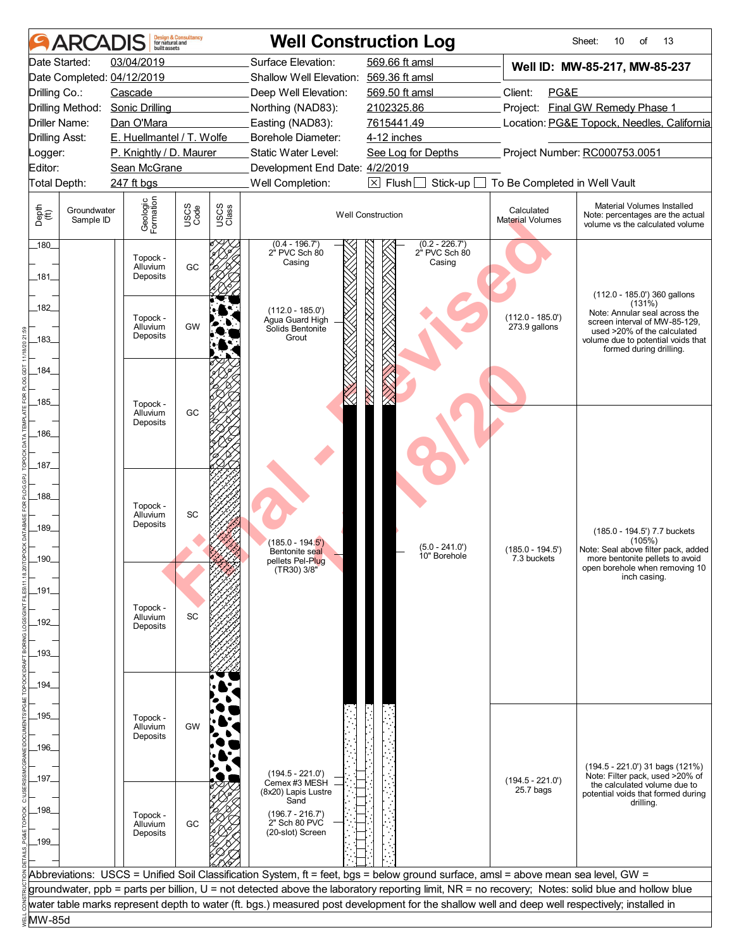|                                         | <b>ARCADIS</b>           | built assets                     | <b>Design &amp; Consultancy</b><br>for natural and |               |                                                                    | <b>Well Construction Log</b>                                                                                                                     |                                            | Sheet:<br>13<br>10<br>of                                                                                                                                                                                 |
|-----------------------------------------|--------------------------|----------------------------------|----------------------------------------------------|---------------|--------------------------------------------------------------------|--------------------------------------------------------------------------------------------------------------------------------------------------|--------------------------------------------|----------------------------------------------------------------------------------------------------------------------------------------------------------------------------------------------------------|
|                                         | Date Started:            | 03/04/2019                       |                                                    |               | Surface Elevation:                                                 | 569.66 ft amsl                                                                                                                                   |                                            | Well ID: MW-85-217, MW-85-237                                                                                                                                                                            |
|                                         |                          | Date Completed: 04/12/2019       |                                                    |               | Shallow Well Elevation: 569.36 ft amsl                             |                                                                                                                                                  |                                            |                                                                                                                                                                                                          |
| Drilling Co.:                           |                          | Cascade                          |                                                    |               | Deep Well Elevation:                                               | 569.50 ft amsl                                                                                                                                   | Client:<br>PG&E                            |                                                                                                                                                                                                          |
|                                         | Drilling Method:         | <b>Sonic Drilling</b>            |                                                    |               | Northing (NAD83):                                                  | 2102325.86                                                                                                                                       |                                            | Project: Final GW Remedy Phase 1                                                                                                                                                                         |
| <b>Driller Name:</b>                    |                          | Dan O'Mara                       |                                                    |               | Easting (NAD83):                                                   | 7615441.49                                                                                                                                       | Location: PG&E Topock, Needles, California |                                                                                                                                                                                                          |
| Drilling Asst:                          |                          | E. Huellmantel / T. Wolfe        |                                                    |               | Borehole Diameter:                                                 | 4-12 inches                                                                                                                                      |                                            |                                                                                                                                                                                                          |
| _ogger:                                 |                          | P. Knightly / D. Maurer          |                                                    |               | Static Water Level:                                                | See Log for Depths                                                                                                                               |                                            | Project Number: RC000753.0051                                                                                                                                                                            |
| Editor:                                 |                          | Sean McGrane                     |                                                    |               | Development End Date: 4/2/2019                                     |                                                                                                                                                  |                                            |                                                                                                                                                                                                          |
| Total Depth:                            |                          | 247 ft bgs                       |                                                    |               | Well Completion:                                                   | $\boxtimes$ Flush [<br>Stick-up $\Box$                                                                                                           | To Be Completed in Well Vault              |                                                                                                                                                                                                          |
| Depth<br>$\widetilde{f}(\widetilde{f})$ | Groundwater<br>Sample ID | Geologic<br>Formation            | USCS<br>Code                                       | USCS<br>Class | <b>Well Construction</b>                                           |                                                                                                                                                  | Calculated<br><b>Material Volumes</b>      | Material Volumes Installed<br>Note: percentages are the actual<br>volume vs the calculated volume                                                                                                        |
| $180 -$<br>_181_                        |                          | Topock -<br>Alluvium<br>Deposits | GC                                                 |               | $(0.4 - 196.7')$<br>2" PVC Sch 80<br>Casing                        | $(0.2 - 226.7)$<br>2" PVC Sch 80<br>Casing                                                                                                       |                                            |                                                                                                                                                                                                          |
| 182<br>$-183$                           |                          | Topock -<br>Alluvium<br>Deposits | <b>GW</b>                                          |               | $(112.0 - 185.0')$<br>Agua Guard High<br>Solids Bentonite<br>Grout |                                                                                                                                                  | $(112.0 - 185.0')$<br>273.9 gallons        | (112.0 - 185.0') 360 gallons<br>(131%)<br>Note: Annular seal across the<br>screen interval of MW-85-129,<br>used >20% of the calculated<br>volume due to potential voids that<br>formed during drilling. |
| 184                                     |                          |                                  |                                                    |               |                                                                    |                                                                                                                                                  |                                            |                                                                                                                                                                                                          |
|                                         |                          |                                  |                                                    |               |                                                                    |                                                                                                                                                  |                                            |                                                                                                                                                                                                          |
| _185_                                   |                          | Topock -                         |                                                    |               |                                                                    |                                                                                                                                                  |                                            |                                                                                                                                                                                                          |
|                                         |                          | Alluvium<br>Deposits             | GC                                                 |               |                                                                    |                                                                                                                                                  |                                            |                                                                                                                                                                                                          |
| $-186$                                  |                          |                                  |                                                    |               |                                                                    |                                                                                                                                                  |                                            |                                                                                                                                                                                                          |
|                                         |                          |                                  |                                                    |               |                                                                    |                                                                                                                                                  |                                            |                                                                                                                                                                                                          |
| $\_187\_$                               |                          |                                  |                                                    |               |                                                                    |                                                                                                                                                  |                                            |                                                                                                                                                                                                          |
|                                         |                          |                                  |                                                    |               |                                                                    |                                                                                                                                                  |                                            |                                                                                                                                                                                                          |
| 188                                     |                          |                                  |                                                    |               |                                                                    |                                                                                                                                                  |                                            |                                                                                                                                                                                                          |
|                                         |                          | Topock -<br>Alluvium             | SC                                                 |               |                                                                    |                                                                                                                                                  |                                            |                                                                                                                                                                                                          |
| 189                                     |                          | Deposits                         |                                                    |               |                                                                    |                                                                                                                                                  |                                            |                                                                                                                                                                                                          |
|                                         |                          |                                  |                                                    |               | (185.0 - 194. <mark>5')</mark>                                     |                                                                                                                                                  |                                            | (185.0 - 194.5') 7.7 buckets<br>(105%)                                                                                                                                                                   |
| 190                                     |                          |                                  |                                                    |               | Bentonite seal                                                     | $(5.0 - 241.0')$<br>10" Borehole                                                                                                                 | $(185.0 - 194.5')$<br>7.3 buckets          | Note: Seal above filter pack, added<br>more bentonite pellets to avoid                                                                                                                                   |
|                                         |                          |                                  |                                                    |               | pellets Pel-Plug<br>(TR30) 3/8"                                    |                                                                                                                                                  |                                            | open borehole when removing 10                                                                                                                                                                           |
|                                         |                          |                                  |                                                    |               |                                                                    |                                                                                                                                                  |                                            | inch casing.                                                                                                                                                                                             |
| _191_                                   |                          |                                  |                                                    |               |                                                                    |                                                                                                                                                  |                                            |                                                                                                                                                                                                          |
| _192_                                   |                          | Topock -<br>Alluvium<br>Deposits | SC                                                 |               |                                                                    |                                                                                                                                                  |                                            |                                                                                                                                                                                                          |
| _193_                                   |                          |                                  |                                                    |               |                                                                    |                                                                                                                                                  |                                            |                                                                                                                                                                                                          |
|                                         |                          |                                  |                                                    |               |                                                                    |                                                                                                                                                  |                                            |                                                                                                                                                                                                          |
| 194                                     |                          |                                  |                                                    |               |                                                                    |                                                                                                                                                  |                                            |                                                                                                                                                                                                          |
|                                         |                          |                                  |                                                    |               |                                                                    |                                                                                                                                                  |                                            |                                                                                                                                                                                                          |
|                                         |                          |                                  |                                                    |               |                                                                    |                                                                                                                                                  |                                            |                                                                                                                                                                                                          |
| _195_                                   |                          | Topock -<br>Alluvium             | GW                                                 |               |                                                                    |                                                                                                                                                  |                                            |                                                                                                                                                                                                          |
|                                         |                          | Deposits                         |                                                    |               |                                                                    |                                                                                                                                                  |                                            |                                                                                                                                                                                                          |
| _196_                                   |                          |                                  |                                                    |               |                                                                    |                                                                                                                                                  |                                            |                                                                                                                                                                                                          |
|                                         |                          |                                  |                                                    |               | $(194.5 - 221.0')$                                                 |                                                                                                                                                  |                                            | (194.5 - 221.0') 31 bags (121%)<br>Note: Filter pack, used >20% of                                                                                                                                       |
| _197_                                   |                          |                                  |                                                    |               | Cemex #3 MESH                                                      |                                                                                                                                                  | $(194.5 - 221.0')$<br>25.7 bags            | the calculated volume due to                                                                                                                                                                             |
|                                         |                          |                                  |                                                    |               | (8x20) Lapis Lustre<br>Sand                                        |                                                                                                                                                  |                                            | potential voids that formed during<br>drilling.                                                                                                                                                          |
| _198_                                   |                          | Topock -                         |                                                    |               | $(196.7 - 216.7')$                                                 |                                                                                                                                                  |                                            |                                                                                                                                                                                                          |
|                                         |                          | Alluvium<br>Deposits             | GC                                                 |               | 2" Sch 80 PVC<br>(20-slot) Screen                                  |                                                                                                                                                  |                                            |                                                                                                                                                                                                          |
| _199_                                   |                          |                                  |                                                    |               |                                                                    |                                                                                                                                                  |                                            |                                                                                                                                                                                                          |
|                                         |                          |                                  |                                                    |               |                                                                    |                                                                                                                                                  |                                            |                                                                                                                                                                                                          |
|                                         |                          |                                  |                                                    |               |                                                                    | Abbreviations: USCS = Unified Soil Classification System, ft = feet, bgs = below ground surface, amsl = above mean sea level, GW =               |                                            |                                                                                                                                                                                                          |
|                                         |                          |                                  |                                                    |               |                                                                    | groundwater, ppb = parts per billion, U = not detected above the laboratory reporting limit, NR = no recovery; Notes: solid blue and hollow blue |                                            |                                                                                                                                                                                                          |
|                                         |                          |                                  |                                                    |               |                                                                    | water table marks represent depth to water (ft. bgs.) measured post development for the shallow well and deep well respectively; installed in    |                                            |                                                                                                                                                                                                          |
| MW-85d                                  |                          |                                  |                                                    |               |                                                                    |                                                                                                                                                  |                                            |                                                                                                                                                                                                          |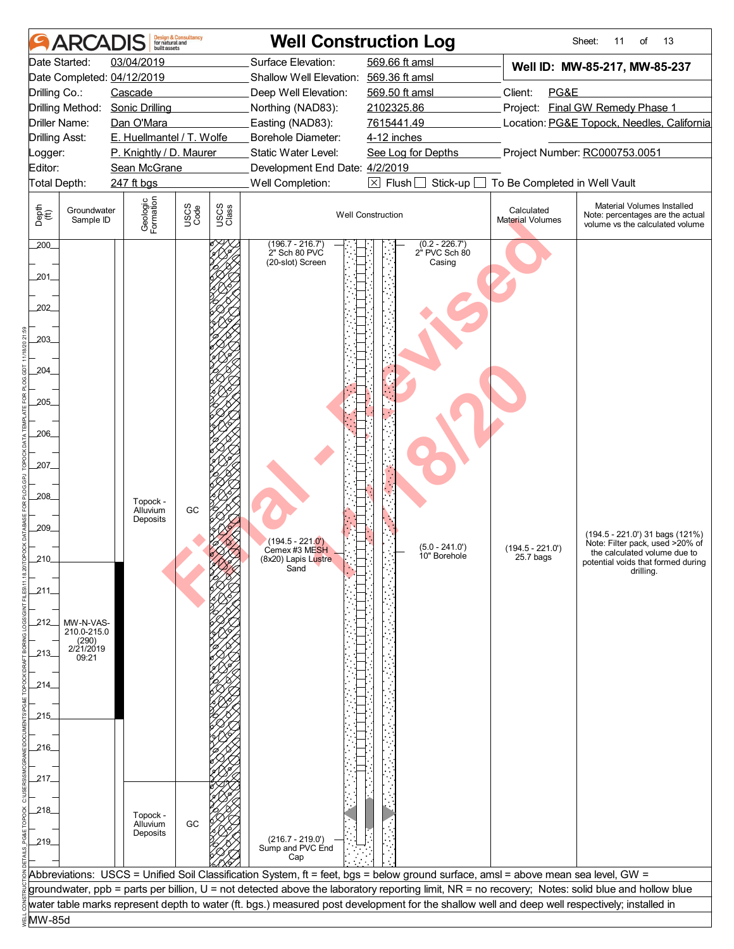|                           | <b>ARCADIS</b>                |                            | <b>Design &amp; Consultancy</b><br>for natural and |               |                                                        | <b>Well Construction Log</b>                                                                                                                     |                                | Sheet:<br>11<br>of<br>13                                                                          |  |
|---------------------------|-------------------------------|----------------------------|----------------------------------------------------|---------------|--------------------------------------------------------|--------------------------------------------------------------------------------------------------------------------------------------------------|--------------------------------|---------------------------------------------------------------------------------------------------|--|
|                           | Date Started:                 | 03/04/2019                 |                                                    |               | Surface Elevation:                                     | 569.66 ft amsl                                                                                                                                   |                                | Well ID: MW-85-217, MW-85-237                                                                     |  |
|                           |                               | Date Completed: 04/12/2019 |                                                    |               | Shallow Well Elevation: 569.36 ft amsl                 |                                                                                                                                                  |                                |                                                                                                   |  |
| Drilling Co.:             |                               | Cascade                    |                                                    |               | Deep Well Elevation:                                   | 569.50 ft amsl                                                                                                                                   | Client:<br>PG&E                |                                                                                                   |  |
|                           | Drilling Method:              | <b>Sonic Drilling</b>      |                                                    |               | Northing (NAD83):                                      | 2102325.86                                                                                                                                       |                                | Project: Final GW Remedy Phase 1                                                                  |  |
|                           | Driller Name:                 | Dan O'Mara                 |                                                    |               | Easting (NAD83):                                       | 7615441.49                                                                                                                                       |                                | Location: PG&E Topock, Needles, California                                                        |  |
| <b>Drilling Asst:</b>     |                               | E. Huellmantel / T. Wolfe  |                                                    |               | Borehole Diameter:                                     | 4-12 inches                                                                                                                                      |                                |                                                                                                   |  |
| _ogger:                   |                               | P. Knightly / D. Maurer    |                                                    |               | Static Water Level:                                    | See Log for Depths                                                                                                                               |                                | Project Number: RC000753.0051                                                                     |  |
| Editor:                   |                               | Sean McGrane               |                                                    |               | Development End Date: 4/2/2019                         |                                                                                                                                                  |                                |                                                                                                   |  |
| Total Depth:              |                               | 247 ft bgs                 |                                                    |               | Well Completion:                                       | $\boxtimes$ Flush<br>Stick-up                                                                                                                    | To Be Completed in Well Vault  |                                                                                                   |  |
| Depth<br>(ff)             | Groundwater<br>Sample ID      | Geologic<br>Formation      | USCS<br>Code                                       | USCS<br>Class | <b>Well Construction</b>                               |                                                                                                                                                  | Calculated<br>Material Volumes | Material Volumes Installed<br>Note: percentages are the actual<br>volume vs the calculated volume |  |
| 200                       |                               |                            |                                                    |               | $(196.7 - 216.7)$<br>2" Sch 80 PVC<br>(20-slot) Screen | $(0.2 - 226.7')$<br>2" PVC Sch 80<br>Casing                                                                                                      |                                |                                                                                                   |  |
| $201$ <sub>-</sub>        |                               |                            |                                                    |               |                                                        |                                                                                                                                                  |                                |                                                                                                   |  |
| 202                       |                               |                            |                                                    |               |                                                        |                                                                                                                                                  |                                |                                                                                                   |  |
| $203$ <sub>-</sub><br>204 |                               |                            |                                                    |               |                                                        |                                                                                                                                                  |                                |                                                                                                   |  |
|                           |                               |                            |                                                    |               |                                                        |                                                                                                                                                  |                                |                                                                                                   |  |
| 205                       |                               |                            |                                                    |               |                                                        |                                                                                                                                                  |                                |                                                                                                   |  |
|                           |                               |                            |                                                    |               |                                                        |                                                                                                                                                  |                                |                                                                                                   |  |
| 206_                      |                               |                            |                                                    |               |                                                        |                                                                                                                                                  |                                |                                                                                                   |  |
|                           |                               |                            |                                                    |               |                                                        |                                                                                                                                                  |                                |                                                                                                   |  |
| 207_                      |                               |                            |                                                    |               |                                                        |                                                                                                                                                  |                                |                                                                                                   |  |
|                           |                               |                            |                                                    |               |                                                        |                                                                                                                                                  |                                |                                                                                                   |  |
| .208                      |                               | Topock -                   |                                                    |               |                                                        |                                                                                                                                                  |                                |                                                                                                   |  |
|                           |                               | Alluvium                   | GC                                                 |               |                                                        |                                                                                                                                                  |                                |                                                                                                   |  |
| 209_                      |                               | Deposits                   |                                                    |               |                                                        |                                                                                                                                                  |                                |                                                                                                   |  |
|                           |                               |                            |                                                    |               | $(194.5 - 221.0')$                                     | $(5.0 - 241.0')$                                                                                                                                 | $(194.5 - 221.0')$             | (194.5 - 221.0') 31 bags (121%)<br>Note: Filter pack, used >20% of                                |  |
| 210                       |                               |                            |                                                    |               | Cemex #3 ME <mark>SH</mark><br>(8x20) Lapis Lustre     | 10" Borehole                                                                                                                                     | 25.7 bags                      | the calculated volume due to<br>potential voids that formed during                                |  |
|                           |                               |                            |                                                    |               | Sand                                                   |                                                                                                                                                  |                                | drilling.                                                                                         |  |
| _211.                     |                               |                            |                                                    |               |                                                        |                                                                                                                                                  |                                |                                                                                                   |  |
|                           |                               |                            |                                                    |               |                                                        |                                                                                                                                                  |                                |                                                                                                   |  |
| 212                       | MW-N-VAS-                     |                            |                                                    |               |                                                        |                                                                                                                                                  |                                |                                                                                                   |  |
|                           | 210.0-215.0                   |                            |                                                    |               |                                                        |                                                                                                                                                  |                                |                                                                                                   |  |
| _213_                     | $(290)$<br>2/21/2019<br>09:21 |                            |                                                    |               |                                                        |                                                                                                                                                  |                                |                                                                                                   |  |
|                           |                               |                            |                                                    |               |                                                        |                                                                                                                                                  |                                |                                                                                                   |  |
| 214_                      |                               |                            |                                                    |               |                                                        |                                                                                                                                                  |                                |                                                                                                   |  |
|                           |                               |                            |                                                    |               |                                                        |                                                                                                                                                  |                                |                                                                                                   |  |
| 215                       |                               |                            |                                                    |               |                                                        |                                                                                                                                                  |                                |                                                                                                   |  |
|                           |                               |                            |                                                    |               |                                                        |                                                                                                                                                  |                                |                                                                                                   |  |
| _216_                     |                               |                            |                                                    |               |                                                        |                                                                                                                                                  |                                |                                                                                                   |  |
|                           |                               |                            |                                                    |               |                                                        |                                                                                                                                                  |                                |                                                                                                   |  |
| 217_                      |                               |                            |                                                    |               |                                                        |                                                                                                                                                  |                                |                                                                                                   |  |
|                           |                               |                            |                                                    |               |                                                        |                                                                                                                                                  |                                |                                                                                                   |  |
| _218_                     |                               | Topock -                   |                                                    |               |                                                        |                                                                                                                                                  |                                |                                                                                                   |  |
|                           |                               | Alluvium                   | GC                                                 |               |                                                        |                                                                                                                                                  |                                |                                                                                                   |  |
| 219                       |                               | Deposits                   |                                                    |               | $(216.7 - 219.0')$                                     |                                                                                                                                                  |                                |                                                                                                   |  |
|                           |                               |                            |                                                    |               | Sump and PVC End<br>Cap                                |                                                                                                                                                  |                                |                                                                                                   |  |
|                           |                               |                            |                                                    |               |                                                        | Abbreviations: USCS = Unified Soil Classification System, ft = feet, bgs = below ground surface, amsl = above mean sea level, GW =               |                                |                                                                                                   |  |
|                           |                               |                            |                                                    |               |                                                        | groundwater, ppb = parts per billion, U = not detected above the laboratory reporting limit, NR = no recovery; Notes: solid blue and hollow blue |                                |                                                                                                   |  |
|                           |                               |                            |                                                    |               |                                                        | water table marks represent depth to water (ft. bgs.) measured post development for the shallow well and deep well respectively; installed in    |                                |                                                                                                   |  |
| MW-85d                    |                               |                            |                                                    |               |                                                        |                                                                                                                                                  |                                |                                                                                                   |  |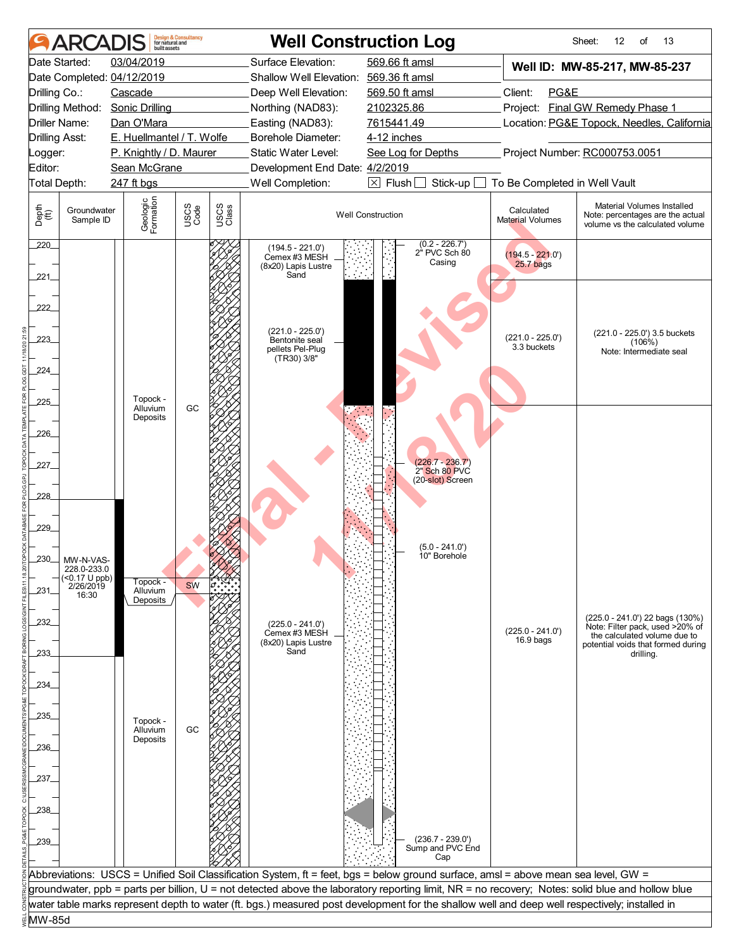| 03/04/2019<br>Surface Elevation:<br>569.66 ft amsl<br>Date Started:<br>Well ID: MW-85-217, MW-85-237<br>Date Completed: 04/12/2019<br>Shallow Well Elevation: 569.36 ft amsl<br>Client:<br>PG&E<br>Drilling Co.:<br>Cascade<br>Deep Well Elevation:<br>569.50 ft amsl<br>Project: Final GW Remedy Phase 1<br>Drilling Method:<br><b>Sonic Drilling</b><br>Northing (NAD83):<br>2102325.86<br>Dan O'Mara<br>Easting (NAD83):<br>7615441.49<br>Location: PG&E Topock, Needles, California<br>Driller Name:<br>E. Huellmantel / T. Wolfe<br>Borehole Diameter:<br>4-12 inches<br><b>Drilling Asst:</b><br>Project Number: RC000753.0051<br>P. Knightly / D. Maurer<br>Static Water Level:<br>See Log for Depths<br>_ogger:<br>Editor:<br>Sean McGrane<br>Development End Date: 4/2/2019<br>Well Completion:<br>$\boxtimes$ Flush<br>To Be Completed in Well Vault<br>Total Depth:<br>247 ft bgs<br>Stick-up<br>Geologic<br>Formation<br>Material Volumes Installed<br>USCS<br>Code<br>USCS<br>Class<br>Depth<br>(ff)<br>Groundwater<br>Calculated<br><b>Well Construction</b><br>Note: percentages are the actual<br>Sample ID<br><b>Material Volumes</b><br>volume vs the calculated volume |  |  |  |
|-------------------------------------------------------------------------------------------------------------------------------------------------------------------------------------------------------------------------------------------------------------------------------------------------------------------------------------------------------------------------------------------------------------------------------------------------------------------------------------------------------------------------------------------------------------------------------------------------------------------------------------------------------------------------------------------------------------------------------------------------------------------------------------------------------------------------------------------------------------------------------------------------------------------------------------------------------------------------------------------------------------------------------------------------------------------------------------------------------------------------------------------------------------------------------------------|--|--|--|
|                                                                                                                                                                                                                                                                                                                                                                                                                                                                                                                                                                                                                                                                                                                                                                                                                                                                                                                                                                                                                                                                                                                                                                                           |  |  |  |
|                                                                                                                                                                                                                                                                                                                                                                                                                                                                                                                                                                                                                                                                                                                                                                                                                                                                                                                                                                                                                                                                                                                                                                                           |  |  |  |
|                                                                                                                                                                                                                                                                                                                                                                                                                                                                                                                                                                                                                                                                                                                                                                                                                                                                                                                                                                                                                                                                                                                                                                                           |  |  |  |
|                                                                                                                                                                                                                                                                                                                                                                                                                                                                                                                                                                                                                                                                                                                                                                                                                                                                                                                                                                                                                                                                                                                                                                                           |  |  |  |
|                                                                                                                                                                                                                                                                                                                                                                                                                                                                                                                                                                                                                                                                                                                                                                                                                                                                                                                                                                                                                                                                                                                                                                                           |  |  |  |
|                                                                                                                                                                                                                                                                                                                                                                                                                                                                                                                                                                                                                                                                                                                                                                                                                                                                                                                                                                                                                                                                                                                                                                                           |  |  |  |
|                                                                                                                                                                                                                                                                                                                                                                                                                                                                                                                                                                                                                                                                                                                                                                                                                                                                                                                                                                                                                                                                                                                                                                                           |  |  |  |
|                                                                                                                                                                                                                                                                                                                                                                                                                                                                                                                                                                                                                                                                                                                                                                                                                                                                                                                                                                                                                                                                                                                                                                                           |  |  |  |
|                                                                                                                                                                                                                                                                                                                                                                                                                                                                                                                                                                                                                                                                                                                                                                                                                                                                                                                                                                                                                                                                                                                                                                                           |  |  |  |
|                                                                                                                                                                                                                                                                                                                                                                                                                                                                                                                                                                                                                                                                                                                                                                                                                                                                                                                                                                                                                                                                                                                                                                                           |  |  |  |
| $(0.2 - 226.7)$<br>220_<br>$(194.5 - 221.0')$<br>2" PVC Sch 80<br>$(194.5 - 221.0')$<br>Cemex #3 MESH<br>Casing<br>25.7 bags<br>(8x20) Lapis Lustre<br>Sand<br>221                                                                                                                                                                                                                                                                                                                                                                                                                                                                                                                                                                                                                                                                                                                                                                                                                                                                                                                                                                                                                        |  |  |  |
| 222                                                                                                                                                                                                                                                                                                                                                                                                                                                                                                                                                                                                                                                                                                                                                                                                                                                                                                                                                                                                                                                                                                                                                                                       |  |  |  |
| (221.0 - 225.0')<br>Bentonite seal<br>(221.0 - 225.0') 3.5 buckets<br>$(221.0 - 225.0')$<br>223<br>$(106\%)$<br>3.3 buckets<br>pellets Pel-Plug<br>Note: Intermediate seal                                                                                                                                                                                                                                                                                                                                                                                                                                                                                                                                                                                                                                                                                                                                                                                                                                                                                                                                                                                                                |  |  |  |
| (TR30) 3/8"<br>224                                                                                                                                                                                                                                                                                                                                                                                                                                                                                                                                                                                                                                                                                                                                                                                                                                                                                                                                                                                                                                                                                                                                                                        |  |  |  |
| Topock -<br>225                                                                                                                                                                                                                                                                                                                                                                                                                                                                                                                                                                                                                                                                                                                                                                                                                                                                                                                                                                                                                                                                                                                                                                           |  |  |  |
| GC<br>Alluvium<br>Deposits                                                                                                                                                                                                                                                                                                                                                                                                                                                                                                                                                                                                                                                                                                                                                                                                                                                                                                                                                                                                                                                                                                                                                                |  |  |  |
| .226                                                                                                                                                                                                                                                                                                                                                                                                                                                                                                                                                                                                                                                                                                                                                                                                                                                                                                                                                                                                                                                                                                                                                                                      |  |  |  |
|                                                                                                                                                                                                                                                                                                                                                                                                                                                                                                                                                                                                                                                                                                                                                                                                                                                                                                                                                                                                                                                                                                                                                                                           |  |  |  |
| (226.7 - 236.7')<br>2" Sch 80 PVC<br>227.                                                                                                                                                                                                                                                                                                                                                                                                                                                                                                                                                                                                                                                                                                                                                                                                                                                                                                                                                                                                                                                                                                                                                 |  |  |  |
| (20-slot) Screen                                                                                                                                                                                                                                                                                                                                                                                                                                                                                                                                                                                                                                                                                                                                                                                                                                                                                                                                                                                                                                                                                                                                                                          |  |  |  |
| 228_                                                                                                                                                                                                                                                                                                                                                                                                                                                                                                                                                                                                                                                                                                                                                                                                                                                                                                                                                                                                                                                                                                                                                                                      |  |  |  |
|                                                                                                                                                                                                                                                                                                                                                                                                                                                                                                                                                                                                                                                                                                                                                                                                                                                                                                                                                                                                                                                                                                                                                                                           |  |  |  |
| 229                                                                                                                                                                                                                                                                                                                                                                                                                                                                                                                                                                                                                                                                                                                                                                                                                                                                                                                                                                                                                                                                                                                                                                                       |  |  |  |
| $(5.0 - 241.0')$                                                                                                                                                                                                                                                                                                                                                                                                                                                                                                                                                                                                                                                                                                                                                                                                                                                                                                                                                                                                                                                                                                                                                                          |  |  |  |
| 10" Borehole<br>230<br>MW-N-VAS-                                                                                                                                                                                                                                                                                                                                                                                                                                                                                                                                                                                                                                                                                                                                                                                                                                                                                                                                                                                                                                                                                                                                                          |  |  |  |
| 228.0-233.0                                                                                                                                                                                                                                                                                                                                                                                                                                                                                                                                                                                                                                                                                                                                                                                                                                                                                                                                                                                                                                                                                                                                                                               |  |  |  |
| (<0.17 U ppb)<br>2/26/2019<br>Topock -<br><b>SW</b><br>Alluvium<br>231<br>16:30                                                                                                                                                                                                                                                                                                                                                                                                                                                                                                                                                                                                                                                                                                                                                                                                                                                                                                                                                                                                                                                                                                           |  |  |  |
| Deposits                                                                                                                                                                                                                                                                                                                                                                                                                                                                                                                                                                                                                                                                                                                                                                                                                                                                                                                                                                                                                                                                                                                                                                                  |  |  |  |
| (225.0 - 241.0') 22 bags (130%)<br>232<br>$(225.0 - 241.0')$<br>Note: Filter pack, used >20% of                                                                                                                                                                                                                                                                                                                                                                                                                                                                                                                                                                                                                                                                                                                                                                                                                                                                                                                                                                                                                                                                                           |  |  |  |
| $(225.0 - 241.0')$<br>Cemex #3 MESH<br>the calculated volume due to<br>$16.9$ bags<br>(8x20) Lapis Lustre                                                                                                                                                                                                                                                                                                                                                                                                                                                                                                                                                                                                                                                                                                                                                                                                                                                                                                                                                                                                                                                                                 |  |  |  |
| potential voids that formed during<br>Sand<br>233<br>drilling.                                                                                                                                                                                                                                                                                                                                                                                                                                                                                                                                                                                                                                                                                                                                                                                                                                                                                                                                                                                                                                                                                                                            |  |  |  |
|                                                                                                                                                                                                                                                                                                                                                                                                                                                                                                                                                                                                                                                                                                                                                                                                                                                                                                                                                                                                                                                                                                                                                                                           |  |  |  |
| 234.                                                                                                                                                                                                                                                                                                                                                                                                                                                                                                                                                                                                                                                                                                                                                                                                                                                                                                                                                                                                                                                                                                                                                                                      |  |  |  |
|                                                                                                                                                                                                                                                                                                                                                                                                                                                                                                                                                                                                                                                                                                                                                                                                                                                                                                                                                                                                                                                                                                                                                                                           |  |  |  |
| 235<br>Topock -                                                                                                                                                                                                                                                                                                                                                                                                                                                                                                                                                                                                                                                                                                                                                                                                                                                                                                                                                                                                                                                                                                                                                                           |  |  |  |
| GC<br>Alluvium                                                                                                                                                                                                                                                                                                                                                                                                                                                                                                                                                                                                                                                                                                                                                                                                                                                                                                                                                                                                                                                                                                                                                                            |  |  |  |
| Deposits<br>236                                                                                                                                                                                                                                                                                                                                                                                                                                                                                                                                                                                                                                                                                                                                                                                                                                                                                                                                                                                                                                                                                                                                                                           |  |  |  |
|                                                                                                                                                                                                                                                                                                                                                                                                                                                                                                                                                                                                                                                                                                                                                                                                                                                                                                                                                                                                                                                                                                                                                                                           |  |  |  |
| 237.                                                                                                                                                                                                                                                                                                                                                                                                                                                                                                                                                                                                                                                                                                                                                                                                                                                                                                                                                                                                                                                                                                                                                                                      |  |  |  |
|                                                                                                                                                                                                                                                                                                                                                                                                                                                                                                                                                                                                                                                                                                                                                                                                                                                                                                                                                                                                                                                                                                                                                                                           |  |  |  |
| 238                                                                                                                                                                                                                                                                                                                                                                                                                                                                                                                                                                                                                                                                                                                                                                                                                                                                                                                                                                                                                                                                                                                                                                                       |  |  |  |
|                                                                                                                                                                                                                                                                                                                                                                                                                                                                                                                                                                                                                                                                                                                                                                                                                                                                                                                                                                                                                                                                                                                                                                                           |  |  |  |
| $(236.7 - 239.0')$<br>239_                                                                                                                                                                                                                                                                                                                                                                                                                                                                                                                                                                                                                                                                                                                                                                                                                                                                                                                                                                                                                                                                                                                                                                |  |  |  |
| Sump and PVC End<br>Cap                                                                                                                                                                                                                                                                                                                                                                                                                                                                                                                                                                                                                                                                                                                                                                                                                                                                                                                                                                                                                                                                                                                                                                   |  |  |  |
| Abbreviations: USCS = Unified Soil Classification System, ft = feet, bgs = below ground surface, amsl = above mean sea level, GW =                                                                                                                                                                                                                                                                                                                                                                                                                                                                                                                                                                                                                                                                                                                                                                                                                                                                                                                                                                                                                                                        |  |  |  |
| groundwater, ppb = parts per billion, U = not detected above the laboratory reporting limit, NR = no recovery; Notes: solid blue and hollow blue                                                                                                                                                                                                                                                                                                                                                                                                                                                                                                                                                                                                                                                                                                                                                                                                                                                                                                                                                                                                                                          |  |  |  |
| water table marks represent depth to water (ft. bgs.) measured post development for the shallow well and deep well respectively; installed in                                                                                                                                                                                                                                                                                                                                                                                                                                                                                                                                                                                                                                                                                                                                                                                                                                                                                                                                                                                                                                             |  |  |  |
| MW-85d                                                                                                                                                                                                                                                                                                                                                                                                                                                                                                                                                                                                                                                                                                                                                                                                                                                                                                                                                                                                                                                                                                                                                                                    |  |  |  |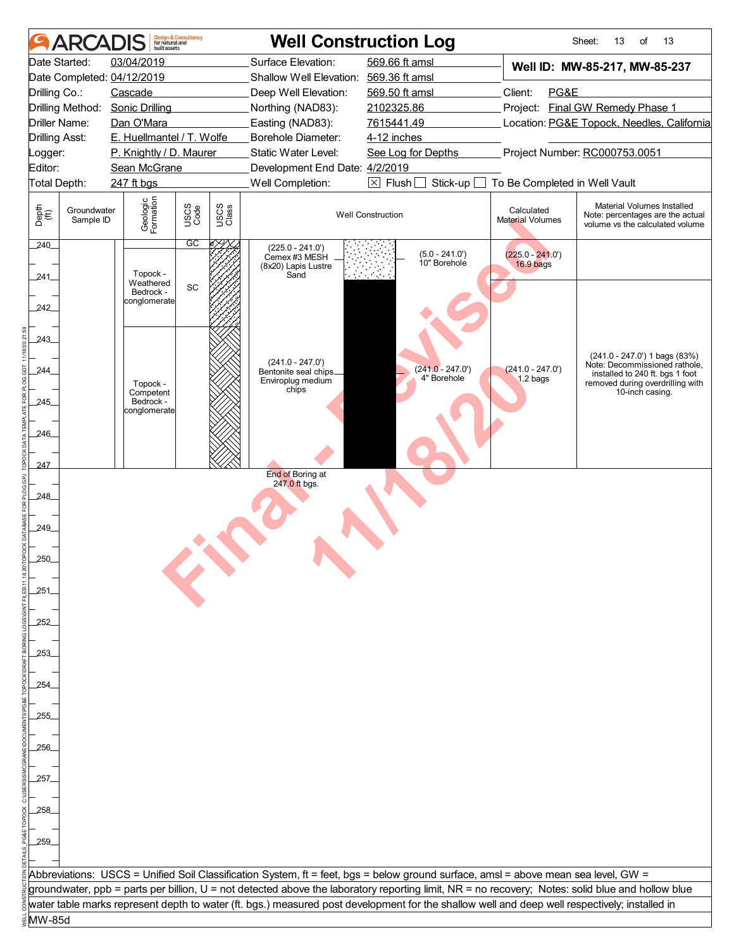|                       | <b>ARCADIS</b>           | <b>built</b> assets        | <b>Design &amp; Consultancy</b><br>for natural and |               |                                                                                                                                               | <b>Well Construction Log</b>     |                                       | Sheet:<br>13<br>of<br>13                                                                                                                         |  |  |
|-----------------------|--------------------------|----------------------------|----------------------------------------------------|---------------|-----------------------------------------------------------------------------------------------------------------------------------------------|----------------------------------|---------------------------------------|--------------------------------------------------------------------------------------------------------------------------------------------------|--|--|
|                       | Date Started:            | 03/04/2019                 |                                                    |               | Surface Elevation:                                                                                                                            | 569.66 ft amsl                   |                                       | Well ID: MW-85-217, MW-85-237                                                                                                                    |  |  |
|                       |                          | Date Completed: 04/12/2019 |                                                    |               | Shallow Well Elevation: 569.36 ft amsl                                                                                                        |                                  |                                       |                                                                                                                                                  |  |  |
| Drilling Co.:         |                          | Cascade                    |                                                    |               | Deep Well Elevation:                                                                                                                          | 569.50 ft amsl                   | Client:<br>PG&E                       |                                                                                                                                                  |  |  |
|                       | Drilling Method:         | <b>Sonic Drilling</b>      |                                                    |               | Northing (NAD83):                                                                                                                             | 2102325.86                       |                                       | Project: Final GW Remedy Phase 1                                                                                                                 |  |  |
|                       | Driller Name:            | Dan O'Mara                 |                                                    |               | Easting (NAD83):                                                                                                                              | 7615441.49                       |                                       | Location: PG&E Topock, Needles, California                                                                                                       |  |  |
| <b>Drilling Asst:</b> |                          | E. Huellmantel / T. Wolfe  |                                                    |               | Borehole Diameter:                                                                                                                            | 4-12 inches                      |                                       |                                                                                                                                                  |  |  |
| Logger:               |                          | P. Knightly / D. Maurer    |                                                    |               | Static Water Level:                                                                                                                           | See Log for Depths               | Project Number: RC000753.0051         |                                                                                                                                                  |  |  |
| Editor:               |                          | Sean McGrane               |                                                    |               | Development End Date: 4/2/2019                                                                                                                |                                  |                                       |                                                                                                                                                  |  |  |
| Total Depth:          |                          | 247 ft bgs                 |                                                    |               | Well Completion:                                                                                                                              | $\boxtimes$ Flush<br>Stick-up    | To Be Completed in Well Vault         |                                                                                                                                                  |  |  |
| Depth<br>(ff)         | Groundwater<br>Sample ID | Geologic<br>Formation      | USCS<br>Code                                       | USCS<br>Class |                                                                                                                                               | <b>Well Construction</b>         | Calculated<br><b>Material Volumes</b> | Material Volumes Installed<br>Note: percentages are the actual<br>volume vs the calculated volume                                                |  |  |
| 240<br>241            |                          | Topock -<br>Weathered      | $\overline{GC}$<br>SC                              |               | $(225.0 - 241.0')$<br>Cemex #3 MESH<br>(8x20) Lapis Lustre<br>Sand                                                                            | $(5.0 - 241.0')$<br>10" Borehole | $(225.0 - 241.0')$<br>16.9 bags       |                                                                                                                                                  |  |  |
| 242_                  |                          | Bedrock -<br>conglomerate  |                                                    |               |                                                                                                                                               |                                  |                                       |                                                                                                                                                  |  |  |
| 243<br>244            |                          |                            |                                                    |               | $(241.0 - 247.0')$<br>Bentonite seal chips                                                                                                    | $(241.0 - 247.0')$               | $(241.0 - 247.0')$                    | (241.0 - 247.0') 1 bags (83%)<br>Note: Decommissioned rathole,<br>installed to 240 ft. bgs 1 foot                                                |  |  |
|                       |                          | Topock -                   |                                                    |               | Enviroplug medium<br>chips                                                                                                                    | 4" Borehole                      | 1.2 bags                              | removed during overdrilling with                                                                                                                 |  |  |
| 245                   |                          | Competent<br>Bedrock -     |                                                    |               |                                                                                                                                               |                                  |                                       | 10-inch casing.                                                                                                                                  |  |  |
|                       |                          | conglomerate               |                                                    |               |                                                                                                                                               |                                  |                                       |                                                                                                                                                  |  |  |
| 246_                  |                          |                            |                                                    |               |                                                                                                                                               |                                  |                                       |                                                                                                                                                  |  |  |
|                       |                          |                            |                                                    |               |                                                                                                                                               |                                  |                                       |                                                                                                                                                  |  |  |
| 247                   |                          |                            |                                                    |               |                                                                                                                                               |                                  |                                       |                                                                                                                                                  |  |  |
|                       |                          |                            |                                                    |               | End of Boring at                                                                                                                              |                                  |                                       |                                                                                                                                                  |  |  |
| 248                   |                          |                            |                                                    |               | 247.0 ft bgs.                                                                                                                                 |                                  |                                       |                                                                                                                                                  |  |  |
|                       |                          |                            |                                                    |               |                                                                                                                                               |                                  |                                       |                                                                                                                                                  |  |  |
| 249                   |                          |                            |                                                    |               |                                                                                                                                               |                                  |                                       |                                                                                                                                                  |  |  |
|                       |                          |                            |                                                    |               |                                                                                                                                               |                                  |                                       |                                                                                                                                                  |  |  |
| 250                   |                          |                            |                                                    |               |                                                                                                                                               |                                  |                                       |                                                                                                                                                  |  |  |
|                       |                          |                            |                                                    |               |                                                                                                                                               |                                  |                                       |                                                                                                                                                  |  |  |
| 251                   |                          |                            |                                                    |               |                                                                                                                                               |                                  |                                       |                                                                                                                                                  |  |  |
|                       |                          |                            |                                                    |               |                                                                                                                                               |                                  |                                       |                                                                                                                                                  |  |  |
| 252                   |                          |                            |                                                    |               |                                                                                                                                               |                                  |                                       |                                                                                                                                                  |  |  |
|                       |                          |                            |                                                    |               |                                                                                                                                               |                                  |                                       |                                                                                                                                                  |  |  |
|                       |                          |                            |                                                    |               |                                                                                                                                               |                                  |                                       |                                                                                                                                                  |  |  |
| 253.                  |                          |                            |                                                    |               |                                                                                                                                               |                                  |                                       |                                                                                                                                                  |  |  |
|                       |                          |                            |                                                    |               |                                                                                                                                               |                                  |                                       |                                                                                                                                                  |  |  |
| .254                  |                          |                            |                                                    |               |                                                                                                                                               |                                  |                                       |                                                                                                                                                  |  |  |
|                       |                          |                            |                                                    |               |                                                                                                                                               |                                  |                                       |                                                                                                                                                  |  |  |
| 255.                  |                          |                            |                                                    |               |                                                                                                                                               |                                  |                                       |                                                                                                                                                  |  |  |
|                       |                          |                            |                                                    |               |                                                                                                                                               |                                  |                                       |                                                                                                                                                  |  |  |
| 256                   |                          |                            |                                                    |               |                                                                                                                                               |                                  |                                       |                                                                                                                                                  |  |  |
|                       |                          |                            |                                                    |               |                                                                                                                                               |                                  |                                       |                                                                                                                                                  |  |  |
| 257.                  |                          |                            |                                                    |               |                                                                                                                                               |                                  |                                       |                                                                                                                                                  |  |  |
|                       |                          |                            |                                                    |               |                                                                                                                                               |                                  |                                       |                                                                                                                                                  |  |  |
| 258.                  |                          |                            |                                                    |               |                                                                                                                                               |                                  |                                       |                                                                                                                                                  |  |  |
|                       |                          |                            |                                                    |               |                                                                                                                                               |                                  |                                       |                                                                                                                                                  |  |  |
| 259                   |                          |                            |                                                    |               |                                                                                                                                               |                                  |                                       |                                                                                                                                                  |  |  |
|                       |                          |                            |                                                    |               |                                                                                                                                               |                                  |                                       |                                                                                                                                                  |  |  |
|                       |                          |                            |                                                    |               | Abbreviations: USCS = Unified Soil Classification System, ft = feet, bgs = below ground surface, amsl = above mean sea level, GW =            |                                  |                                       |                                                                                                                                                  |  |  |
|                       |                          |                            |                                                    |               |                                                                                                                                               |                                  |                                       | groundwater, ppb = parts per billion, U = not detected above the laboratory reporting limit, NR = no recovery; Notes: solid blue and hollow blue |  |  |
|                       |                          |                            |                                                    |               | water table marks represent depth to water (ft. bgs.) measured post development for the shallow well and deep well respectively; installed in |                                  |                                       |                                                                                                                                                  |  |  |
| MW-85d                |                          |                            |                                                    |               |                                                                                                                                               |                                  |                                       |                                                                                                                                                  |  |  |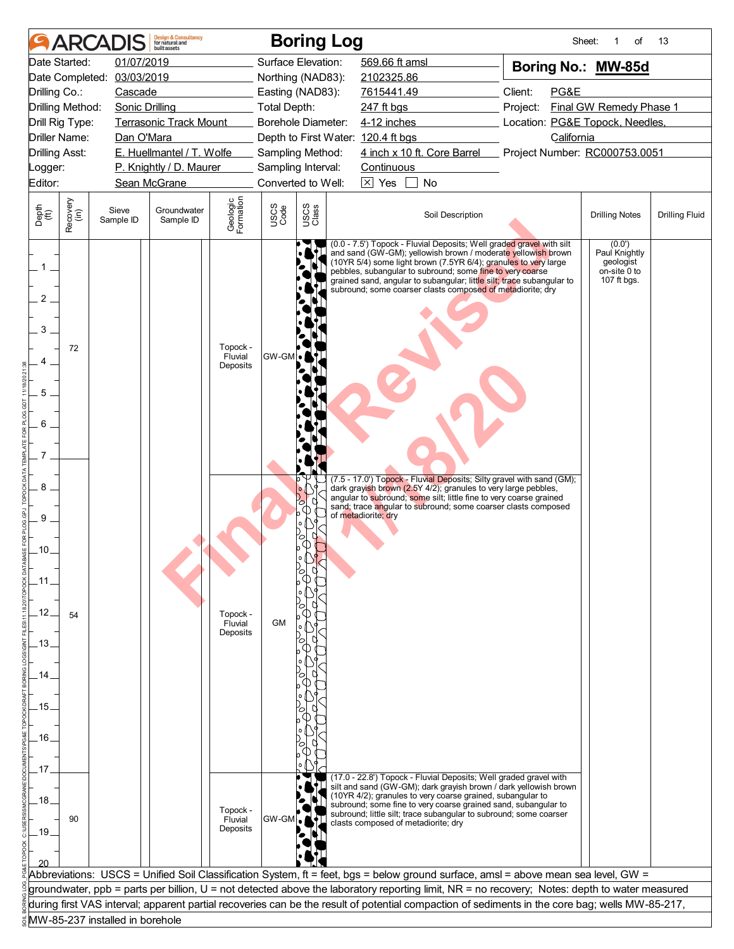|                                               |                  | <b>ARCADIS</b>                  | <b>Design &amp; Consultancy</b><br>for natural and<br><b>built</b> assets |                                 |                     | <b>Boring Log</b>                  |                           |                                                                                                                                                                                                                                                                                                                                                                                                             |                                                                                                                                                 | Sheet:<br>of                                                        | 13                    |
|-----------------------------------------------|------------------|---------------------------------|---------------------------------------------------------------------------|---------------------------------|---------------------|------------------------------------|---------------------------|-------------------------------------------------------------------------------------------------------------------------------------------------------------------------------------------------------------------------------------------------------------------------------------------------------------------------------------------------------------------------------------------------------------|-------------------------------------------------------------------------------------------------------------------------------------------------|---------------------------------------------------------------------|-----------------------|
| Date Started:                                 |                  | 01/07/2019                      |                                                                           |                                 |                     | Surface Elevation:                 | 569.66 ft amsl            |                                                                                                                                                                                                                                                                                                                                                                                                             | Boring No.: MW-85d                                                                                                                              |                                                                     |                       |
| Date Completed:                               |                  | 03/03/2019                      |                                                                           |                                 |                     | Northing (NAD83):                  | 2102325.86                |                                                                                                                                                                                                                                                                                                                                                                                                             |                                                                                                                                                 |                                                                     |                       |
| Drilling Co.:                                 |                  | Cascade                         |                                                                           |                                 |                     | Easting (NAD83):                   | 7615441.49                |                                                                                                                                                                                                                                                                                                                                                                                                             | Client:<br>PG&E                                                                                                                                 |                                                                     |                       |
| Drilling Method:<br>Drill Rig Type:           |                  | Sonic Drilling                  | <b>Terrasonic Track Mount</b>                                             |                                 | <b>Total Depth:</b> | <b>Borehole Diameter:</b>          | 247 ft bgs<br>4-12 inches |                                                                                                                                                                                                                                                                                                                                                                                                             | Project:                                                                                                                                        | Final GW Remedy Phase 1                                             |                       |
| Driller Name:                                 |                  | Dan O'Mara                      |                                                                           |                                 |                     | Depth to First Water: 120.4 ft bgs |                           |                                                                                                                                                                                                                                                                                                                                                                                                             | Location: PG&E Topock, Needles,<br>California                                                                                                   |                                                                     |                       |
| <b>Drilling Asst:</b>                         |                  |                                 | E. Huellmantel / T. Wolfe                                                 |                                 |                     | Sampling Method:                   |                           | 4 inch x 10 ft. Core Barrel Project Number: RC000753.0051                                                                                                                                                                                                                                                                                                                                                   |                                                                                                                                                 |                                                                     |                       |
| Logger:                                       |                  |                                 | P. Knightly / D. Maurer                                                   |                                 |                     | Sampling Interval:                 | Continuous                |                                                                                                                                                                                                                                                                                                                                                                                                             |                                                                                                                                                 |                                                                     |                       |
| Editor:                                       |                  |                                 | Sean McGrane                                                              |                                 |                     | Converted to Well:                 | $\sqrt{\times}$ Yes       | No                                                                                                                                                                                                                                                                                                                                                                                                          |                                                                                                                                                 |                                                                     |                       |
| Depth<br>$\widetilde{f(t)}$                   | Recovery<br>(in) | Sieve<br>Sample ID              | Groundwater<br>Sample ID                                                  | Geologic<br>Formation           | USCS<br>Code        | USCS<br>Class                      |                           | Soil Description                                                                                                                                                                                                                                                                                                                                                                                            |                                                                                                                                                 | <b>Drilling Notes</b>                                               | <b>Drilling Fluid</b> |
| $\mathbf{1}$<br>2<br>3<br>5<br>6              | 72               |                                 |                                                                           | Topock -<br>Fluvial<br>Deposits | GW-GM               |                                    |                           | (0.0 - 7.5') Topock - Fluvial Deposits; Well graded gravel with silt<br>and sand (GW-GM); yellowish brown / moderate yellowish brown<br>(10YR 5/4) some light brown (7.5YR 6/4); granules to very large<br>pebbles, subangular to subround; some fine to very coarse<br>grained sand, angular to subangular; little silt; trace subangular to<br>subround; some coarser clasts composed of metadiorite; dry |                                                                                                                                                 | (0.0')<br>Paul Knightly<br>geologist<br>on-site 0 to<br>107 ft bgs. |                       |
| 8<br>9<br>.10.<br>.12.<br>.13.<br>.14<br>.15. | 54               |                                 |                                                                           | Topock -<br>Fluvial<br>Deposits | <b>GM</b>           | $\circ$                            | of metadiorite; dry       | dark grayish brown (2.5Y 4/2); granules to very large pebbles,<br>angular to subround; some silt; little fine to very coarse grained<br>sand; trace angular to subround; some coarser clasts composed                                                                                                                                                                                                       | (7.5 - 17.0') Topock - Fluvial Deposits; Silty gravel with sand (GM);                                                                           |                                                                     |                       |
| .16.<br>.17                                   |                  |                                 |                                                                           |                                 |                     |                                    |                           | (17.0 - 22.8') Topock - Fluvial Deposits; Well graded gravel with<br>(10YR 4/2); granules to very coarse grained, subangular to                                                                                                                                                                                                                                                                             | silt and sand (GW-GM); dark grayish brown / dark yellowish brown                                                                                |                                                                     |                       |
| .18.<br>.19.                                  | 90               |                                 |                                                                           | Topock -<br>Fluvial<br>Deposits | <b>GW-GM</b>        |                                    |                           | subround; some fine to very coarse grained sand, subangular to<br>subround; little silt; trace subangular to subround; some coarser<br>clasts composed of metadiorite; dry                                                                                                                                                                                                                                  |                                                                                                                                                 |                                                                     |                       |
|                                               |                  |                                 |                                                                           |                                 |                     |                                    |                           |                                                                                                                                                                                                                                                                                                                                                                                                             | Abbreviations: USCS = Unified Soil Classification System, ft = feet, bgs = below ground surface, amsl = above mean sea level, GW =              |                                                                     |                       |
|                                               |                  |                                 |                                                                           |                                 |                     |                                    |                           |                                                                                                                                                                                                                                                                                                                                                                                                             | groundwater, ppb = parts per billion, U = not detected above the laboratory reporting limit, NR = no recovery; Notes: depth to water measured   |                                                                     |                       |
|                                               |                  |                                 |                                                                           |                                 |                     |                                    |                           |                                                                                                                                                                                                                                                                                                                                                                                                             | during first VAS interval; apparent partial recoveries can be the result of potential compaction of sediments in the core bag; wells MW-85-217, |                                                                     |                       |
|                                               |                  | MW-85-237 installed in borehole |                                                                           |                                 |                     |                                    |                           |                                                                                                                                                                                                                                                                                                                                                                                                             |                                                                                                                                                 |                                                                     |                       |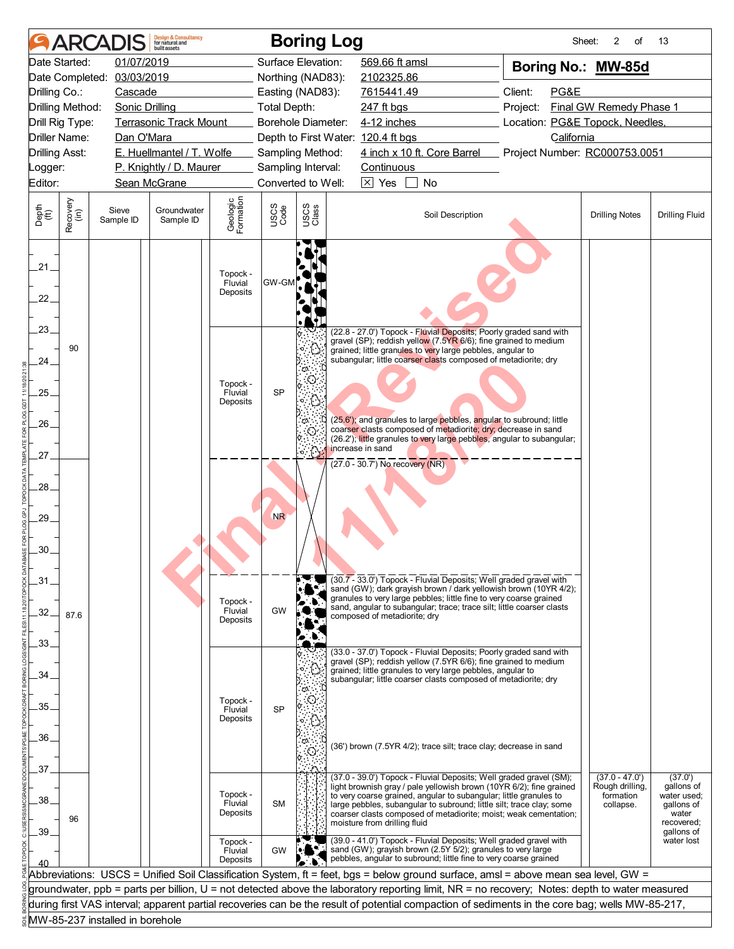|                       |                  |                                 | <b>Design &amp; Consultancy</b><br>for natural and<br>huilt assets |                                 |                     | <b>Boring Log</b>  |                                                                                                                                                                                                                  |                  | Sheet:                                                                                                                                                                                                                                                                                | 2<br>οf                                                       | 13                                                                        |
|-----------------------|------------------|---------------------------------|--------------------------------------------------------------------|---------------------------------|---------------------|--------------------|------------------------------------------------------------------------------------------------------------------------------------------------------------------------------------------------------------------|------------------|---------------------------------------------------------------------------------------------------------------------------------------------------------------------------------------------------------------------------------------------------------------------------------------|---------------------------------------------------------------|---------------------------------------------------------------------------|
|                       | Date Started:    | 01/07/2019                      |                                                                    |                                 |                     | Surface Elevation: | 569.66 ft amsl                                                                                                                                                                                                   |                  | Boring No.: MW-85d                                                                                                                                                                                                                                                                    |                                                               |                                                                           |
|                       | Date Completed:  | 03/03/2019                      |                                                                    |                                 |                     | Northing (NAD83):  | 2102325.86                                                                                                                                                                                                       |                  |                                                                                                                                                                                                                                                                                       |                                                               |                                                                           |
| Drilling Co.:         |                  | Cascade                         |                                                                    |                                 |                     | Easting (NAD83):   | 7615441.49                                                                                                                                                                                                       |                  | Client:<br>PG&E                                                                                                                                                                                                                                                                       |                                                               |                                                                           |
|                       | Drilling Method: | <b>Sonic Drilling</b>           |                                                                    |                                 | <b>Total Depth:</b> |                    | 247 ft bgs                                                                                                                                                                                                       |                  | Project:                                                                                                                                                                                                                                                                              | Final GW Remedy Phase 1                                       |                                                                           |
|                       | Drill Rig Type:  |                                 | <b>Terrasonic Track Mount</b>                                      |                                 |                     | Borehole Diameter: | 4-12 inches                                                                                                                                                                                                      |                  | Location: PG&E Topock, Needles,                                                                                                                                                                                                                                                       |                                                               |                                                                           |
|                       | Driller Name:    | Dan O'Mara                      |                                                                    |                                 |                     |                    | Depth to First Water: 120.4 ft bgs                                                                                                                                                                               |                  | California                                                                                                                                                                                                                                                                            |                                                               |                                                                           |
| <b>Drilling Asst:</b> |                  |                                 | E. Huellmantel / T. Wolfe                                          |                                 |                     | Sampling Method:   | 4 inch x 10 ft. Core Barrel                                                                                                                                                                                      |                  | Project Number: RC000753.0051                                                                                                                                                                                                                                                         |                                                               |                                                                           |
| _ogger:               |                  |                                 | P. Knightly / D. Maurer                                            |                                 |                     | Sampling Interval: | Continuous                                                                                                                                                                                                       |                  |                                                                                                                                                                                                                                                                                       |                                                               |                                                                           |
| Editor:               |                  |                                 | Sean McGrane                                                       |                                 |                     | Converted to Well: | $\boxed{\times}$ Yes                                                                                                                                                                                             | <b>No</b>        |                                                                                                                                                                                                                                                                                       |                                                               |                                                                           |
| Depth<br>(ft)         | Recovery<br>(in) | Sieve<br>Sample ID              | Groundwater<br>Sample ID                                           | Geologic<br>Formation           | USCS<br>Code        | USCS<br>Class      |                                                                                                                                                                                                                  | Soil Description |                                                                                                                                                                                                                                                                                       | <b>Drilling Notes</b>                                         | <b>Drilling Fluid</b>                                                     |
| 21.<br>22.            |                  |                                 |                                                                    | Topock -<br>Fluvial<br>Deposits | <b>GW-GN</b>        |                    |                                                                                                                                                                                                                  |                  |                                                                                                                                                                                                                                                                                       |                                                               |                                                                           |
| .23.                  | 90               |                                 |                                                                    |                                 |                     |                    | (22.8 - 27.0') Topock - Fluvial Deposits; Poorly graded sand with<br>gravel (SP); reddish yellow (7.5YR 6/6); fine grained to medium<br>grained; little granules to very large pebbles, angular to               |                  |                                                                                                                                                                                                                                                                                       |                                                               |                                                                           |
| 24.                   |                  |                                 |                                                                    |                                 |                     |                    | subangular; little coarser clasts composed of metadiorite; dry                                                                                                                                                   |                  |                                                                                                                                                                                                                                                                                       |                                                               |                                                                           |
| .25.                  |                  |                                 |                                                                    | Topock -<br>Fluvial             | <b>SP</b>           |                    |                                                                                                                                                                                                                  |                  |                                                                                                                                                                                                                                                                                       |                                                               |                                                                           |
|                       |                  |                                 |                                                                    | Deposits                        |                     |                    |                                                                                                                                                                                                                  |                  |                                                                                                                                                                                                                                                                                       |                                                               |                                                                           |
| 26                    |                  |                                 |                                                                    |                                 |                     |                    | (25.6'); and granules to large pebbles, angular to subround; little                                                                                                                                              |                  |                                                                                                                                                                                                                                                                                       |                                                               |                                                                           |
|                       |                  |                                 |                                                                    |                                 |                     |                    | coarser clasts composed of metadiorite; dry; decrease in sand                                                                                                                                                    |                  | (26.2'); little granules to very large pebbles, angular to subangular;                                                                                                                                                                                                                |                                                               |                                                                           |
| 27.                   |                  |                                 |                                                                    |                                 |                     | $\cap$             | increase in sand                                                                                                                                                                                                 |                  |                                                                                                                                                                                                                                                                                       |                                                               |                                                                           |
| 28.                   |                  |                                 |                                                                    |                                 |                     |                    | $(27.0 - 30.7)$ No recovery (NR)                                                                                                                                                                                 |                  |                                                                                                                                                                                                                                                                                       |                                                               |                                                                           |
| 29.                   |                  |                                 |                                                                    |                                 | NR                  |                    |                                                                                                                                                                                                                  |                  |                                                                                                                                                                                                                                                                                       |                                                               |                                                                           |
| .30.                  |                  |                                 |                                                                    |                                 |                     |                    |                                                                                                                                                                                                                  |                  |                                                                                                                                                                                                                                                                                       |                                                               |                                                                           |
| .31                   |                  |                                 |                                                                    | Topock -                        |                     |                    | (30.7 - 33.0') Topock - Fluvial Deposits; Well graded gravel with<br>granules to very large pebbles; little fine to very coarse grained<br>sand, angular to subangular; trace; trace silt; little coarser clasts |                  | sand (GW); dark grayish brown / dark yellowish brown (10YR 4/2);                                                                                                                                                                                                                      |                                                               |                                                                           |
| 32.                   | 87.6             |                                 |                                                                    | Fluvial<br>Deposits             | <b>GW</b>           |                    | composed of metadiorite: drv                                                                                                                                                                                     |                  |                                                                                                                                                                                                                                                                                       |                                                               |                                                                           |
| .33.                  |                  |                                 |                                                                    |                                 |                     |                    | (33.0 - 37.0') Topock - Fluvial Deposits; Poorly graded sand with                                                                                                                                                |                  |                                                                                                                                                                                                                                                                                       |                                                               |                                                                           |
| .34                   |                  |                                 |                                                                    |                                 |                     | ෆ                  | gravel (SP); reddish yellow (7.5YR 6/6); fine grained to medium<br>grained; little granules to very large pebbles, angular to<br>subangular; little coarser clasts composed of metadiorite; dry                  |                  |                                                                                                                                                                                                                                                                                       |                                                               |                                                                           |
| 35.                   |                  |                                 |                                                                    | Topock -<br>Fluvial             |                     |                    |                                                                                                                                                                                                                  |                  |                                                                                                                                                                                                                                                                                       |                                                               |                                                                           |
|                       |                  |                                 |                                                                    | Deposits                        | <b>SP</b>           |                    |                                                                                                                                                                                                                  |                  |                                                                                                                                                                                                                                                                                       |                                                               |                                                                           |
| 36.                   |                  |                                 |                                                                    |                                 |                     |                    |                                                                                                                                                                                                                  |                  |                                                                                                                                                                                                                                                                                       |                                                               |                                                                           |
|                       |                  |                                 |                                                                    |                                 |                     |                    | (36') brown (7.5YR 4/2); trace silt; trace clay; decrease in sand                                                                                                                                                |                  |                                                                                                                                                                                                                                                                                       |                                                               |                                                                           |
| .37.                  |                  |                                 |                                                                    |                                 |                     |                    |                                                                                                                                                                                                                  |                  |                                                                                                                                                                                                                                                                                       |                                                               |                                                                           |
| .38                   | 96               |                                 |                                                                    | Topock -<br>Fluvial<br>Deposits | <b>SM</b>           |                    | to very coarse grained, angular to subangular; little granules to<br>moisture from drilling fluid                                                                                                                |                  | (37.0 - 39.0') Topock - Fluvial Deposits; Well graded gravel (SM);<br>light brownish gray / pale yellowish brown (10YR 6/2); fine grained<br>large pebbles, subangular to subround; little silt; trace clay; some<br>coarser clasts composed of metadiorite; moist; weak cementation; | $(37.0 - 47.0')$<br>Rough drilling,<br>formation<br>collapse. | (37.0')<br>gallons of<br>water used;<br>qallons of<br>water<br>recovered; |
| .39.                  |                  |                                 |                                                                    | Topock -<br>Fluvial<br>Deposits | GW                  |                    | (39.0 - 41.0') Topock - Fluvial Deposits; Well graded gravel with<br>sand (GW); grayish brown (2.5Y 5/2); granules to very large<br>pebbles, angular to subround; little fine to very coarse grained             |                  |                                                                                                                                                                                                                                                                                       |                                                               | gallons of<br>water lost                                                  |
|                       |                  |                                 |                                                                    |                                 |                     |                    |                                                                                                                                                                                                                  |                  | Abbreviations: USCS = Unified Soil Classification System, ft = feet, bgs = below ground surface, amsl = above mean sea level, GW =                                                                                                                                                    |                                                               |                                                                           |
|                       |                  |                                 |                                                                    |                                 |                     |                    |                                                                                                                                                                                                                  |                  | groundwater, ppb = parts per billion, U = not detected above the laboratory reporting limit, NR = no recovery; Notes: depth to water measured                                                                                                                                         |                                                               |                                                                           |
|                       |                  |                                 |                                                                    |                                 |                     |                    |                                                                                                                                                                                                                  |                  | during first VAS interval; apparent partial recoveries can be the result of potential compaction of sediments in the core bag; wells MW-85-217,                                                                                                                                       |                                                               |                                                                           |
|                       |                  | MW-85-237 installed in borehole |                                                                    |                                 |                     |                    |                                                                                                                                                                                                                  |                  |                                                                                                                                                                                                                                                                                       |                                                               |                                                                           |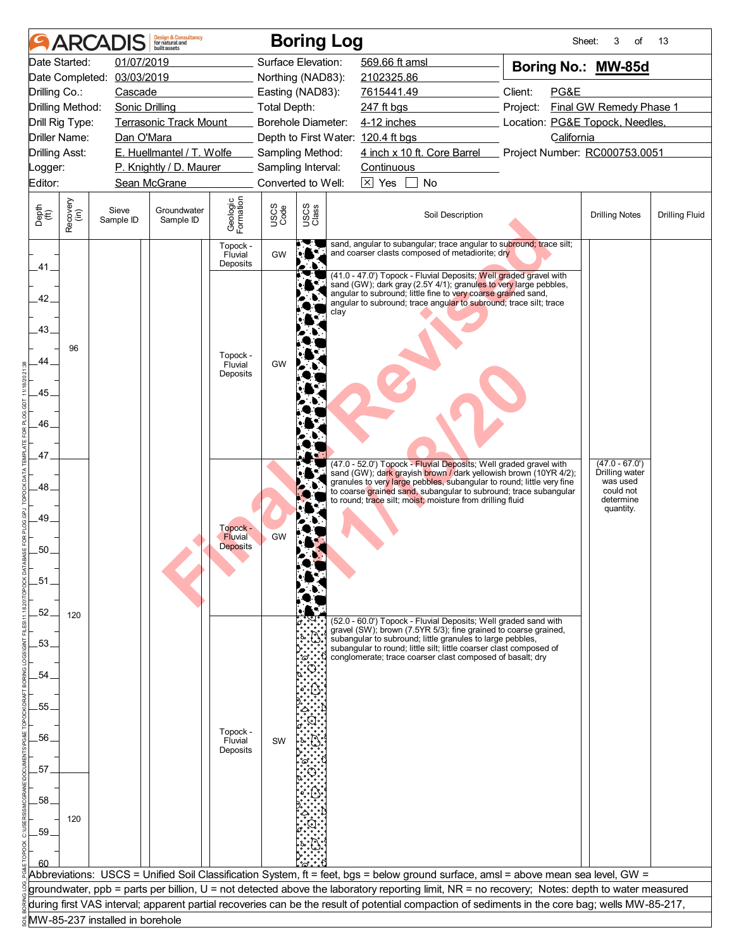|                       |                  |                                 | <b>Design &amp; Consultancy</b><br>for natural and<br>huilt assets |                                 |                     | <b>Boring Log</b>                      |                                                                                                                                                                                                                                                                                                  | Sheet:                          | 3<br>of                            | 13                    |
|-----------------------|------------------|---------------------------------|--------------------------------------------------------------------|---------------------------------|---------------------|----------------------------------------|--------------------------------------------------------------------------------------------------------------------------------------------------------------------------------------------------------------------------------------------------------------------------------------------------|---------------------------------|------------------------------------|-----------------------|
|                       | Date Started:    | 01/07/2019                      |                                                                    |                                 |                     | Surface Elevation:                     | 569.66 ft amsl                                                                                                                                                                                                                                                                                   | Boring No.: MW-85d              |                                    |                       |
|                       |                  | Date Completed: 03/03/2019      |                                                                    |                                 |                     | Northing (NAD83):                      | 2102325.86                                                                                                                                                                                                                                                                                       |                                 |                                    |                       |
| Drilling Co.:         |                  | Cascade                         |                                                                    |                                 |                     | Easting (NAD83):                       | 7615441.49                                                                                                                                                                                                                                                                                       | Client:<br>PG&E                 |                                    |                       |
| Drilling Method:      |                  | <b>Sonic Drilling</b>           |                                                                    |                                 | <b>Total Depth:</b> |                                        | 247 ft bgs                                                                                                                                                                                                                                                                                       | Project:                        | Final GW Remedy Phase 1            |                       |
| Drill Rig Type:       |                  |                                 | <b>Terrasonic Track Mount</b>                                      |                                 |                     | Borehole Diameter:                     | 4-12 inches                                                                                                                                                                                                                                                                                      | Location: PG&E Topock, Needles, |                                    |                       |
| <b>Driller Name:</b>  |                  | Dan O'Mara                      |                                                                    |                                 |                     |                                        | Depth to First Water: 120.4 ft bgs                                                                                                                                                                                                                                                               | California                      |                                    |                       |
| <b>Drilling Asst:</b> |                  |                                 | E. Huellmantel / T. Wolfe                                          |                                 |                     | Sampling Method:<br>Sampling Interval: | 4 inch x 10 ft. Core Barrel                                                                                                                                                                                                                                                                      | Project Number: RC000753.0051   |                                    |                       |
| Logger:<br>Editor:    |                  |                                 | P. Knightly / D. Maurer<br>Sean McGrane                            |                                 |                     | Converted to Well:                     | Continuous<br>$\boxtimes$ Yes<br>No                                                                                                                                                                                                                                                              |                                 |                                    |                       |
|                       |                  |                                 |                                                                    |                                 |                     |                                        |                                                                                                                                                                                                                                                                                                  |                                 |                                    |                       |
| Depth<br>(ft)         | Recovery<br>(in) | Sieve<br>Sample ID              | Groundwater<br>Sample ID                                           | Geologic<br>Formation           | USCS<br>Code        | USCS<br>Class                          | Soil Description                                                                                                                                                                                                                                                                                 |                                 | <b>Drilling Notes</b>              | <b>Drilling Fluid</b> |
|                       |                  |                                 |                                                                    | Topock -<br>Fluvial<br>Deposits | GW                  |                                        | sand, angular to subangular; trace angular to subround; trace silt;<br>and coarser clasts composed of metadiorite; dry                                                                                                                                                                           |                                 |                                    |                       |
| .41                   |                  |                                 |                                                                    |                                 |                     |                                        | (41.0 - 47.0') Topock - Fluvial Deposits; Well graded gravel with                                                                                                                                                                                                                                |                                 |                                    |                       |
|                       |                  |                                 |                                                                    |                                 |                     |                                        | sand (GW); dark gray (2.5Y 4/1); granules to very large pebbles,<br>angular to subround; little fine to very coarse grained sand,                                                                                                                                                                |                                 |                                    |                       |
| 42.                   |                  |                                 |                                                                    |                                 |                     | clay                                   | angular to subround; trace angular to subround; trace silt; trace                                                                                                                                                                                                                                |                                 |                                    |                       |
| 43.                   |                  |                                 |                                                                    |                                 |                     |                                        |                                                                                                                                                                                                                                                                                                  |                                 |                                    |                       |
|                       |                  |                                 |                                                                    |                                 |                     |                                        |                                                                                                                                                                                                                                                                                                  |                                 |                                    |                       |
| 44                    | 96               |                                 |                                                                    | Topock -                        |                     |                                        |                                                                                                                                                                                                                                                                                                  |                                 |                                    |                       |
|                       |                  |                                 |                                                                    | Fluvial<br>Deposits             | <b>GW</b>           |                                        |                                                                                                                                                                                                                                                                                                  |                                 |                                    |                       |
| .45.                  |                  |                                 |                                                                    |                                 |                     |                                        |                                                                                                                                                                                                                                                                                                  |                                 |                                    |                       |
|                       |                  |                                 |                                                                    |                                 |                     |                                        |                                                                                                                                                                                                                                                                                                  |                                 |                                    |                       |
| 46.                   |                  |                                 |                                                                    |                                 |                     |                                        |                                                                                                                                                                                                                                                                                                  |                                 |                                    |                       |
|                       |                  |                                 |                                                                    |                                 |                     |                                        |                                                                                                                                                                                                                                                                                                  |                                 |                                    |                       |
| 47.                   |                  |                                 |                                                                    |                                 |                     |                                        |                                                                                                                                                                                                                                                                                                  |                                 |                                    |                       |
|                       |                  |                                 |                                                                    |                                 |                     |                                        | (47.0 - 52.0') Topock - Fluvial Deposits; Well graded gravel with<br>sand (GW); dark grayish brown / dark yellowish brown (10YR 4/2);                                                                                                                                                            |                                 | $(47.0 - 67.0')$<br>Drilling water |                       |
| 48                    |                  |                                 |                                                                    |                                 |                     |                                        | granules to very large pebbles, subangular to round; little very fine<br>to coarse grained sand, subangular to subround; trace subangular                                                                                                                                                        |                                 | was used<br>could not              |                       |
|                       |                  |                                 |                                                                    |                                 |                     |                                        | to round; trace silt; moist; moisture from drilling fluid                                                                                                                                                                                                                                        |                                 | determine<br>quantity.             |                       |
| 49.                   |                  |                                 |                                                                    | Topock -                        |                     |                                        |                                                                                                                                                                                                                                                                                                  |                                 |                                    |                       |
|                       |                  |                                 |                                                                    | Fluvial                         | GW                  |                                        |                                                                                                                                                                                                                                                                                                  |                                 |                                    |                       |
| 50.                   |                  |                                 |                                                                    | <b>Deposits</b>                 |                     |                                        |                                                                                                                                                                                                                                                                                                  |                                 |                                    |                       |
|                       |                  |                                 |                                                                    |                                 |                     |                                        |                                                                                                                                                                                                                                                                                                  |                                 |                                    |                       |
| .51                   |                  |                                 |                                                                    |                                 |                     |                                        |                                                                                                                                                                                                                                                                                                  |                                 |                                    |                       |
|                       |                  |                                 |                                                                    |                                 |                     |                                        |                                                                                                                                                                                                                                                                                                  |                                 |                                    |                       |
| .52.                  | 120              |                                 |                                                                    |                                 |                     |                                        | (52.0 - 60.0') Topock - Fluvial Deposits; Well graded sand with                                                                                                                                                                                                                                  |                                 |                                    |                       |
| 53.                   |                  |                                 |                                                                    |                                 |                     |                                        | gravel (SW); brown (7.5YR 5/3); fine grained to coarse grained,<br>subangular to subround; little granules to large pebbles,                                                                                                                                                                     |                                 |                                    |                       |
|                       |                  |                                 |                                                                    |                                 |                     |                                        | subangular to round; little silt; little coarser clast composed of<br>conglomerate; trace coarser clast composed of basalt; dry                                                                                                                                                                  |                                 |                                    |                       |
| 54                    |                  |                                 |                                                                    |                                 |                     |                                        |                                                                                                                                                                                                                                                                                                  |                                 |                                    |                       |
|                       |                  |                                 |                                                                    |                                 |                     |                                        |                                                                                                                                                                                                                                                                                                  |                                 |                                    |                       |
| 55.                   |                  |                                 |                                                                    |                                 |                     |                                        |                                                                                                                                                                                                                                                                                                  |                                 |                                    |                       |
|                       |                  |                                 |                                                                    |                                 |                     |                                        |                                                                                                                                                                                                                                                                                                  |                                 |                                    |                       |
| 56.                   |                  |                                 |                                                                    | Topock -<br>Fluvial             | SW                  |                                        |                                                                                                                                                                                                                                                                                                  |                                 |                                    |                       |
|                       |                  |                                 |                                                                    | Deposits                        |                     |                                        |                                                                                                                                                                                                                                                                                                  |                                 |                                    |                       |
| .57                   |                  |                                 |                                                                    |                                 |                     |                                        |                                                                                                                                                                                                                                                                                                  |                                 |                                    |                       |
|                       |                  |                                 |                                                                    |                                 |                     |                                        |                                                                                                                                                                                                                                                                                                  |                                 |                                    |                       |
| .58                   |                  |                                 |                                                                    |                                 |                     |                                        |                                                                                                                                                                                                                                                                                                  |                                 |                                    |                       |
|                       | 120              |                                 |                                                                    |                                 |                     |                                        |                                                                                                                                                                                                                                                                                                  |                                 |                                    |                       |
| .59                   |                  |                                 |                                                                    |                                 |                     |                                        |                                                                                                                                                                                                                                                                                                  |                                 |                                    |                       |
|                       |                  |                                 |                                                                    |                                 |                     |                                        |                                                                                                                                                                                                                                                                                                  |                                 |                                    |                       |
|                       |                  |                                 |                                                                    |                                 |                     |                                        |                                                                                                                                                                                                                                                                                                  |                                 |                                    |                       |
|                       |                  |                                 |                                                                    |                                 |                     |                                        | Abbreviations: USCS = Unified Soil Classification System, ft = feet, bgs = below ground surface, amsl = above mean sea level, GW =                                                                                                                                                               |                                 |                                    |                       |
|                       |                  |                                 |                                                                    |                                 |                     |                                        | groundwater, ppb = parts per billion, U = not detected above the laboratory reporting limit, NR = no recovery; Notes: depth to water measured<br>during first VAS interval; apparent partial recoveries can be the result of potential compaction of sediments in the core bag; wells MW-85-217, |                                 |                                    |                       |
|                       |                  | MW-85-237 installed in borehole |                                                                    |                                 |                     |                                        |                                                                                                                                                                                                                                                                                                  |                                 |                                    |                       |
|                       |                  |                                 |                                                                    |                                 |                     |                                        |                                                                                                                                                                                                                                                                                                  |                                 |                                    |                       |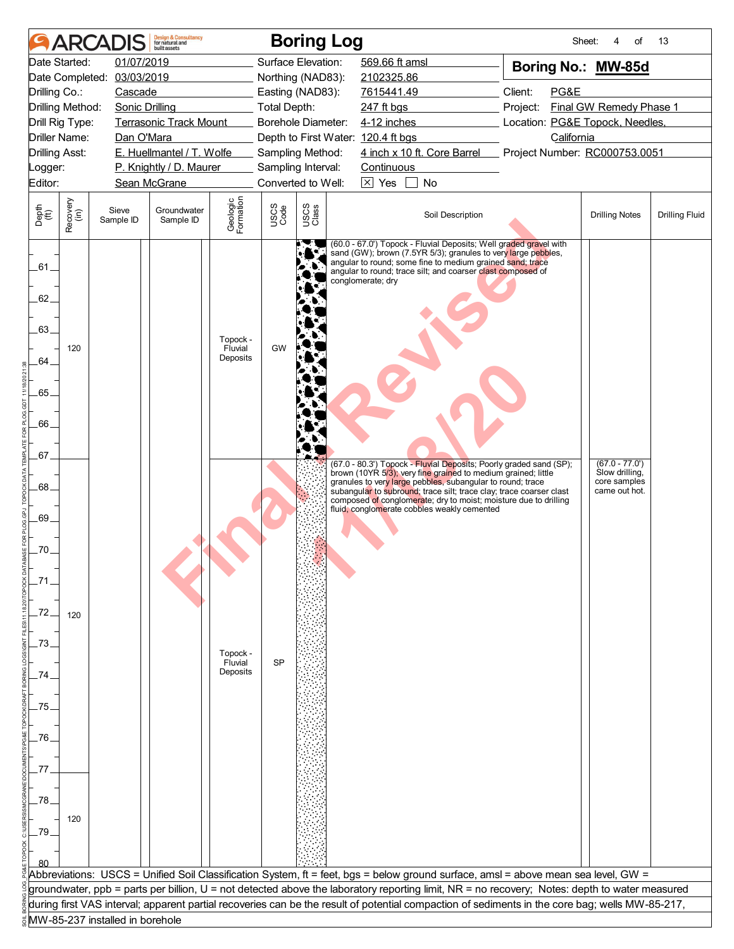|                                                    |                      |                                 | <b>Design &amp; Consultancy</b><br>for natural and<br>huilt assets |                                 |                     | <b>Boring Log</b>                      |                                    |                                                                                                                                                                                                                                                                                                                                                                                             |                                 | Sheet:     | οf                                                                  | 13                    |
|----------------------------------------------------|----------------------|---------------------------------|--------------------------------------------------------------------|---------------------------------|---------------------|----------------------------------------|------------------------------------|---------------------------------------------------------------------------------------------------------------------------------------------------------------------------------------------------------------------------------------------------------------------------------------------------------------------------------------------------------------------------------------------|---------------------------------|------------|---------------------------------------------------------------------|-----------------------|
|                                                    | Date Started:        | 01/07/2019                      |                                                                    |                                 |                     | Surface Elevation:                     | 569.66 ft amsl                     |                                                                                                                                                                                                                                                                                                                                                                                             |                                 |            | Boring No.: MW-85d                                                  |                       |
|                                                    |                      | Date Completed: 03/03/2019      |                                                                    |                                 |                     | Northing (NAD83):                      | 2102325.86                         |                                                                                                                                                                                                                                                                                                                                                                                             |                                 |            |                                                                     |                       |
| Drilling Co.:                                      |                      | Cascade                         |                                                                    |                                 |                     | Easting (NAD83):                       | 7615441.49                         |                                                                                                                                                                                                                                                                                                                                                                                             | Client:                         | PG&E       |                                                                     |                       |
|                                                    | Drilling Method:     | Sonic Drilling                  |                                                                    |                                 | <b>Total Depth:</b> |                                        | 247 ft bgs                         |                                                                                                                                                                                                                                                                                                                                                                                             | Project:                        |            | Final GW Remedy Phase 1                                             |                       |
|                                                    | Drill Rig Type:      |                                 | <b>Terrasonic Track Mount</b>                                      |                                 |                     | Borehole Diameter:                     | 4-12 inches                        |                                                                                                                                                                                                                                                                                                                                                                                             | Location: PG&E Topock, Needles, |            |                                                                     |                       |
|                                                    | <b>Driller Name:</b> | Dan O'Mara                      | E. Huellmantel / T. Wolfe                                          |                                 |                     |                                        | Depth to First Water: 120.4 ft bgs | 4 inch x 10 ft. Core Barrel Project Number: RC000753.0051                                                                                                                                                                                                                                                                                                                                   |                                 | California |                                                                     |                       |
| <b>Drilling Asst:</b><br>Logger:                   |                      |                                 | P. Knightly / D. Maurer                                            |                                 |                     | Sampling Method:<br>Sampling Interval: | Continuous                         |                                                                                                                                                                                                                                                                                                                                                                                             |                                 |            |                                                                     |                       |
| Editor:                                            |                      |                                 | Sean McGrane                                                       |                                 |                     | Converted to Well:                     | $\boxtimes$ Yes                    | No                                                                                                                                                                                                                                                                                                                                                                                          |                                 |            |                                                                     |                       |
|                                                    |                      |                                 |                                                                    |                                 |                     |                                        |                                    |                                                                                                                                                                                                                                                                                                                                                                                             |                                 |            |                                                                     |                       |
| Depth<br>(ft)                                      | Recovery<br>(in)     | Sieve<br>Sample ID              | Groundwater<br>Sample ID                                           | Geologic<br>Formation           | USCS<br>Code        | USCS<br>Class                          |                                    | Soil Description                                                                                                                                                                                                                                                                                                                                                                            |                                 |            | <b>Drilling Notes</b>                                               | <b>Drilling Fluid</b> |
| .61.<br>62.<br>63.<br>64.<br>$-65.$<br>66.<br>.67. | 120                  |                                 |                                                                    | Topock -<br>Fluvial<br>Deposits | GW                  |                                        | conglomerate; dry                  | (60.0 - 67.0') Topock - Fluvial Deposits; Well graded gravel with<br>sand (GW); brown (7.5YR 5/3); granules to very large pebbles,<br>angular to round; some fine to medium grained sand; trace<br>angular to round; trace silt; and coarser clast composed of                                                                                                                              |                                 |            |                                                                     |                       |
| .68.<br>69.<br>.70.<br>-72.                        | 120                  |                                 |                                                                    |                                 |                     |                                        |                                    | (67.0 - 80.3') Topock - Fluvial Deposits; Poorly graded sand (SP);<br>brown (10YR 5/3); very fine grained to medium grained; little<br>granules to very large pebbles, subangular to round; trace<br>subangular to subround; trace silt; trace clay; trace coarser clast<br>composed of conglomerate; dry to moist; moisture due to drilling<br>fluid, conglomerate cobbles weakly cemented |                                 |            | $(67.0 - 77.0')$<br>Slow drilling,<br>core samples<br>came out hot. |                       |
| .73.<br>74                                         |                      |                                 |                                                                    | Topock -<br>Fluvial<br>Deposits | <b>SP</b>           |                                        |                                    |                                                                                                                                                                                                                                                                                                                                                                                             |                                 |            |                                                                     |                       |
| 75.                                                |                      |                                 |                                                                    |                                 |                     |                                        |                                    |                                                                                                                                                                                                                                                                                                                                                                                             |                                 |            |                                                                     |                       |
|                                                    |                      |                                 |                                                                    |                                 |                     |                                        |                                    |                                                                                                                                                                                                                                                                                                                                                                                             |                                 |            |                                                                     |                       |
| .76.                                               |                      |                                 |                                                                    |                                 |                     |                                        |                                    |                                                                                                                                                                                                                                                                                                                                                                                             |                                 |            |                                                                     |                       |
|                                                    |                      |                                 |                                                                    |                                 |                     |                                        |                                    |                                                                                                                                                                                                                                                                                                                                                                                             |                                 |            |                                                                     |                       |
| 77                                                 |                      |                                 |                                                                    |                                 |                     |                                        |                                    |                                                                                                                                                                                                                                                                                                                                                                                             |                                 |            |                                                                     |                       |
|                                                    |                      |                                 |                                                                    |                                 |                     |                                        |                                    |                                                                                                                                                                                                                                                                                                                                                                                             |                                 |            |                                                                     |                       |
| .78.                                               |                      |                                 |                                                                    |                                 |                     |                                        |                                    |                                                                                                                                                                                                                                                                                                                                                                                             |                                 |            |                                                                     |                       |
| _79                                                | 120                  |                                 |                                                                    |                                 |                     |                                        |                                    |                                                                                                                                                                                                                                                                                                                                                                                             |                                 |            |                                                                     |                       |
|                                                    |                      |                                 |                                                                    |                                 |                     |                                        |                                    |                                                                                                                                                                                                                                                                                                                                                                                             |                                 |            |                                                                     |                       |
|                                                    |                      |                                 |                                                                    |                                 |                     |                                        |                                    | Abbreviations:  USCS = Unified Soil Classification System, ft = feet, bgs = below ground surface, amsl = above mean sea level, GW =                                                                                                                                                                                                                                                         |                                 |            |                                                                     |                       |
|                                                    |                      |                                 |                                                                    |                                 |                     |                                        |                                    | groundwater, ppb = parts per billion, U = not detected above the laboratory reporting limit, NR = no recovery; Notes: depth to water measured                                                                                                                                                                                                                                               |                                 |            |                                                                     |                       |
|                                                    |                      |                                 |                                                                    |                                 |                     |                                        |                                    | during first VAS interval; apparent partial recoveries can be the result of potential compaction of sediments in the core bag; wells MW-85-217,                                                                                                                                                                                                                                             |                                 |            |                                                                     |                       |
|                                                    |                      | MW-85-237 installed in borehole |                                                                    |                                 |                     |                                        |                                    |                                                                                                                                                                                                                                                                                                                                                                                             |                                 |            |                                                                     |                       |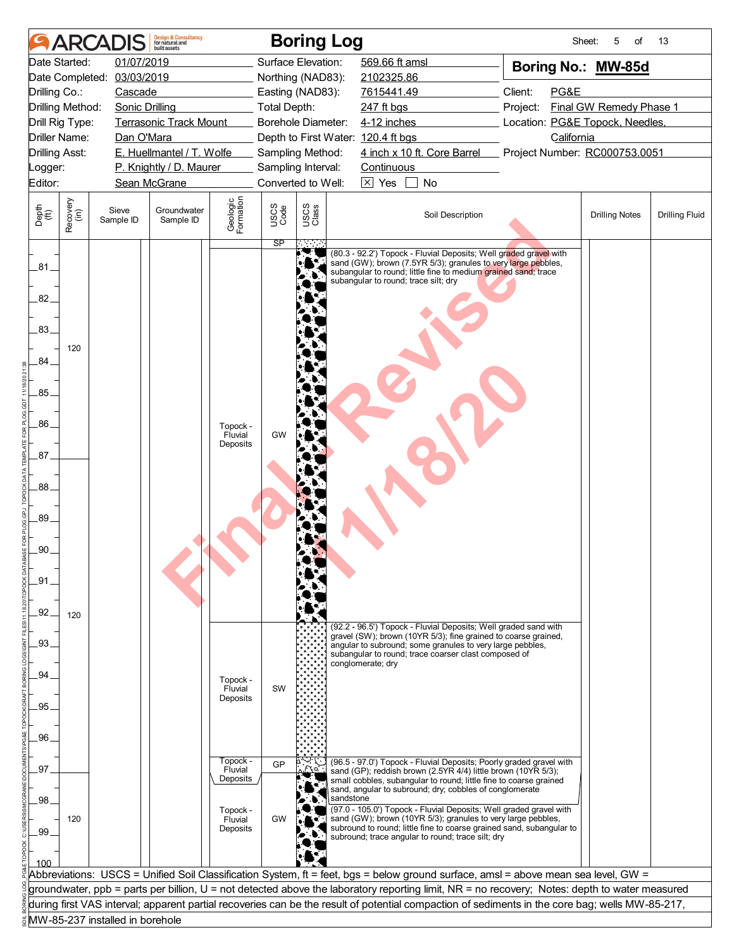|                       |                  | <b>ARCADIS</b>                  | <b>Design &amp; Consultancy</b><br>for natural and<br>huilt assets |                       |                        | <b>Boring Log</b>         |                                                                                                                                                                                                                                              | Sheet:                          | 5<br>of                 | 13                    |
|-----------------------|------------------|---------------------------------|--------------------------------------------------------------------|-----------------------|------------------------|---------------------------|----------------------------------------------------------------------------------------------------------------------------------------------------------------------------------------------------------------------------------------------|---------------------------------|-------------------------|-----------------------|
|                       | Date Started:    | 01/07/2019                      |                                                                    |                       |                        | Surface Elevation:        | 569.66 ft amsl                                                                                                                                                                                                                               | Boring No.: MW-85d              |                         |                       |
|                       | Date Completed:  | 03/03/2019                      |                                                                    |                       |                        | Northing (NAD83):         | 2102325.86                                                                                                                                                                                                                                   |                                 |                         |                       |
| Drilling Co.:         |                  | Cascade                         |                                                                    |                       |                        | Easting (NAD83):          | 7615441.49                                                                                                                                                                                                                                   | Client:<br>PG&E                 |                         |                       |
|                       | Drilling Method: | <b>Sonic Drilling</b>           |                                                                    |                       | <b>Total Depth:</b>    |                           | 247 ft bgs                                                                                                                                                                                                                                   | Project:                        | Final GW Remedy Phase 1 |                       |
|                       | Drill Rig Type:  |                                 | <b>Terrasonic Track Mount</b>                                      |                       |                        | <b>Borehole Diameter:</b> | 4-12 inches                                                                                                                                                                                                                                  | Location: PG&E Topock, Needles, |                         |                       |
|                       | Driller Name:    | Dan O'Mara                      |                                                                    |                       |                        |                           | Depth to First Water: 120.4 ft bgs                                                                                                                                                                                                           | California                      |                         |                       |
| <b>Drilling Asst:</b> |                  |                                 | E. Huellmantel / T. Wolfe                                          |                       |                        | Sampling Method:          | 4 inch x 10 ft. Core Barrel                                                                                                                                                                                                                  | Project Number: RC000753.0051   |                         |                       |
| Logger:               |                  |                                 | P. Knightly / D. Maurer                                            |                       |                        | Sampling Interval:        | Continuous                                                                                                                                                                                                                                   |                                 |                         |                       |
| Editor:               |                  |                                 | Sean McGrane                                                       |                       |                        | Converted to Well:        | $\boxtimes$ Yes<br>No                                                                                                                                                                                                                        |                                 |                         |                       |
| Depth<br>(ft)         | Recovery<br>(in) | Sieve<br>Sample ID              | Groundwater<br>Sample ID                                           | Geologic<br>Formation | USCS<br>Code           | USCS<br>Class             | Soil Description                                                                                                                                                                                                                             |                                 | <b>Drilling Notes</b>   | <b>Drilling Fluid</b> |
| .81<br>82.<br>.83.    | 120              |                                 |                                                                    |                       | $\overline{\text{SP}}$ |                           | (80.3 - 92.2') Topock - Fluvial Deposits; Well graded gravel with<br>sand (GW); brown (7.5YR 5/3); granules to very large pebbles,<br>subangular to round; little fine to medium grained sand; trace<br>subangular to round; trace silt; dry |                                 |                         |                       |
| 84.                   |                  |                                 |                                                                    |                       |                        |                           |                                                                                                                                                                                                                                              |                                 |                         |                       |
| .85.                  |                  |                                 |                                                                    |                       |                        |                           |                                                                                                                                                                                                                                              |                                 |                         |                       |
|                       |                  |                                 |                                                                    |                       |                        |                           |                                                                                                                                                                                                                                              |                                 |                         |                       |
| .86                   |                  |                                 |                                                                    | Topock -              |                        |                           |                                                                                                                                                                                                                                              |                                 |                         |                       |
|                       |                  |                                 |                                                                    | Fluvial               | GW                     |                           |                                                                                                                                                                                                                                              |                                 |                         |                       |
| 87 <sub>1</sub>       |                  |                                 |                                                                    | Deposits              |                        |                           |                                                                                                                                                                                                                                              |                                 |                         |                       |
|                       |                  |                                 |                                                                    |                       |                        |                           |                                                                                                                                                                                                                                              |                                 |                         |                       |
| .88.                  |                  |                                 |                                                                    |                       |                        |                           |                                                                                                                                                                                                                                              |                                 |                         |                       |
|                       |                  |                                 |                                                                    |                       |                        |                           |                                                                                                                                                                                                                                              |                                 |                         |                       |
| .89.                  |                  |                                 |                                                                    |                       |                        |                           |                                                                                                                                                                                                                                              |                                 |                         |                       |
| .90.                  |                  |                                 |                                                                    |                       |                        |                           |                                                                                                                                                                                                                                              |                                 |                         |                       |
|                       |                  |                                 |                                                                    |                       |                        |                           |                                                                                                                                                                                                                                              |                                 |                         |                       |
| .91                   |                  |                                 |                                                                    |                       |                        |                           |                                                                                                                                                                                                                                              |                                 |                         |                       |
|                       |                  |                                 |                                                                    |                       |                        |                           |                                                                                                                                                                                                                                              |                                 |                         |                       |
| 92.                   |                  |                                 |                                                                    |                       |                        |                           |                                                                                                                                                                                                                                              |                                 |                         |                       |
|                       | 120              |                                 |                                                                    |                       |                        |                           | (92.2 - 96.5') Topock - Fluvial Deposits; Well graded sand with                                                                                                                                                                              |                                 |                         |                       |
| .93.                  |                  |                                 |                                                                    |                       |                        |                           | gravel (SW); brown (10YR 5/3); fine grained to coarse grained,<br>angular to subround; some granules to very large pebbles,                                                                                                                  |                                 |                         |                       |
|                       |                  |                                 |                                                                    |                       |                        |                           | subangular to round; trace coarser clast composed of<br>conglomerate; dry                                                                                                                                                                    |                                 |                         |                       |
| .94                   |                  |                                 |                                                                    | Topock -              |                        |                           |                                                                                                                                                                                                                                              |                                 |                         |                       |
|                       |                  |                                 |                                                                    | Fluvial<br>Deposits   | SW                     |                           |                                                                                                                                                                                                                                              |                                 |                         |                       |
| .95.                  |                  |                                 |                                                                    |                       |                        |                           |                                                                                                                                                                                                                                              |                                 |                         |                       |
|                       |                  |                                 |                                                                    |                       |                        |                           |                                                                                                                                                                                                                                              |                                 |                         |                       |
| .96.                  |                  |                                 |                                                                    |                       |                        |                           |                                                                                                                                                                                                                                              |                                 |                         |                       |
| 97                    |                  |                                 |                                                                    | Topock -<br>Fluvial   | GP                     |                           | (96.5 - 97.0') Topock - Fluvial Deposits; Poorly graded gravel with                                                                                                                                                                          |                                 |                         |                       |
|                       |                  |                                 |                                                                    | Deposits              |                        |                           | sand (GP); reddish brown (2.5YR 4/4) little brown (10YR 5/3);<br>small cobbles, subangular to round; little fine to coarse grained                                                                                                           |                                 |                         |                       |
| .98                   |                  |                                 |                                                                    |                       |                        | sandstone                 | sand, angular to subround; dry; cobbles of conglomerate                                                                                                                                                                                      |                                 |                         |                       |
|                       | 120              |                                 |                                                                    | Topock -              | GW                     |                           | (97.0 - 105.0') Topock - Fluvial Deposits; Well graded gravel with<br>sand (GW); brown (10YR 5/3); granules to very large pebbles,                                                                                                           |                                 |                         |                       |
| .99                   |                  |                                 |                                                                    | Fluvial<br>Deposits   |                        |                           | subround to round; little fine to coarse grained sand, subangular to                                                                                                                                                                         |                                 |                         |                       |
|                       |                  |                                 |                                                                    |                       |                        |                           | subround; trace angular to round; trace silt; dry                                                                                                                                                                                            |                                 |                         |                       |
| 100                   |                  |                                 |                                                                    |                       |                        |                           |                                                                                                                                                                                                                                              |                                 |                         |                       |
|                       |                  |                                 |                                                                    |                       |                        |                           | Abbreviations: USCS = Unified Soil Classification System, ft = feet, bgs = below ground surface, amsl = above mean sea level, GW =                                                                                                           |                                 |                         |                       |
|                       |                  |                                 |                                                                    |                       |                        |                           | groundwater, ppb = parts per billion, U = not detected above the laboratory reporting limit, NR = no recovery; Notes: depth to water measured                                                                                                |                                 |                         |                       |
|                       |                  |                                 |                                                                    |                       |                        |                           | during first VAS interval; apparent partial recoveries can be the result of potential compaction of sediments in the core bag; wells MW-85-217,                                                                                              |                                 |                         |                       |
|                       |                  | MW-85-237 installed in borehole |                                                                    |                       |                        |                           |                                                                                                                                                                                                                                              |                                 |                         |                       |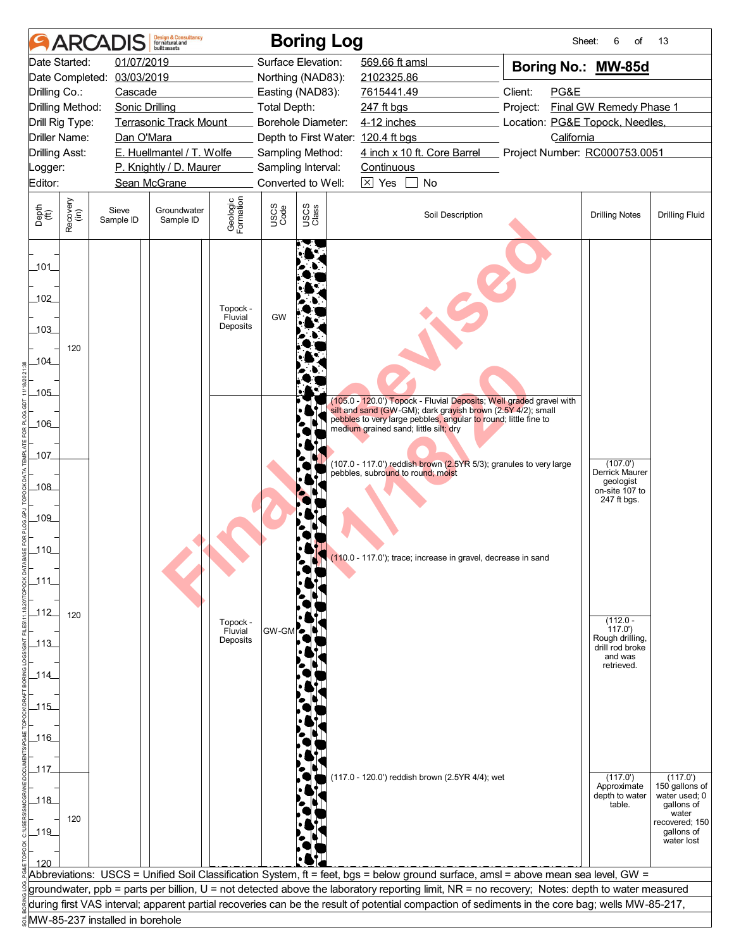|                           |                  | <b>ARCADIS</b>                  | <b>Design &amp; Consultancy</b><br>for natural and<br>huilt assets |                                 |                     | <b>Boring Log</b>  |                                                                                                                                                                                                                                                                                                  | Sheet:                          | 6<br>of                            | 13                          |
|---------------------------|------------------|---------------------------------|--------------------------------------------------------------------|---------------------------------|---------------------|--------------------|--------------------------------------------------------------------------------------------------------------------------------------------------------------------------------------------------------------------------------------------------------------------------------------------------|---------------------------------|------------------------------------|-----------------------------|
| Date Started:             |                  | 01/07/2019                      |                                                                    |                                 |                     | Surface Elevation: | 569.66 ft amsl                                                                                                                                                                                                                                                                                   | Boring No.: MW-85d              |                                    |                             |
|                           |                  | Date Completed: 03/03/2019      |                                                                    |                                 |                     | Northing (NAD83):  | 2102325.86                                                                                                                                                                                                                                                                                       |                                 |                                    |                             |
| Drilling Co.:             |                  | Cascade                         |                                                                    |                                 |                     | Easting (NAD83):   | 7615441.49                                                                                                                                                                                                                                                                                       | Client:<br>PG&E                 |                                    |                             |
| Drilling Method:          |                  | <b>Sonic Drilling</b>           |                                                                    |                                 | <b>Total Depth:</b> |                    | 247 ft bgs                                                                                                                                                                                                                                                                                       | Project:                        | Final GW Remedy Phase 1            |                             |
| Drill Rig Type:           |                  |                                 | <b>Terrasonic Track Mount</b>                                      |                                 |                     | Borehole Diameter: | 4-12 inches                                                                                                                                                                                                                                                                                      | Location: PG&E Topock, Needles, |                                    |                             |
| <b>Driller Name:</b>      |                  | Dan O'Mara                      |                                                                    |                                 |                     |                    | Depth to First Water: 120.4 ft bgs                                                                                                                                                                                                                                                               | California                      |                                    |                             |
| <b>Drilling Asst:</b>     |                  |                                 | E. Huellmantel / T. Wolfe                                          |                                 |                     | Sampling Method:   | 4 inch x 10 ft. Core Barrel                                                                                                                                                                                                                                                                      | Project Number: RC000753.0051   |                                    |                             |
| Logger:                   |                  |                                 | P. Knightly / D. Maurer                                            |                                 |                     | Sampling Interval: | Continuous                                                                                                                                                                                                                                                                                       |                                 |                                    |                             |
| Editor:                   |                  |                                 | Sean McGrane                                                       |                                 |                     | Converted to Well: | $\boxtimes$ Yes<br>No<br>$\mathbf{L}$                                                                                                                                                                                                                                                            |                                 |                                    |                             |
| Depth<br>(ft)             | Recovery<br>(in) | Sieve<br>Sample ID              | Groundwater<br>Sample ID                                           | Geologic<br>Formation           | USCS<br>Code        | USCS<br>Class      | Soil Description                                                                                                                                                                                                                                                                                 |                                 | <b>Drilling Notes</b>              | <b>Drilling Fluid</b>       |
| 101<br>102<br>103<br>104_ | 120              |                                 |                                                                    | Topock -<br>Fluvial<br>Deposits | GW                  |                    |                                                                                                                                                                                                                                                                                                  |                                 |                                    |                             |
| 105                       |                  |                                 |                                                                    |                                 |                     |                    | (105.0 - 120.0') Topock - Fluvial Deposits; Well graded gravel with                                                                                                                                                                                                                              |                                 |                                    |                             |
| $-106$                    |                  |                                 |                                                                    |                                 |                     |                    | silt and sand (GW-GM); dark gravish brown (2.5Y 4/2); small<br>pebbles to very large pebbles, angular to round; little fine to                                                                                                                                                                   |                                 |                                    |                             |
|                           |                  |                                 |                                                                    |                                 |                     |                    | medium grained sand; little silt; dry                                                                                                                                                                                                                                                            |                                 |                                    |                             |
| 107                       |                  |                                 |                                                                    |                                 |                     |                    |                                                                                                                                                                                                                                                                                                  |                                 |                                    |                             |
|                           |                  |                                 |                                                                    |                                 |                     |                    | (107.0 - 117.0') reddish brown (2.5YR 5/3); granules to very large<br>pebbles, subround to round; moist                                                                                                                                                                                          |                                 | (107.0')<br>Derrick Maurer         |                             |
| $-108$                    |                  |                                 |                                                                    |                                 |                     |                    |                                                                                                                                                                                                                                                                                                  |                                 | geologist                          |                             |
|                           |                  |                                 |                                                                    |                                 |                     |                    |                                                                                                                                                                                                                                                                                                  |                                 | on-site 107 to<br>247 ft bgs.      |                             |
| 109                       |                  |                                 |                                                                    |                                 |                     |                    |                                                                                                                                                                                                                                                                                                  |                                 |                                    |                             |
|                           |                  |                                 |                                                                    |                                 |                     |                    |                                                                                                                                                                                                                                                                                                  |                                 |                                    |                             |
| $-110$                    |                  |                                 |                                                                    |                                 |                     |                    |                                                                                                                                                                                                                                                                                                  |                                 |                                    |                             |
|                           |                  |                                 |                                                                    |                                 |                     |                    | (110.0 - 117.0'); trace; increase in gravel, decrease in sand                                                                                                                                                                                                                                    |                                 |                                    |                             |
| 111                       |                  |                                 |                                                                    |                                 |                     |                    |                                                                                                                                                                                                                                                                                                  |                                 |                                    |                             |
|                           |                  |                                 |                                                                    |                                 |                     |                    |                                                                                                                                                                                                                                                                                                  |                                 |                                    |                             |
| $-112$                    | 120              |                                 |                                                                    |                                 |                     |                    |                                                                                                                                                                                                                                                                                                  |                                 |                                    |                             |
|                           |                  |                                 |                                                                    | Topock -<br>Fluvial             | GW-GM               |                    |                                                                                                                                                                                                                                                                                                  |                                 | $(112.0 -$<br>117.0'               |                             |
| $\_113$                   |                  |                                 |                                                                    | Deposits                        |                     |                    |                                                                                                                                                                                                                                                                                                  |                                 | Rough drilling,<br>drill rod broke |                             |
|                           |                  |                                 |                                                                    |                                 |                     |                    |                                                                                                                                                                                                                                                                                                  |                                 | and was                            |                             |
| $-114$                    |                  |                                 |                                                                    |                                 |                     |                    |                                                                                                                                                                                                                                                                                                  |                                 | retrieved.                         |                             |
|                           |                  |                                 |                                                                    |                                 |                     |                    |                                                                                                                                                                                                                                                                                                  |                                 |                                    |                             |
| $-115$                    |                  |                                 |                                                                    |                                 |                     |                    |                                                                                                                                                                                                                                                                                                  |                                 |                                    |                             |
|                           |                  |                                 |                                                                    |                                 |                     |                    |                                                                                                                                                                                                                                                                                                  |                                 |                                    |                             |
| $-116$                    |                  |                                 |                                                                    |                                 |                     |                    |                                                                                                                                                                                                                                                                                                  |                                 |                                    |                             |
|                           |                  |                                 |                                                                    |                                 |                     |                    |                                                                                                                                                                                                                                                                                                  |                                 |                                    |                             |
| _117_                     |                  |                                 |                                                                    |                                 |                     |                    | (117.0 - 120.0') reddish brown (2.5YR 4/4); wet                                                                                                                                                                                                                                                  |                                 | (117.0')                           | (117.0')                    |
|                           |                  |                                 |                                                                    |                                 |                     |                    |                                                                                                                                                                                                                                                                                                  |                                 | Approximate                        | 150 gallons of              |
| $118$                     |                  |                                 |                                                                    |                                 |                     |                    |                                                                                                                                                                                                                                                                                                  |                                 | depth to water<br>table.           | water used; 0<br>gallons of |
|                           | 120              |                                 |                                                                    |                                 |                     |                    |                                                                                                                                                                                                                                                                                                  |                                 |                                    | water<br>recovered; 150     |
| $-119$                    |                  |                                 |                                                                    |                                 |                     |                    |                                                                                                                                                                                                                                                                                                  |                                 |                                    | gallons of<br>water lost    |
|                           |                  |                                 |                                                                    |                                 |                     |                    |                                                                                                                                                                                                                                                                                                  |                                 |                                    |                             |
|                           |                  |                                 |                                                                    |                                 |                     |                    |                                                                                                                                                                                                                                                                                                  |                                 |                                    |                             |
|                           |                  |                                 |                                                                    |                                 |                     |                    | Abbreviations: USCS = Unified Soil Classification System, ft = feet, bgs = below ground surface, amsl = above mean sea level, GW =                                                                                                                                                               |                                 |                                    |                             |
|                           |                  |                                 |                                                                    |                                 |                     |                    | groundwater, ppb = parts per billion, U = not detected above the laboratory reporting limit, NR = no recovery; Notes: depth to water measured<br>during first VAS interval; apparent partial recoveries can be the result of potential compaction of sediments in the core bag; wells MW-85-217, |                                 |                                    |                             |
|                           |                  | MW-85-237 installed in borehole |                                                                    |                                 |                     |                    |                                                                                                                                                                                                                                                                                                  |                                 |                                    |                             |
|                           |                  |                                 |                                                                    |                                 |                     |                    |                                                                                                                                                                                                                                                                                                  |                                 |                                    |                             |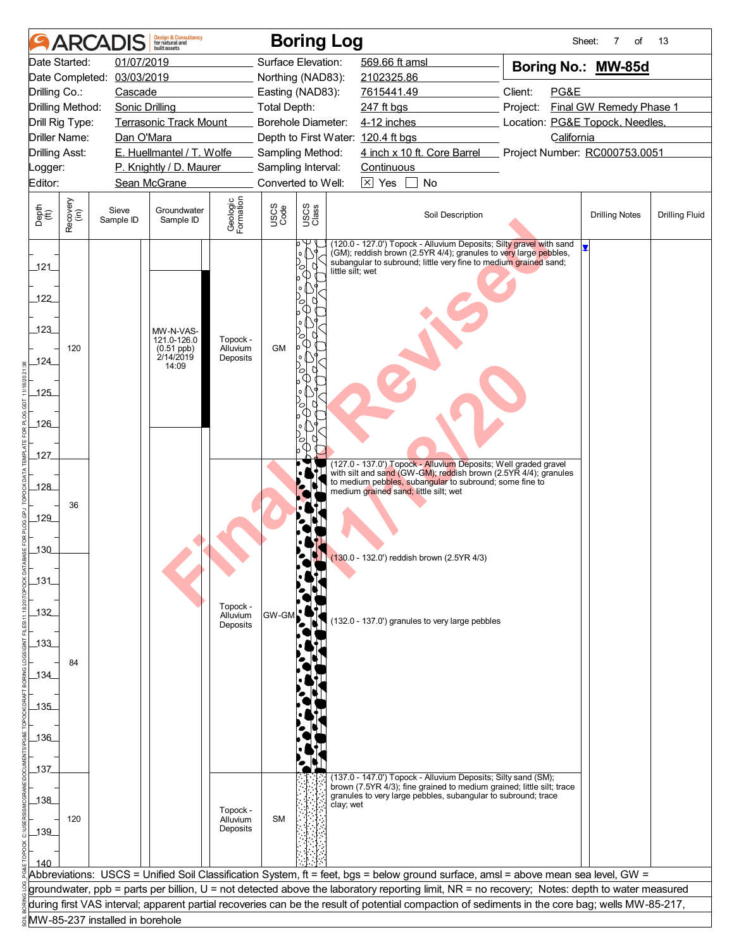|                                 | <b>ARCA</b>          |                                 | <b>Design &amp; Consultancy</b><br>for natural and<br>built assets |                                  |                     | <b>Boring Log</b>           |                                                                                                                                                                                                             |                                 | Sheet:<br>7<br>of       | 13                    |
|---------------------------------|----------------------|---------------------------------|--------------------------------------------------------------------|----------------------------------|---------------------|-----------------------------|-------------------------------------------------------------------------------------------------------------------------------------------------------------------------------------------------------------|---------------------------------|-------------------------|-----------------------|
|                                 | Date Started:        | 01/07/2019                      |                                                                    |                                  |                     | Surface Elevation:          | 569.66 ft amsl                                                                                                                                                                                              | Boring No.: MW-85d              |                         |                       |
|                                 | Date Completed:      | 03/03/2019                      |                                                                    |                                  |                     | Northing (NAD83):           | 2102325.86                                                                                                                                                                                                  |                                 |                         |                       |
| Drilling Co.:                   |                      | Cascade                         |                                                                    |                                  |                     | Easting (NAD83):            | 7615441.49                                                                                                                                                                                                  | Client:<br>PG&E                 |                         |                       |
|                                 | Drilling Method:     | <b>Sonic Drilling</b>           |                                                                    |                                  | <b>Total Depth:</b> |                             | 247 ft bgs                                                                                                                                                                                                  | Project:                        | Final GW Remedy Phase 1 |                       |
|                                 | Drill Rig Type:      |                                 | <b>Terrasonic Track Mount</b>                                      |                                  |                     | Borehole Diameter:          | 4-12 inches                                                                                                                                                                                                 | Location: PG&E Topock, Needles, |                         |                       |
|                                 | <b>Driller Name:</b> | Dan O'Mara                      |                                                                    |                                  |                     |                             | Depth to First Water: 120.4 ft bgs                                                                                                                                                                          | California                      |                         |                       |
| <b>Drilling Asst:</b>           |                      |                                 | E. Huellmantel / T. Wolfe                                          |                                  |                     | Sampling Method:            | 4 inch x 10 ft. Core Barrel                                                                                                                                                                                 | Project Number: RC000753.0051   |                         |                       |
| Logger:                         |                      |                                 | P. Knightly / D. Maurer                                            |                                  |                     | Sampling Interval:          | Continuous                                                                                                                                                                                                  |                                 |                         |                       |
| Editor:                         |                      |                                 | Sean McGrane                                                       |                                  |                     | Converted to Well:          | $\boxtimes$ Yes<br>No                                                                                                                                                                                       |                                 |                         |                       |
| Depth<br>(ft)                   | Recovery<br>(in)     | Sieve<br>Sample ID              | Groundwater<br>Sample ID                                           | Geologic<br>Formation            | USCS<br>Code        | USCS<br>Class               | Soil Description                                                                                                                                                                                            |                                 | <b>Drilling Notes</b>   | <b>Drilling Fluid</b> |
| 121<br>122<br>123<br>124<br>125 | 120                  |                                 | MW-N-VAS-<br>121.0-126.0<br>(0.51 ppb)<br>2/14/2019<br>14:09       | Topock -<br>Alluvium<br>Deposits | <b>GM</b>           | $\circ$<br>little silt: wet | (120.0 - 127.0') Topock - Alluvium Deposits; Silty gravel with sand<br>(GM); reddish brown (2.5YR 4/4); granules to very large pebbles,<br>subangular to subround; little very fine to medium grained sand; |                                 |                         |                       |
| 126<br>127                      |                      |                                 |                                                                    |                                  |                     |                             | (127.0 - 137.0') Topock - Alluvium Deposits; Well graded gravel<br>with silt and sand (GW-GM); reddish brown (2.5YR 4/4); granules                                                                          |                                 |                         |                       |
| 128<br>129                      | 36                   |                                 |                                                                    |                                  |                     |                             | to medium pebbles, subangular to subround; some fine to<br>medium grained sand; little silt; wet                                                                                                            |                                 |                         |                       |
| $-130$<br>$-131$                |                      |                                 |                                                                    | Topock -                         |                     |                             | (130.0 - 132.0') reddish brown (2.5YR 4/3)                                                                                                                                                                  |                                 |                         |                       |
| $-132$<br>$-133$                | 84                   |                                 |                                                                    | Alluvium<br>Deposits             | <b>GW-GN</b>        |                             | (132.0 - 137.0') granules to very large pebbles                                                                                                                                                             |                                 |                         |                       |
| 134<br>$-135$                   |                      |                                 |                                                                    |                                  |                     |                             |                                                                                                                                                                                                             |                                 |                         |                       |
| $-136$<br>137                   |                      |                                 |                                                                    |                                  |                     |                             |                                                                                                                                                                                                             |                                 |                         |                       |
| 138<br>$-139$                   | 120                  |                                 |                                                                    | Topock -<br>Alluvium<br>Deposits | <b>SM</b>           | clay; wet                   | (137.0 - 147.0') Topock - Alluvium Deposits; Silty sand (SM);<br>brown (7.5YR 4/3); fine grained to medium grained; little silt; trace<br>granules to very large pebbles, subangular to subround; trace     |                                 |                         |                       |
|                                 |                      |                                 |                                                                    |                                  |                     |                             | Abbreviations: USCS = Unified Soil Classification System, ft = feet, bgs = below ground surface, amsl = above mean sea level, GW =                                                                          |                                 |                         |                       |
|                                 |                      |                                 |                                                                    |                                  |                     |                             | groundwater, ppb = parts per billion, U = not detected above the laboratory reporting limit, NR = no recovery; Notes: depth to water measured                                                               |                                 |                         |                       |
|                                 |                      |                                 |                                                                    |                                  |                     |                             | during first VAS interval; apparent partial recoveries can be the result of potential compaction of sediments in the core bag; wells MW-85-217,                                                             |                                 |                         |                       |
|                                 |                      | MW-85-237 installed in borehole |                                                                    |                                  |                     |                             |                                                                                                                                                                                                             |                                 |                         |                       |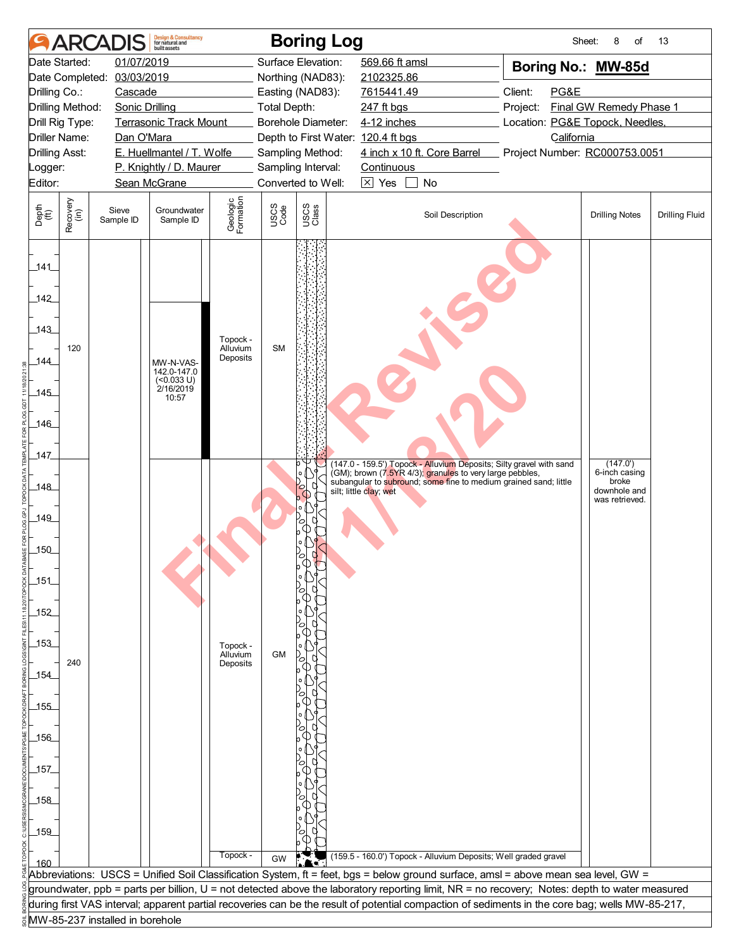|                       | <b>ARCA</b>          |                                 | <b>Design &amp; Consultancy</b><br>for natural and<br>huilt assets |                                  |                     | <b>Boring Log</b>                                      |                        |                                                                                                                                 | Sheet:                                                                                                                                          | 8<br>of                                 | 13                    |
|-----------------------|----------------------|---------------------------------|--------------------------------------------------------------------|----------------------------------|---------------------|--------------------------------------------------------|------------------------|---------------------------------------------------------------------------------------------------------------------------------|-------------------------------------------------------------------------------------------------------------------------------------------------|-----------------------------------------|-----------------------|
|                       | Date Started:        | 01/07/2019                      |                                                                    |                                  |                     | Surface Elevation:                                     | 569.66 ft amsl         |                                                                                                                                 | Boring No.: MW-85d                                                                                                                              |                                         |                       |
|                       | Date Completed:      | 03/03/2019                      |                                                                    |                                  |                     | Northing (NAD83):                                      | 2102325.86             |                                                                                                                                 |                                                                                                                                                 |                                         |                       |
| Drilling Co.:         |                      | Cascade                         |                                                                    |                                  |                     | Easting (NAD83):                                       | 7615441.49             |                                                                                                                                 | Client:<br>PG&E                                                                                                                                 |                                         |                       |
|                       | Drilling Method:     | <b>Sonic Drilling</b>           |                                                                    |                                  | <b>Total Depth:</b> |                                                        | 247 ft bgs             |                                                                                                                                 | Project:                                                                                                                                        | Final GW Remedy Phase 1                 |                       |
|                       | Drill Rig Type:      |                                 | <b>Terrasonic Track Mount</b>                                      |                                  |                     | Borehole Diameter:                                     | 4-12 inches            |                                                                                                                                 | Location: PG&E Topock, Needles,                                                                                                                 |                                         |                       |
| <b>Drilling Asst:</b> | <b>Driller Name:</b> | Dan O'Mara                      | E. Huellmantel / T. Wolfe                                          |                                  |                     | Depth to First Water: 120.4 ft bgs<br>Sampling Method: |                        | 4 inch x 10 ft. Core Barrel                                                                                                     | California<br>Project Number: RC000753.0051                                                                                                     |                                         |                       |
| Logger:               |                      |                                 | P. Knightly / D. Maurer                                            |                                  |                     | Sampling Interval:                                     | Continuous             |                                                                                                                                 |                                                                                                                                                 |                                         |                       |
| Editor:               |                      |                                 | Sean McGrane                                                       |                                  |                     | Converted to Well:                                     | $\boxtimes$ Yes        | No                                                                                                                              |                                                                                                                                                 |                                         |                       |
|                       |                      |                                 |                                                                    |                                  |                     |                                                        |                        |                                                                                                                                 |                                                                                                                                                 |                                         |                       |
| Depth<br>(ft)         | Recovery<br>(in)     | Sieve<br>Sample ID              | Groundwater<br>Sample ID                                           | Geologic<br>Formation            | USCS<br>Code        | USCS<br>Class                                          |                        | Soil Description                                                                                                                |                                                                                                                                                 | <b>Drilling Notes</b>                   | <b>Drilling Fluid</b> |
| 141                   |                      |                                 |                                                                    |                                  |                     |                                                        |                        |                                                                                                                                 |                                                                                                                                                 |                                         |                       |
| 142                   |                      |                                 |                                                                    |                                  |                     |                                                        |                        |                                                                                                                                 |                                                                                                                                                 |                                         |                       |
| 143                   |                      |                                 |                                                                    |                                  |                     |                                                        |                        |                                                                                                                                 |                                                                                                                                                 |                                         |                       |
| 144                   | 120                  |                                 | MW-N-VAS-                                                          | Topock -<br>Alluvium<br>Deposits | <b>SM</b>           |                                                        |                        |                                                                                                                                 |                                                                                                                                                 |                                         |                       |
|                       |                      |                                 | $142.0 - 147.0$<br>(<0.033 U)<br>2/16/2019                         |                                  |                     |                                                        |                        |                                                                                                                                 |                                                                                                                                                 |                                         |                       |
| $-145$                |                      |                                 | 10:57                                                              |                                  |                     |                                                        |                        |                                                                                                                                 |                                                                                                                                                 |                                         |                       |
| $-146$                |                      |                                 |                                                                    |                                  |                     |                                                        |                        |                                                                                                                                 |                                                                                                                                                 |                                         |                       |
|                       |                      |                                 |                                                                    |                                  |                     |                                                        |                        |                                                                                                                                 |                                                                                                                                                 |                                         |                       |
| 147                   |                      |                                 |                                                                    |                                  |                     |                                                        |                        |                                                                                                                                 |                                                                                                                                                 |                                         |                       |
|                       |                      |                                 |                                                                    |                                  |                     | ۰o                                                     |                        | (147.0 - 159.5') Topock - Alluvium Deposits; Silty gravel with sand<br>(GM); brown (7.5YR 4/3); granules to very large pebbles, |                                                                                                                                                 | (147.0')<br>6-inch casing               |                       |
| _148_                 |                      |                                 |                                                                    |                                  |                     |                                                        | silt; little clay; wet | subangular to subround; some fine to medium grained sand; little                                                                |                                                                                                                                                 | broke<br>downhole and<br>was retrieved. |                       |
| 149                   |                      |                                 |                                                                    |                                  |                     |                                                        |                        |                                                                                                                                 |                                                                                                                                                 |                                         |                       |
|                       |                      |                                 |                                                                    |                                  |                     |                                                        |                        |                                                                                                                                 |                                                                                                                                                 |                                         |                       |
| $-150$                |                      |                                 |                                                                    |                                  |                     |                                                        |                        |                                                                                                                                 |                                                                                                                                                 |                                         |                       |
|                       |                      |                                 |                                                                    |                                  |                     |                                                        |                        |                                                                                                                                 |                                                                                                                                                 |                                         |                       |
| $151$                 |                      |                                 |                                                                    |                                  |                     |                                                        |                        |                                                                                                                                 |                                                                                                                                                 |                                         |                       |
|                       |                      |                                 |                                                                    |                                  |                     |                                                        |                        |                                                                                                                                 |                                                                                                                                                 |                                         |                       |
| $-152$                |                      |                                 |                                                                    |                                  |                     |                                                        |                        |                                                                                                                                 |                                                                                                                                                 |                                         |                       |
| $-153$                |                      |                                 |                                                                    | Topock -                         |                     |                                                        |                        |                                                                                                                                 |                                                                                                                                                 |                                         |                       |
|                       | 240                  |                                 |                                                                    | Alluvium<br>Deposits             | <b>GM</b>           |                                                        |                        |                                                                                                                                 |                                                                                                                                                 |                                         |                       |
| _154                  |                      |                                 |                                                                    |                                  |                     |                                                        |                        |                                                                                                                                 |                                                                                                                                                 |                                         |                       |
|                       |                      |                                 |                                                                    |                                  |                     |                                                        |                        |                                                                                                                                 |                                                                                                                                                 |                                         |                       |
| $-155$                |                      |                                 |                                                                    |                                  |                     |                                                        |                        |                                                                                                                                 |                                                                                                                                                 |                                         |                       |
|                       |                      |                                 |                                                                    |                                  |                     |                                                        |                        |                                                                                                                                 |                                                                                                                                                 |                                         |                       |
| $-156$                |                      |                                 |                                                                    |                                  |                     |                                                        |                        |                                                                                                                                 |                                                                                                                                                 |                                         |                       |
| 157                   |                      |                                 |                                                                    |                                  |                     |                                                        |                        |                                                                                                                                 |                                                                                                                                                 |                                         |                       |
|                       |                      |                                 |                                                                    |                                  |                     |                                                        |                        |                                                                                                                                 |                                                                                                                                                 |                                         |                       |
| $158$                 |                      |                                 |                                                                    |                                  |                     |                                                        |                        |                                                                                                                                 |                                                                                                                                                 |                                         |                       |
|                       |                      |                                 |                                                                    |                                  |                     |                                                        |                        |                                                                                                                                 |                                                                                                                                                 |                                         |                       |
| $-159$                |                      |                                 |                                                                    |                                  |                     |                                                        |                        |                                                                                                                                 |                                                                                                                                                 |                                         |                       |
|                       |                      |                                 |                                                                    | Topock -                         | GW                  |                                                        |                        | (159.5 - 160.0') Topock - Alluvium Deposits; Well graded gravel                                                                 |                                                                                                                                                 |                                         |                       |
| 160                   |                      |                                 |                                                                    |                                  |                     |                                                        |                        |                                                                                                                                 | Abbreviations: USCS = Unified Soil Classification System, ft = feet, bgs = below ground surface, amsl = above mean sea level, GW =              |                                         |                       |
|                       |                      |                                 |                                                                    |                                  |                     |                                                        |                        |                                                                                                                                 | groundwater, ppb = parts per billion, U = not detected above the laboratory reporting limit, NR = no recovery; Notes: depth to water measured   |                                         |                       |
|                       |                      |                                 |                                                                    |                                  |                     |                                                        |                        |                                                                                                                                 | during first VAS interval; apparent partial recoveries can be the result of potential compaction of sediments in the core bag; wells MW-85-217, |                                         |                       |
|                       |                      | MW-85-237 installed in borehole |                                                                    |                                  |                     |                                                        |                        |                                                                                                                                 |                                                                                                                                                 |                                         |                       |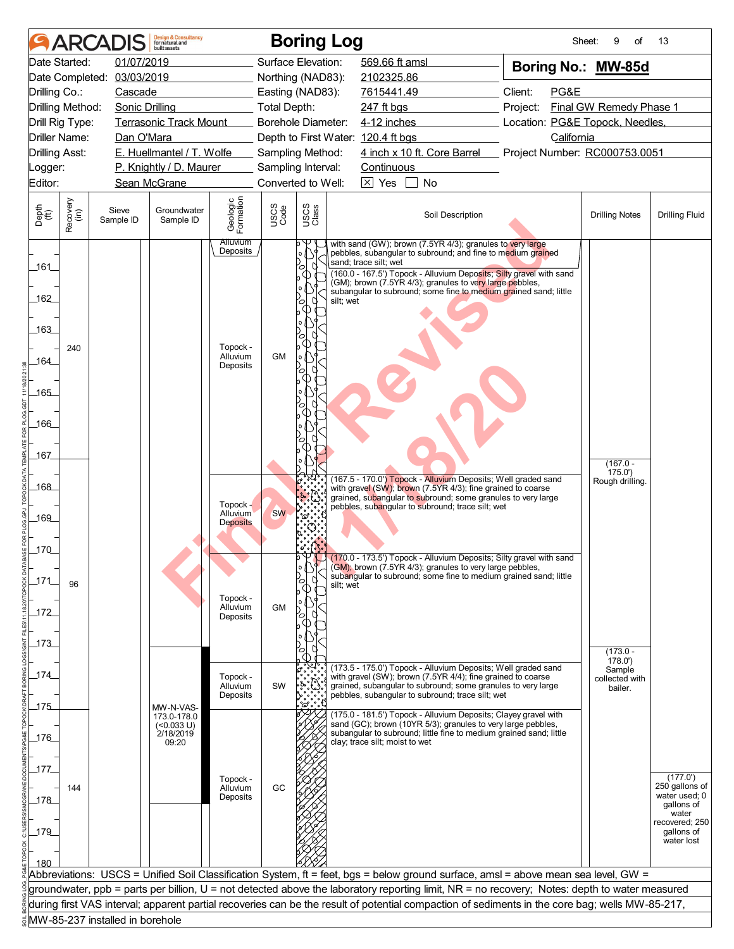| <b>ARCA</b>                       | <b>Design &amp; Consultancy</b><br>for natural and<br>huilt assets |                                          | <b>Boring Log</b>              |                                                                                                                                                 | Sheet:                          | of<br>9                   | 13                           |
|-----------------------------------|--------------------------------------------------------------------|------------------------------------------|--------------------------------|-------------------------------------------------------------------------------------------------------------------------------------------------|---------------------------------|---------------------------|------------------------------|
| Date Started:                     | 01/07/2019                                                         |                                          | Surface Elevation:             | 569.66 ft amsl                                                                                                                                  | Boring No.: MW-85d              |                           |                              |
|                                   | Date Completed: 03/03/2019                                         |                                          | Northing (NAD83):              | 2102325.86                                                                                                                                      |                                 |                           |                              |
| Drilling Co.:                     | Cascade                                                            |                                          | Easting (NAD83):               | 7615441.49                                                                                                                                      | Client:<br>PG&E                 |                           |                              |
| Drilling Method:                  | <b>Sonic Drilling</b>                                              | Total Depth:                             |                                | 247 ft bgs                                                                                                                                      | Project:                        | Final GW Remedy Phase 1   |                              |
| Drill Rig Type:                   | <b>Terrasonic Track Mount</b>                                      |                                          | Borehole Diameter:             | 4-12 inches                                                                                                                                     | Location: PG&E Topock, Needles, |                           |                              |
| Driller Name:                     | Dan O'Mara                                                         |                                          |                                | Depth to First Water: 120.4 ft bgs                                                                                                              | California                      |                           |                              |
| Drilling Asst:                    | E. Huellmantel / T. Wolfe                                          |                                          | Sampling Method:               | 4 inch x 10 ft. Core Barrel                                                                                                                     | Project Number: RC000753.0051   |                           |                              |
| _ogger:                           | P. Knightly / D. Maurer                                            |                                          | Sampling Interval:             | Continuous                                                                                                                                      |                                 |                           |                              |
| Editor:                           | Sean McGrane                                                       |                                          | Converted to Well:             | $\boxed{\times}$ Yes<br><b>No</b>                                                                                                               |                                 |                           |                              |
| Recovery<br>(in)<br>Depth<br>(ft) | Sieve<br>Groundwater<br>Sample ID<br>Sample ID                     | Geologic<br>Formation<br>USCS<br>Code    | USCS<br>Class                  | Soil Description                                                                                                                                |                                 | <b>Drilling Notes</b>     | <b>Drilling Fluid</b>        |
|                                   |                                                                    | <b>Alluvium</b><br>Deposits              | o.                             | with sand (GW); brown (7.5YR 4/3); granules to very large<br>pebbles, subangular to subround; and fine to medium grained                        |                                 |                           |                              |
| _161_                             |                                                                    |                                          | U<br>0                         | sand; trace silt; wet                                                                                                                           |                                 |                           |                              |
|                                   |                                                                    |                                          | - 1                            | (160.0 - 167.5') Topock - Alluvium Deposits; Silty gravel with sand<br>(GM); brown (7.5YR 4/3); granules to very large pebbles,                 |                                 |                           |                              |
| 162                               |                                                                    |                                          | $\circ$<br>silt; wet<br>n<br>∞ | subangular to subround; some fine to medium grained sand; little                                                                                |                                 |                           |                              |
|                                   |                                                                    |                                          | Œ                              |                                                                                                                                                 |                                 |                           |                              |
| _163_                             |                                                                    |                                          | o<br>ъ                         |                                                                                                                                                 |                                 |                           |                              |
| 240                               |                                                                    | Topock -                                 |                                |                                                                                                                                                 |                                 |                           |                              |
| 164                               |                                                                    | <b>GM</b><br>Alluvium<br>Deposits        | o.                             |                                                                                                                                                 |                                 |                           |                              |
|                                   |                                                                    |                                          | ∞<br><b>T</b>                  |                                                                                                                                                 |                                 |                           |                              |
| 165                               |                                                                    |                                          |                                |                                                                                                                                                 |                                 |                           |                              |
|                                   |                                                                    |                                          |                                |                                                                                                                                                 |                                 |                           |                              |
| 166                               |                                                                    |                                          |                                |                                                                                                                                                 |                                 |                           |                              |
|                                   |                                                                    |                                          |                                |                                                                                                                                                 |                                 |                           |                              |
| 167                               |                                                                    |                                          |                                |                                                                                                                                                 |                                 | $(167.0 -$                |                              |
|                                   |                                                                    |                                          |                                | (167.5 - 170.0') Topock - Alluvium Deposits; Well graded sand                                                                                   |                                 | 175.0'<br>Rough drilling. |                              |
| 168                               |                                                                    |                                          |                                | with gravel (SW); brown (7.5YR 4/3); fine grained to coarse<br>grained, subangular to subround; some granules to very large                     |                                 |                           |                              |
|                                   |                                                                    | Topock -<br><b>SW</b><br><b>Alluvium</b> |                                | pebbles, subangular to subround; trace silt; wet                                                                                                |                                 |                           |                              |
| 169                               |                                                                    | <b>Deposits</b>                          | 'ది                            |                                                                                                                                                 |                                 |                           |                              |
|                                   |                                                                    |                                          |                                |                                                                                                                                                 |                                 |                           |                              |
| _170_                             |                                                                    |                                          | bΨ,                            | (170.0 - 173.5') Topock - Alluvium Deposits; Silty gravel with sand                                                                             |                                 |                           |                              |
|                                   |                                                                    |                                          | '∘ (∣                          | (GM); brown (7.5YR 4/3); granules to very large pebbles,<br>subangular to subround; some fine to medium grained sand; little                    |                                 |                           |                              |
| 171<br>96                         |                                                                    |                                          | U<br>∞<br>silt; wet            |                                                                                                                                                 |                                 |                           |                              |
|                                   |                                                                    | Topock -<br><b>GM</b><br>Alluvium        |                                |                                                                                                                                                 |                                 |                           |                              |
| 172                               |                                                                    | Deposits                                 | ъ                              |                                                                                                                                                 |                                 |                           |                              |
|                                   |                                                                    |                                          |                                |                                                                                                                                                 |                                 |                           |                              |
| $-173$                            |                                                                    |                                          |                                |                                                                                                                                                 |                                 | $(173.0 -$                |                              |
| _174_                             |                                                                    |                                          |                                | (173.5 - 175.0') Topock - Alluvium Deposits; Well graded sand                                                                                   |                                 | 178.0'<br>Sample          |                              |
|                                   |                                                                    | Topock -<br>SW<br>Alluvium               |                                | with gravel (SW); brown (7.5YR 4/4); fine grained to coarse<br>grained, subangular to subround; some granules to very large                     |                                 | collected with<br>bailer. |                              |
| 175                               |                                                                    | Deposits                                 |                                | pebbles, subangular to subround; trace silt; wet                                                                                                |                                 |                           |                              |
|                                   | MW-N-VAS-<br>173.0-178.0                                           |                                          |                                | (175.0 - 181.5') Topock - Alluvium Deposits; Clayey gravel with                                                                                 |                                 |                           |                              |
| 176                               | (<0.033 U)<br>2/18/2019                                            |                                          |                                | sand (GC); brown (10YR 5/3); granules to very large pebbles,<br>subangular to subround; little fine to medium grained sand; little              |                                 |                           |                              |
|                                   | 09:20                                                              |                                          |                                | clay; trace silt; moist to wet                                                                                                                  |                                 |                           |                              |
| 177                               |                                                                    |                                          |                                |                                                                                                                                                 |                                 |                           |                              |
|                                   |                                                                    | Topock -<br>GC                           |                                |                                                                                                                                                 |                                 |                           | (177.0')<br>250 gallons of   |
| 144<br>178                        |                                                                    | Alluvium<br>Deposits                     |                                |                                                                                                                                                 |                                 |                           | water used; 0                |
|                                   |                                                                    |                                          |                                |                                                                                                                                                 |                                 |                           | qallons of<br>water          |
| $-179$                            |                                                                    |                                          |                                |                                                                                                                                                 |                                 |                           | recovered; 250<br>gallons of |
|                                   |                                                                    |                                          |                                |                                                                                                                                                 |                                 |                           | water lost                   |
| 180                               |                                                                    |                                          |                                |                                                                                                                                                 |                                 |                           |                              |
|                                   |                                                                    |                                          |                                | Abbreviations: USCS = Unified Soil Classification System, ft = feet, bgs = below ground surface, amsl = above mean sea level, GW =              |                                 |                           |                              |
|                                   |                                                                    |                                          |                                | groundwater, ppb = parts per billion, U = not detected above the laboratory reporting limit, NR = no recovery; Notes: depth to water measured   |                                 |                           |                              |
|                                   |                                                                    |                                          |                                | during first VAS interval; apparent partial recoveries can be the result of potential compaction of sediments in the core bag; wells MW-85-217, |                                 |                           |                              |
|                                   | MW-85-237 installed in borehole                                    |                                          |                                |                                                                                                                                                 |                                 |                           |                              |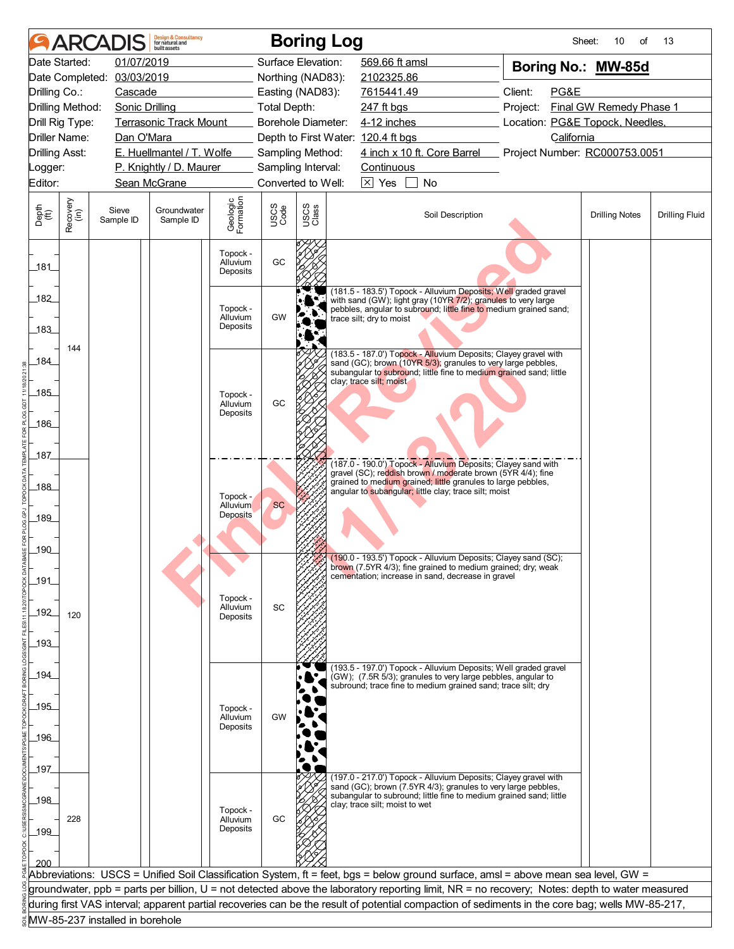|                             |                                        | <b>ARCADIS</b>                  | <b>Design &amp; Consultancy</b><br>for natural and<br>huilt assets |                                  |                     | <b>Boring Log</b>         |                                    |                                                                                                                                                                                                       | Sheet:                                                                                                                                          | 10<br>of                | 13                    |
|-----------------------------|----------------------------------------|---------------------------------|--------------------------------------------------------------------|----------------------------------|---------------------|---------------------------|------------------------------------|-------------------------------------------------------------------------------------------------------------------------------------------------------------------------------------------------------|-------------------------------------------------------------------------------------------------------------------------------------------------|-------------------------|-----------------------|
|                             | Date Started:                          | 01/07/2019                      |                                                                    |                                  |                     | Surface Elevation:        | 569.66 ft amsl                     |                                                                                                                                                                                                       | Boring No.: MW-85d                                                                                                                              |                         |                       |
|                             | Date Completed:                        | 03/03/2019                      |                                                                    |                                  |                     | Northing (NAD83):         | 2102325.86                         |                                                                                                                                                                                                       |                                                                                                                                                 |                         |                       |
| Drilling Co.:               |                                        | Cascade                         |                                                                    |                                  |                     | Easting (NAD83):          | 7615441.49                         |                                                                                                                                                                                                       | Client:<br>PG&E                                                                                                                                 |                         |                       |
|                             | Drilling Method:                       | Sonic Drilling                  |                                                                    |                                  | <b>Total Depth:</b> |                           | 247 ft bgs                         |                                                                                                                                                                                                       | Project:                                                                                                                                        | Final GW Remedy Phase 1 |                       |
|                             | Drill Rig Type:                        |                                 | <b>Terrasonic Track Mount</b>                                      |                                  |                     | <b>Borehole Diameter:</b> | 4-12 inches                        |                                                                                                                                                                                                       | Location: PG&E Topock, Needles,<br>California                                                                                                   |                         |                       |
|                             | Driller Name:<br><b>Drilling Asst:</b> | Dan O'Mara                      | E. Huellmantel / T. Wolfe                                          |                                  |                     | Sampling Method:          | Depth to First Water: 120.4 ft bgs | 4 inch x 10 ft. Core Barrel                                                                                                                                                                           | Project Number: RC000753.0051                                                                                                                   |                         |                       |
| _ogger:                     |                                        |                                 | P. Knightly / D. Maurer                                            |                                  |                     | Sampling Interval:        | Continuous                         |                                                                                                                                                                                                       |                                                                                                                                                 |                         |                       |
| Editor:                     |                                        |                                 | Sean McGrane                                                       |                                  |                     | Converted to Well:        | $\boxed{\times}$ Yes               | No                                                                                                                                                                                                    |                                                                                                                                                 |                         |                       |
|                             |                                        |                                 |                                                                    |                                  |                     |                           |                                    |                                                                                                                                                                                                       |                                                                                                                                                 |                         |                       |
| Depth<br>$\widetilde{f(t)}$ | Recovery<br>(in)                       | Sieve<br>Sample ID              | Groundwater<br>Sample ID                                           | Geologic<br>Formation            | USCS<br>Code        | USCS<br>Class             |                                    | Soil Description                                                                                                                                                                                      |                                                                                                                                                 | <b>Drilling Notes</b>   | <b>Drilling Fluid</b> |
| 181                         |                                        |                                 |                                                                    | Topock -<br>Alluvium<br>Deposits | GC                  |                           |                                    |                                                                                                                                                                                                       |                                                                                                                                                 |                         |                       |
| 182<br>183                  |                                        |                                 |                                                                    | Topock -<br>Alluvium<br>Deposits | GW                  |                           | trace silt; dry to moist           | (181.5 - 183.5') Topock - Alluvium Deposits; Well graded gravel<br>with sand (GW); light gray (10YR 7/2); granules to very large                                                                      | pebbles, angular to subround; little fine to medium grained sand;                                                                               |                         |                       |
| 184                         | 144                                    |                                 |                                                                    |                                  |                     |                           | clay; trace silt; moist            | (183.5 - 187.0') Topock - Alluvium Deposits; Clayey gravel with<br>sand (GC); brown (10YR 5/3); granules to very large pebbles,<br>subangular to subround; little fine to medium grained sand; little |                                                                                                                                                 |                         |                       |
| 185                         |                                        |                                 |                                                                    | Topock -<br>Alluvium<br>Deposits | GC                  |                           |                                    |                                                                                                                                                                                                       |                                                                                                                                                 |                         |                       |
| 186                         |                                        |                                 |                                                                    |                                  |                     |                           |                                    |                                                                                                                                                                                                       |                                                                                                                                                 |                         |                       |
| 187                         |                                        |                                 |                                                                    |                                  |                     |                           |                                    | (187.0 - 190.0') Topock - Alluvium Deposits; Clayey sand with                                                                                                                                         |                                                                                                                                                 |                         |                       |
| 188                         |                                        |                                 |                                                                    | Topock -                         |                     |                           |                                    | gravel (SC); reddish brown / moderate brown (5YR 4/4); fine<br>grained to medium grained; little granules to large pebbles,<br>angular to subangular; little clay; trace silt; moist                  |                                                                                                                                                 |                         |                       |
| 189                         |                                        |                                 |                                                                    | Alluvium<br><b>Deposits</b>      | <b>SC</b>           |                           |                                    |                                                                                                                                                                                                       |                                                                                                                                                 |                         |                       |
| 190                         |                                        |                                 |                                                                    |                                  |                     |                           |                                    | (190.0 - 193.5') Topock - Alluvium Deposits; Clayey sand (SC);                                                                                                                                        |                                                                                                                                                 |                         |                       |
| 191                         |                                        |                                 |                                                                    |                                  |                     |                           |                                    | brown (7.5YR 4/3); fine grained to medium grained; dry; weak<br>cementation; increase in sand, decrease in gravel                                                                                     |                                                                                                                                                 |                         |                       |
| $192$                       | 120                                    |                                 |                                                                    | Topock -<br>Alluvium<br>Deposits | SC                  |                           |                                    |                                                                                                                                                                                                       |                                                                                                                                                 |                         |                       |
| 193                         |                                        |                                 |                                                                    |                                  |                     |                           |                                    |                                                                                                                                                                                                       |                                                                                                                                                 |                         |                       |
| _194_                       |                                        |                                 |                                                                    |                                  |                     |                           |                                    | (193.5 - 197.0') Topock - Alluvium Deposits; Well graded gravel<br>(GW); (7.5R 5/3); granules to very large pebbles, angular to<br>subround; trace fine to medium grained sand; trace silt; dry       |                                                                                                                                                 |                         |                       |
| .195                        |                                        |                                 |                                                                    | Topock -<br>Alluvium<br>Deposits | GW                  |                           |                                    |                                                                                                                                                                                                       |                                                                                                                                                 |                         |                       |
| 196                         |                                        |                                 |                                                                    |                                  |                     |                           |                                    |                                                                                                                                                                                                       |                                                                                                                                                 |                         |                       |
| 197                         |                                        |                                 |                                                                    |                                  |                     |                           |                                    | (197.0 - 217.0') Topock - Alluvium Deposits; Clayey gravel with<br>sand (GC); brown (7.5YR 4/3); granules to very large pebbles,                                                                      |                                                                                                                                                 |                         |                       |
| 198<br>199                  | 228                                    |                                 |                                                                    | Topock -<br>Alluvium<br>Deposits | GC                  |                           | clay; trace silt; moist to wet     | subangular to subround; little fine to medium grained sand; little                                                                                                                                    |                                                                                                                                                 |                         |                       |
|                             |                                        |                                 |                                                                    |                                  |                     |                           |                                    |                                                                                                                                                                                                       |                                                                                                                                                 |                         |                       |
|                             |                                        |                                 |                                                                    |                                  |                     |                           |                                    |                                                                                                                                                                                                       | Abbreviations: USCS = Unified Soil Classification System, ft = feet, bgs = below ground surface, amsl = above mean sea level, GW =              |                         |                       |
|                             |                                        |                                 |                                                                    |                                  |                     |                           |                                    |                                                                                                                                                                                                       | groundwater, ppb = parts per billion, U = not detected above the laboratory reporting limit, NR = no recovery; Notes: depth to water measured   |                         |                       |
|                             |                                        | MW-85-237 installed in borehole |                                                                    |                                  |                     |                           |                                    |                                                                                                                                                                                                       | during first VAS interval; apparent partial recoveries can be the result of potential compaction of sediments in the core bag; wells MW-85-217, |                         |                       |
|                             |                                        |                                 |                                                                    |                                  |                     |                           |                                    |                                                                                                                                                                                                       |                                                                                                                                                 |                         |                       |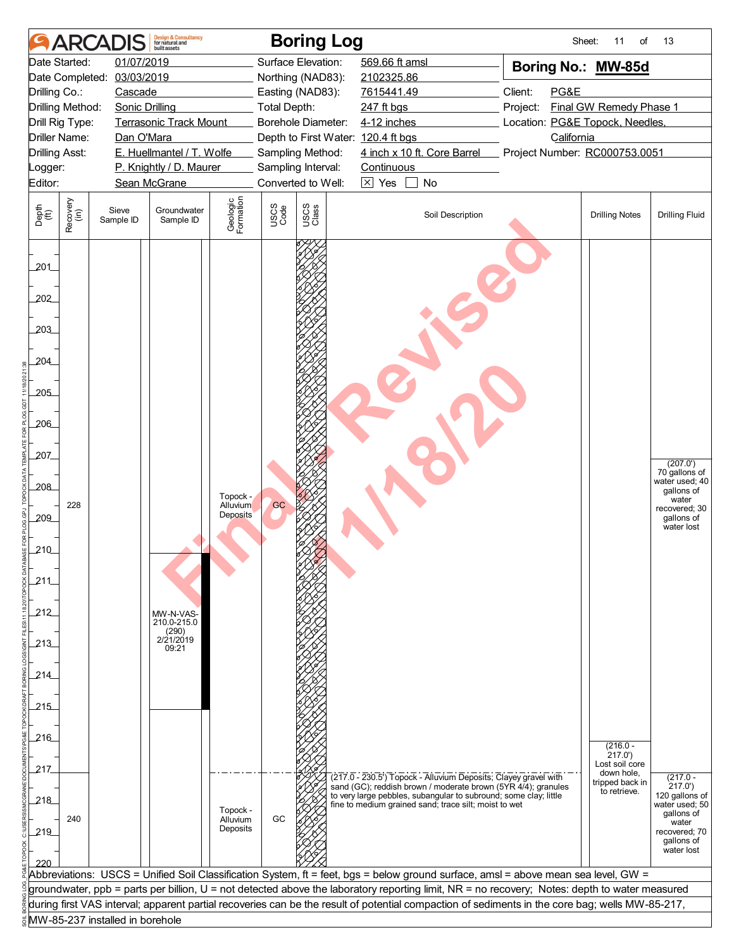|                                                                                                                                       | <b>ARCAI</b>         |                                 | <b>Design &amp; Consultancy</b><br>for natural and<br>huilt assets |                                                                                    |              | <b>Boring Log</b>  |                                                                                                                                                                                                                                                               | Sheet:                          | 11<br>of                                                                                | 13                                                                                                                                                                                                                                              |
|---------------------------------------------------------------------------------------------------------------------------------------|----------------------|---------------------------------|--------------------------------------------------------------------|------------------------------------------------------------------------------------|--------------|--------------------|---------------------------------------------------------------------------------------------------------------------------------------------------------------------------------------------------------------------------------------------------------------|---------------------------------|-----------------------------------------------------------------------------------------|-------------------------------------------------------------------------------------------------------------------------------------------------------------------------------------------------------------------------------------------------|
|                                                                                                                                       | Date Started:        | 01/07/2019                      |                                                                    |                                                                                    |              | Surface Elevation: | 569.66 ft amsl                                                                                                                                                                                                                                                | Boring No.: MW-85d              |                                                                                         |                                                                                                                                                                                                                                                 |
|                                                                                                                                       | Date Completed:      | 03/03/2019                      |                                                                    |                                                                                    |              | Northing (NAD83):  | 2102325.86                                                                                                                                                                                                                                                    |                                 |                                                                                         |                                                                                                                                                                                                                                                 |
| Drilling Co.:                                                                                                                         |                      | Cascade                         |                                                                    |                                                                                    |              | Easting (NAD83):   | 7615441.49                                                                                                                                                                                                                                                    | Client:<br>PG&E                 |                                                                                         |                                                                                                                                                                                                                                                 |
|                                                                                                                                       | Drilling Method:     | <b>Sonic Drilling</b>           |                                                                    |                                                                                    | Total Depth: |                    | 247 ft bgs                                                                                                                                                                                                                                                    | Project:                        | Final GW Remedy Phase 1                                                                 |                                                                                                                                                                                                                                                 |
|                                                                                                                                       | Drill Rig Type:      |                                 | <b>Terrasonic Track Mount</b>                                      |                                                                                    |              | Borehole Diameter: | 4-12 inches                                                                                                                                                                                                                                                   | Location: PG&E Topock, Needles, |                                                                                         |                                                                                                                                                                                                                                                 |
|                                                                                                                                       | <b>Driller Name:</b> | Dan O'Mara                      |                                                                    |                                                                                    |              |                    | Depth to First Water: 120.4 ft bgs                                                                                                                                                                                                                            | California                      |                                                                                         |                                                                                                                                                                                                                                                 |
| <b>Drilling Asst:</b>                                                                                                                 |                      |                                 | E. Huellmantel / T. Wolfe                                          |                                                                                    |              | Sampling Method:   | 4 inch x 10 ft. Core Barrel                                                                                                                                                                                                                                   | Project Number: RC000753.0051   |                                                                                         |                                                                                                                                                                                                                                                 |
| _ogger:                                                                                                                               |                      |                                 | P. Knightly / D. Maurer                                            |                                                                                    |              | Sampling Interval: | Continuous                                                                                                                                                                                                                                                    |                                 |                                                                                         |                                                                                                                                                                                                                                                 |
| Editor:                                                                                                                               |                      |                                 | Sean McGrane                                                       |                                                                                    |              | Converted to Well: | $\times$ Yes<br>No                                                                                                                                                                                                                                            |                                 |                                                                                         |                                                                                                                                                                                                                                                 |
| Depth<br>(ft)                                                                                                                         | Recovery<br>(in)     | Sieve<br>Sample ID              | Groundwater<br>Sample ID                                           | Geologic<br>Formation                                                              | USCS<br>Code | USCS<br>Class      | Soil Description                                                                                                                                                                                                                                              |                                 | <b>Drilling Notes</b>                                                                   | <b>Drilling Fluid</b>                                                                                                                                                                                                                           |
| 201<br>202<br>203<br>204<br>205<br>206<br>207<br>$-208$<br>209<br>210<br>211<br>212<br>213<br>214<br>215<br>.216<br>217<br>218<br>219 | 228<br>240           |                                 | MW-N-VAS-<br>210.0-215.0<br>(290)<br>2/21/2019<br>09:21            | Topock -<br><b>Alluvium</b><br><b>Deposits</b><br>Topock -<br>Alluvium<br>Deposits | GC<br>GC     |                    | (217.0 - 230.5') Topock - Alluvium Deposits; Clayey gravel with<br>sand (GC); reddish brown / moderate brown (5YR 4/4); granules<br>to very large pebbles, subangular to subround; some clay; little<br>fine to medium grained sand; trace silt; moist to wet |                                 | $(216.0 -$<br>217.0'<br>Lost soil core<br>down hole,<br>tripped back in<br>to retrieve. | (207.0')<br>70 gallons of<br>water used; 40<br>gallons of<br>water<br>recovered; 30<br>gallons of<br>water lost<br>$(217.0 -$<br>217.0'<br>120 gallons of<br>water used; 50<br>gallons of<br>water<br>recovered; 70<br>gallons of<br>water lost |
| 220                                                                                                                                   |                      |                                 |                                                                    |                                                                                    |              |                    | Abbreviations: USCS = Unified Soil Classification System, ft = feet, bgs = below ground surface, amsl = above mean sea level, GW =                                                                                                                            |                                 |                                                                                         |                                                                                                                                                                                                                                                 |
|                                                                                                                                       |                      |                                 |                                                                    |                                                                                    |              |                    | groundwater, ppb = parts per billion, U = not detected above the laboratory reporting limit, NR = no recovery; Notes: depth to water measured                                                                                                                 |                                 |                                                                                         |                                                                                                                                                                                                                                                 |
|                                                                                                                                       |                      |                                 |                                                                    |                                                                                    |              |                    | during first VAS interval; apparent partial recoveries can be the result of potential compaction of sediments in the core bag; wells MW-85-217,                                                                                                               |                                 |                                                                                         |                                                                                                                                                                                                                                                 |
|                                                                                                                                       |                      | MW-85-237 installed in borehole |                                                                    |                                                                                    |              |                    |                                                                                                                                                                                                                                                               |                                 |                                                                                         |                                                                                                                                                                                                                                                 |
|                                                                                                                                       |                      |                                 |                                                                    |                                                                                    |              |                    |                                                                                                                                                                                                                                                               |                                 |                                                                                         |                                                                                                                                                                                                                                                 |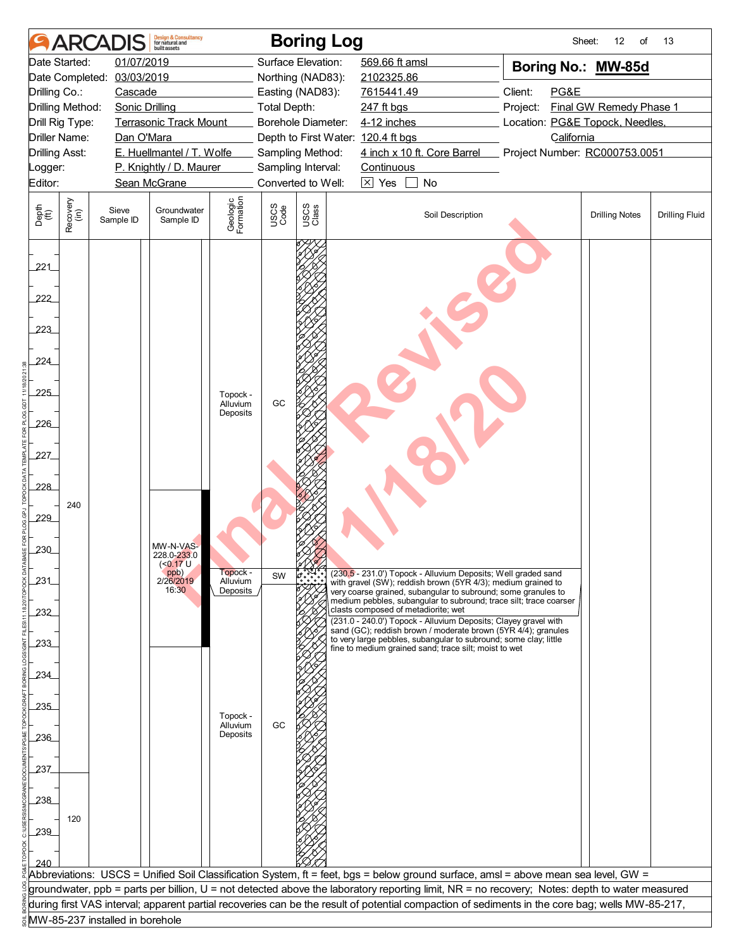| 01/07/2019<br>Surface Elevation:<br>569.66 ft amsl<br>Date Started:<br>Boring No.: MW-85d<br>03/03/2019<br>Date Completed:<br>Northing (NAD83):<br>2102325.86<br>Client:<br>PG&E<br>Drilling Co.:<br>Cascade<br>Easting (NAD83):<br>7615441.49<br>Final GW Remedy Phase 1<br>Drilling Method:<br><b>Sonic Drilling</b><br>Total Depth:<br>247 ft bgs<br>Project:<br><b>Terrasonic Track Mount</b><br>Borehole Diameter:<br>4-12 inches<br>Location: PG&E Topock, Needles,<br>Drill Rig Type:<br><b>Driller Name:</b><br>Depth to First Water: 120.4 ft bgs<br>California<br>Dan O'Mara<br>E. Huellmantel / T. Wolfe<br>4 inch x 10 ft. Core Barrel<br><b>Drilling Asst:</b><br>Sampling Method:<br>Project Number: RC000753.0051<br>P. Knightly / D. Maurer<br>Sampling Interval:<br>Continuous<br>Logger:<br>Converted to Well:<br>$\times$ Yes<br>No<br>Editor:<br>Sean McGrane<br>Geologic<br>Formation<br>Recovery<br>(in)<br>USCS<br>Class<br>USCS<br>Code<br>Depth<br>(ft)<br>Groundwater<br>Sieve<br>Soil Description<br><b>Drilling Notes</b><br><b>Drilling Fluid</b><br>Sample ID<br>Sample ID<br>221<br>222<br>223<br>224<br>225<br>Topock -<br>GC<br>Alluvium<br>Deposits<br>226<br>227<br>228<br>240<br>229<br>MW-N-VAS-<br>230<br>228.0-233.0<br>(<0.17 U<br>Topock -<br>ppb)<br>2/26/2019<br>(230,5 - 231.0') Topock - Alluvium Deposits; Well graded sand<br>with gravel (SW); reddish brown (5YR 4/3); medium grained to<br>SW<br>231<br>Alluvium<br>16:30<br>Deposits<br>very coarse grained, subangular to subround; some granules to<br>medium pebbles, subangular to subround; trace silt; trace coarser<br>clasts composed of metadiorite; wet<br>232<br>(231.0 - 240.0') Topock - Alluvium Deposits; Clayey gravel with<br>sand (GC); reddish brown / moderate brown (5YR 4/4); granules<br>to very large pebbles, subangular to subround; some clay; little<br>233<br>fine to medium grained sand; trace silt; moist to wet<br>234<br>235<br>Topock -<br>Alluvium<br>GC<br>Deposits<br>236<br>237<br>238<br>120<br>239<br>240<br>Abbreviations: USCS = Unified Soil Classification System, ft = feet, bgs = below ground surface, amsl = above mean sea level, GW =<br>groundwater, ppb = parts per billion, U = not detected above the laboratory reporting limit, NR = no recovery; Notes: depth to water measured<br>during first VAS interval; apparent partial recoveries can be the result of potential compaction of sediments in the core bag; wells MW-85-217,<br>MW-85-237 installed in borehole | <b>ARCA</b> | Design & Consultancy<br>for natural and<br><b>built</b> assets |  | <b>Boring Log</b> |  | Sheet:<br>12<br>of | 13 |
|------------------------------------------------------------------------------------------------------------------------------------------------------------------------------------------------------------------------------------------------------------------------------------------------------------------------------------------------------------------------------------------------------------------------------------------------------------------------------------------------------------------------------------------------------------------------------------------------------------------------------------------------------------------------------------------------------------------------------------------------------------------------------------------------------------------------------------------------------------------------------------------------------------------------------------------------------------------------------------------------------------------------------------------------------------------------------------------------------------------------------------------------------------------------------------------------------------------------------------------------------------------------------------------------------------------------------------------------------------------------------------------------------------------------------------------------------------------------------------------------------------------------------------------------------------------------------------------------------------------------------------------------------------------------------------------------------------------------------------------------------------------------------------------------------------------------------------------------------------------------------------------------------------------------------------------------------------------------------------------------------------------------------------------------------------------------------------------------------------------------------------------------------------------------------------------------------------------------------------------------------------------------------------------------------------------------------------------------------------------------------------------------------------------------------------------------------------------------------------------------------------------------------------|-------------|----------------------------------------------------------------|--|-------------------|--|--------------------|----|
|                                                                                                                                                                                                                                                                                                                                                                                                                                                                                                                                                                                                                                                                                                                                                                                                                                                                                                                                                                                                                                                                                                                                                                                                                                                                                                                                                                                                                                                                                                                                                                                                                                                                                                                                                                                                                                                                                                                                                                                                                                                                                                                                                                                                                                                                                                                                                                                                                                                                                                                                    |             |                                                                |  |                   |  |                    |    |
|                                                                                                                                                                                                                                                                                                                                                                                                                                                                                                                                                                                                                                                                                                                                                                                                                                                                                                                                                                                                                                                                                                                                                                                                                                                                                                                                                                                                                                                                                                                                                                                                                                                                                                                                                                                                                                                                                                                                                                                                                                                                                                                                                                                                                                                                                                                                                                                                                                                                                                                                    |             |                                                                |  |                   |  |                    |    |
|                                                                                                                                                                                                                                                                                                                                                                                                                                                                                                                                                                                                                                                                                                                                                                                                                                                                                                                                                                                                                                                                                                                                                                                                                                                                                                                                                                                                                                                                                                                                                                                                                                                                                                                                                                                                                                                                                                                                                                                                                                                                                                                                                                                                                                                                                                                                                                                                                                                                                                                                    |             |                                                                |  |                   |  |                    |    |
|                                                                                                                                                                                                                                                                                                                                                                                                                                                                                                                                                                                                                                                                                                                                                                                                                                                                                                                                                                                                                                                                                                                                                                                                                                                                                                                                                                                                                                                                                                                                                                                                                                                                                                                                                                                                                                                                                                                                                                                                                                                                                                                                                                                                                                                                                                                                                                                                                                                                                                                                    |             |                                                                |  |                   |  |                    |    |
|                                                                                                                                                                                                                                                                                                                                                                                                                                                                                                                                                                                                                                                                                                                                                                                                                                                                                                                                                                                                                                                                                                                                                                                                                                                                                                                                                                                                                                                                                                                                                                                                                                                                                                                                                                                                                                                                                                                                                                                                                                                                                                                                                                                                                                                                                                                                                                                                                                                                                                                                    |             |                                                                |  |                   |  |                    |    |
|                                                                                                                                                                                                                                                                                                                                                                                                                                                                                                                                                                                                                                                                                                                                                                                                                                                                                                                                                                                                                                                                                                                                                                                                                                                                                                                                                                                                                                                                                                                                                                                                                                                                                                                                                                                                                                                                                                                                                                                                                                                                                                                                                                                                                                                                                                                                                                                                                                                                                                                                    |             |                                                                |  |                   |  |                    |    |
|                                                                                                                                                                                                                                                                                                                                                                                                                                                                                                                                                                                                                                                                                                                                                                                                                                                                                                                                                                                                                                                                                                                                                                                                                                                                                                                                                                                                                                                                                                                                                                                                                                                                                                                                                                                                                                                                                                                                                                                                                                                                                                                                                                                                                                                                                                                                                                                                                                                                                                                                    |             |                                                                |  |                   |  |                    |    |
|                                                                                                                                                                                                                                                                                                                                                                                                                                                                                                                                                                                                                                                                                                                                                                                                                                                                                                                                                                                                                                                                                                                                                                                                                                                                                                                                                                                                                                                                                                                                                                                                                                                                                                                                                                                                                                                                                                                                                                                                                                                                                                                                                                                                                                                                                                                                                                                                                                                                                                                                    |             |                                                                |  |                   |  |                    |    |
|                                                                                                                                                                                                                                                                                                                                                                                                                                                                                                                                                                                                                                                                                                                                                                                                                                                                                                                                                                                                                                                                                                                                                                                                                                                                                                                                                                                                                                                                                                                                                                                                                                                                                                                                                                                                                                                                                                                                                                                                                                                                                                                                                                                                                                                                                                                                                                                                                                                                                                                                    |             |                                                                |  |                   |  |                    |    |
|                                                                                                                                                                                                                                                                                                                                                                                                                                                                                                                                                                                                                                                                                                                                                                                                                                                                                                                                                                                                                                                                                                                                                                                                                                                                                                                                                                                                                                                                                                                                                                                                                                                                                                                                                                                                                                                                                                                                                                                                                                                                                                                                                                                                                                                                                                                                                                                                                                                                                                                                    |             |                                                                |  |                   |  |                    |    |
|                                                                                                                                                                                                                                                                                                                                                                                                                                                                                                                                                                                                                                                                                                                                                                                                                                                                                                                                                                                                                                                                                                                                                                                                                                                                                                                                                                                                                                                                                                                                                                                                                                                                                                                                                                                                                                                                                                                                                                                                                                                                                                                                                                                                                                                                                                                                                                                                                                                                                                                                    |             |                                                                |  |                   |  |                    |    |
|                                                                                                                                                                                                                                                                                                                                                                                                                                                                                                                                                                                                                                                                                                                                                                                                                                                                                                                                                                                                                                                                                                                                                                                                                                                                                                                                                                                                                                                                                                                                                                                                                                                                                                                                                                                                                                                                                                                                                                                                                                                                                                                                                                                                                                                                                                                                                                                                                                                                                                                                    |             |                                                                |  |                   |  |                    |    |
|                                                                                                                                                                                                                                                                                                                                                                                                                                                                                                                                                                                                                                                                                                                                                                                                                                                                                                                                                                                                                                                                                                                                                                                                                                                                                                                                                                                                                                                                                                                                                                                                                                                                                                                                                                                                                                                                                                                                                                                                                                                                                                                                                                                                                                                                                                                                                                                                                                                                                                                                    |             |                                                                |  |                   |  |                    |    |
|                                                                                                                                                                                                                                                                                                                                                                                                                                                                                                                                                                                                                                                                                                                                                                                                                                                                                                                                                                                                                                                                                                                                                                                                                                                                                                                                                                                                                                                                                                                                                                                                                                                                                                                                                                                                                                                                                                                                                                                                                                                                                                                                                                                                                                                                                                                                                                                                                                                                                                                                    |             |                                                                |  |                   |  |                    |    |
|                                                                                                                                                                                                                                                                                                                                                                                                                                                                                                                                                                                                                                                                                                                                                                                                                                                                                                                                                                                                                                                                                                                                                                                                                                                                                                                                                                                                                                                                                                                                                                                                                                                                                                                                                                                                                                                                                                                                                                                                                                                                                                                                                                                                                                                                                                                                                                                                                                                                                                                                    |             |                                                                |  |                   |  |                    |    |